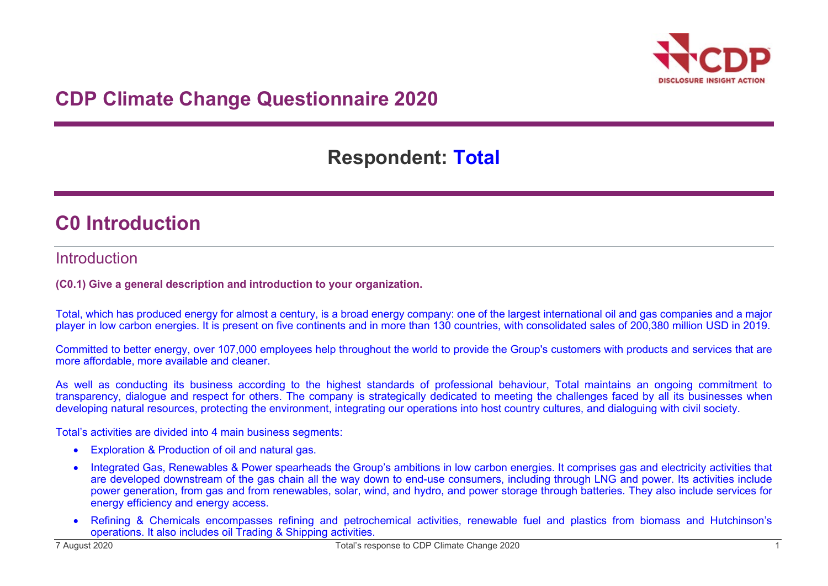

# **CDP Climate Change Questionnaire 2020**

# **Respondent: Total**

## **C0 Introduction**

### Introduction

**(C0.1) Give a general description and introduction to your organization.**

Total, which has produced energy for almost a century, is a broad energy company: one of the largest international oil and gas companies and a major player in low carbon energies. It is present on five continents and in more than 130 countries, with consolidated sales of 200,380 million USD in 2019.

Committed to better energy, over 107,000 employees help throughout the world to provide the Group's customers with products and services that are more affordable, more available and cleaner.

As well as conducting its business according to the highest standards of professional behaviour, Total maintains an ongoing commitment to transparency, dialogue and respect for others. The company is strategically dedicated to meeting the challenges faced by all its businesses when developing natural resources, protecting the environment, integrating our operations into host country cultures, and dialoguing with civil society.

Total's activities are divided into 4 main business segments:

- Exploration & Production of oil and natural gas.
- Integrated Gas, Renewables & Power spearheads the Group's ambitions in low carbon energies. It comprises gas and electricity activities that are developed downstream of the gas chain all the way down to end-use consumers, including through LNG and power. Its activities include power generation, from gas and from renewables, solar, wind, and hydro, and power storage through batteries. They also include services for energy efficiency and energy access.
- Refining & Chemicals encompasses refining and petrochemical activities, renewable fuel and plastics from biomass and Hutchinson's operations. It also includes oil Trading & Shipping activities.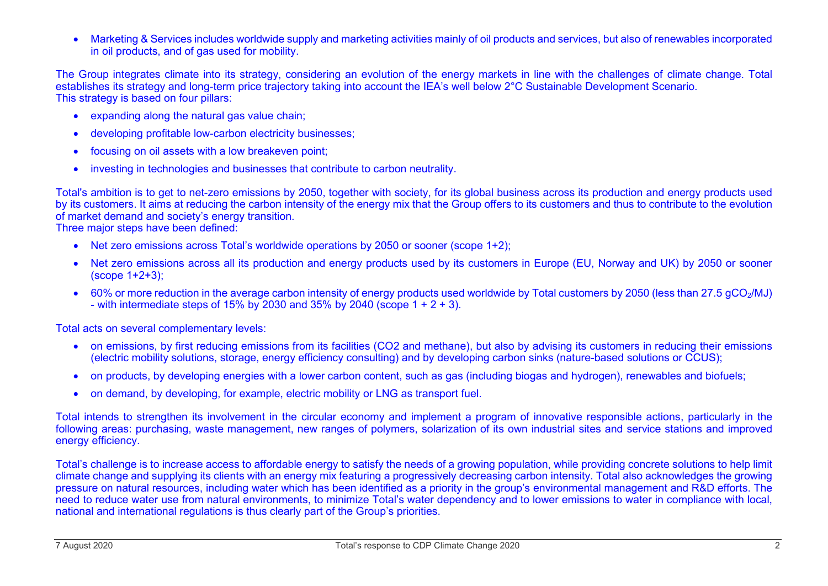• Marketing & Services includes worldwide supply and marketing activities mainly of oil products and services, but also of renewables incorporated in oil products, and of gas used for mobility.

The Group integrates climate into its strategy, considering an evolution of the energy markets in line with the challenges of climate change. Total establishes its strategy and long-term price trajectory taking into account the IEA's well below 2°C Sustainable Development Scenario. This strategy is based on four pillars:

- expanding along the natural gas value chain;
- developing profitable low-carbon electricity businesses;
- focusing on oil assets with a low breakeven point;
- investing in technologies and businesses that contribute to carbon neutrality.

Total's ambition is to get to net-zero emissions by 2050, together with society, for its global business across its production and energy products used by its customers. It aims at reducing the carbon intensity of the energy mix that the Group offers to its customers and thus to contribute to the evolution of market demand and society's energy transition.

Three major steps have been defined:

- Net zero emissions across Total's worldwide operations by 2050 or sooner (scope 1+2);
- Net zero emissions across all its production and energy products used by its customers in Europe (EU, Norway and UK) by 2050 or sooner (scope 1+2+3);
- 60% or more reduction in the average carbon intensity of energy products used worldwide by Total customers by 2050 (less than 27.5 gCO<sub>2</sub>/MJ) - with intermediate steps of 15% by 2030 and 35% by 2040 (scope  $1 + 2 + 3$ ).

Total acts on several complementary levels:

- on emissions, by first reducing emissions from its facilities (CO2 and methane), but also by advising its customers in reducing their emissions (electric mobility solutions, storage, energy efficiency consulting) and by developing carbon sinks (nature-based solutions or CCUS);
- on products, by developing energies with a lower carbon content, such as gas (including biogas and hydrogen), renewables and biofuels;
- on demand, by developing, for example, electric mobility or LNG as transport fuel.

Total intends to strengthen its involvement in the circular economy and implement a program of innovative responsible actions, particularly in the following areas: purchasing, waste management, new ranges of polymers, solarization of its own industrial sites and service stations and improved energy efficiency.

Total's challenge is to increase access to affordable energy to satisfy the needs of a growing population, while providing concrete solutions to help limit climate change and supplying its clients with an energy mix featuring a progressively decreasing carbon intensity. Total also acknowledges the growing pressure on natural resources, including water which has been identified as a priority in the group's environmental management and R&D efforts. The need to reduce water use from natural environments, to minimize Total's water dependency and to lower emissions to water in compliance with local, national and international regulations is thus clearly part of the Group's priorities.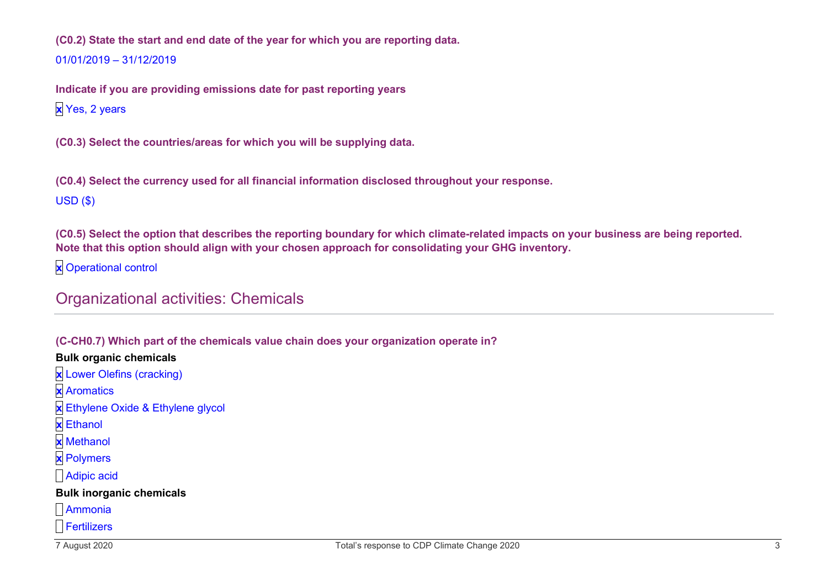**(C0.2) State the start and end date of the year for which you are reporting data.** 01/01/2019 – 31/12/2019

**Indicate if you are providing emissions date for past reporting years x** Yes, 2 years

**(C0.3) Select the countries/areas for which you will be supplying data.**

**(C0.4) Select the currency used for all financial information disclosed throughout your response.** USD (\$)

**(C0.5) Select the option that describes the reporting boundary for which climate-related impacts on your business are being reported. Note that this option should align with your chosen approach for consolidating your GHG inventory.**

**x** Operational control

## Organizational activities: Chemicals

#### **(C-CH0.7) Which part of the chemicals value chain does your organization operate in?**

#### **Bulk organic chemicals**

- **x** Lower Olefins (cracking)
- **x** Aromatics
- **x** Ethylene Oxide & Ethylene glycol
- **x** Ethanol
- **x** Methanol
- **x** Polymers
- Adipic acid

#### **Bulk inorganic chemicals**

- Ammonia
- Fertilizers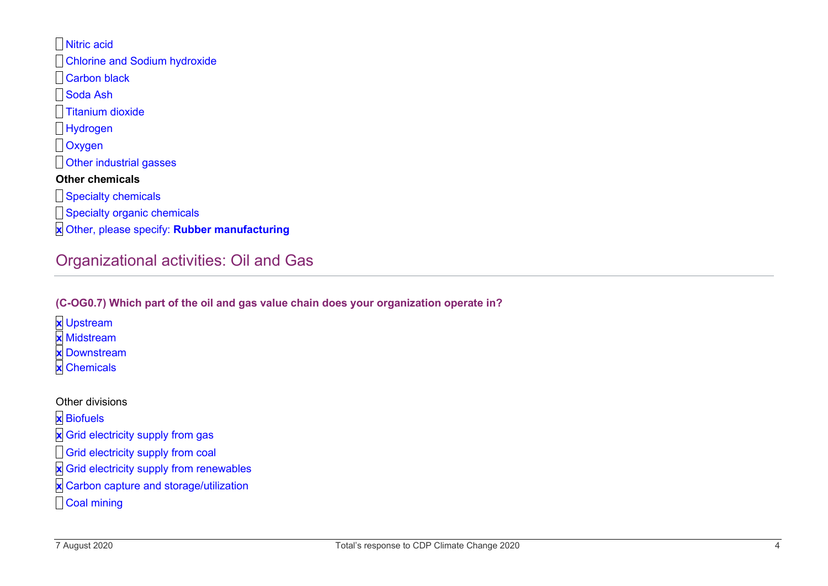Nitric acid Chlorine and Sodium hydroxide Carbon black Soda Ash **Titanium dioxide** Hydrogen Oxygen **D**Other industrial gasses **Other chemicals** Specialty chemicals

- **Specialty organic chemicals**
- **x** Other, please specify: **Rubber manufacturing**

## Organizational activities: Oil and Gas

#### **(C-OG0.7) Which part of the oil and gas value chain does your organization operate in?**

- **x** Upstream
- **x** Midstream
- **x** Downstream
- **x** Chemicals

Other divisions

**x** Biofuels

- **x** Grid electricity supply from gas
- **a** Grid electricity supply from coal
- **x** Grid electricity supply from renewables
- **x** Carbon capture and storage/utilization
- Coal mining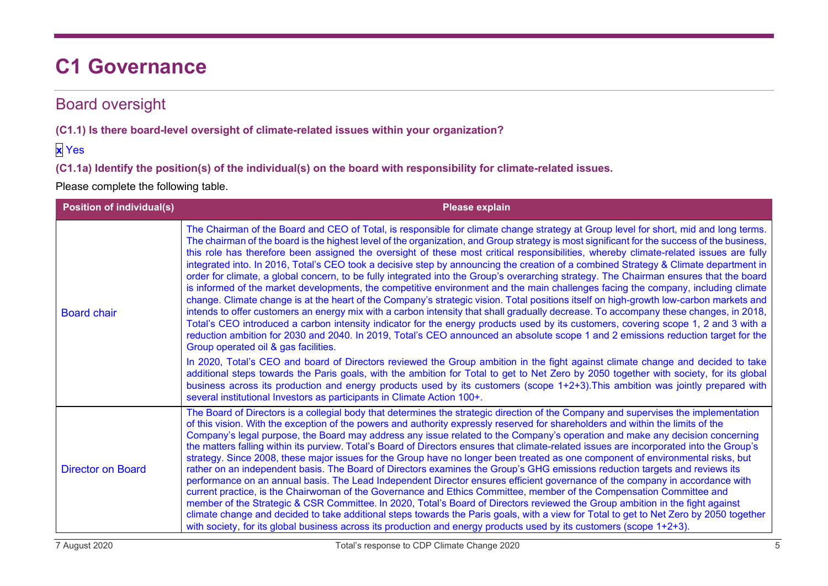# **C1 Governance**

## Board oversight

**(C1.1) Is there board-level oversight of climate-related issues within your organization?**

### **x** Yes

**(C1.1a) Identify the position(s) of the individual(s) on the board with responsibility for climate-related issues.**

| <b>Position of individual(s)</b> | <b>Please explain</b>                                                                                                                                                                                                                                                                                                                                                                                                                                                                                                                                                                                                                                                                                                                                                                                                                                                                                                                                                                                                                                                                                                                                                                                                                                                                                                                                                                                                                                                                                                                                                                        |
|----------------------------------|----------------------------------------------------------------------------------------------------------------------------------------------------------------------------------------------------------------------------------------------------------------------------------------------------------------------------------------------------------------------------------------------------------------------------------------------------------------------------------------------------------------------------------------------------------------------------------------------------------------------------------------------------------------------------------------------------------------------------------------------------------------------------------------------------------------------------------------------------------------------------------------------------------------------------------------------------------------------------------------------------------------------------------------------------------------------------------------------------------------------------------------------------------------------------------------------------------------------------------------------------------------------------------------------------------------------------------------------------------------------------------------------------------------------------------------------------------------------------------------------------------------------------------------------------------------------------------------------|
| <b>Board chair</b>               | The Chairman of the Board and CEO of Total, is responsible for climate change strategy at Group level for short, mid and long terms.<br>The chairman of the board is the highest level of the organization, and Group strategy is most significant for the success of the business,<br>this role has therefore been assigned the oversight of these most critical responsibilities, whereby climate-related issues are fully<br>integrated into. In 2016, Total's CEO took a decisive step by announcing the creation of a combined Strategy & Climate department in<br>order for climate, a global concern, to be fully integrated into the Group's overarching strategy. The Chairman ensures that the board<br>is informed of the market developments, the competitive environment and the main challenges facing the company, including climate<br>change. Climate change is at the heart of the Company's strategic vision. Total positions itself on high-growth low-carbon markets and<br>intends to offer customers an energy mix with a carbon intensity that shall gradually decrease. To accompany these changes, in 2018,<br>Total's CEO introduced a carbon intensity indicator for the energy products used by its customers, covering scope 1, 2 and 3 with a<br>reduction ambition for 2030 and 2040. In 2019, Total's CEO announced an absolute scope 1 and 2 emissions reduction target for the<br>Group operated oil & gas facilities.<br>In 2020, Total's CEO and board of Directors reviewed the Group ambition in the fight against climate change and decided to take |
|                                  | additional steps towards the Paris goals, with the ambition for Total to get to Net Zero by 2050 together with society, for its global<br>business across its production and energy products used by its customers (scope 1+2+3). This ambition was jointly prepared with<br>several institutional Investors as participants in Climate Action 100+.                                                                                                                                                                                                                                                                                                                                                                                                                                                                                                                                                                                                                                                                                                                                                                                                                                                                                                                                                                                                                                                                                                                                                                                                                                         |
| <b>Director on Board</b>         | The Board of Directors is a collegial body that determines the strategic direction of the Company and supervises the implementation<br>of this vision. With the exception of the powers and authority expressly reserved for shareholders and within the limits of the<br>Company's legal purpose, the Board may address any issue related to the Company's operation and make any decision concerning<br>the matters falling within its purview. Total's Board of Directors ensures that climate-related issues are incorporated into the Group's<br>strategy. Since 2008, these major issues for the Group have no longer been treated as one component of environmental risks, but<br>rather on an independent basis. The Board of Directors examines the Group's GHG emissions reduction targets and reviews its<br>performance on an annual basis. The Lead Independent Director ensures efficient governance of the company in accordance with<br>current practice, is the Chairwoman of the Governance and Ethics Committee, member of the Compensation Committee and<br>member of the Strategic & CSR Committee. In 2020, Total's Board of Directors reviewed the Group ambition in the fight against<br>climate change and decided to take additional steps towards the Paris goals, with a view for Total to get to Net Zero by 2050 together<br>with society, for its global business across its production and energy products used by its customers (scope 1+2+3).                                                                                                              |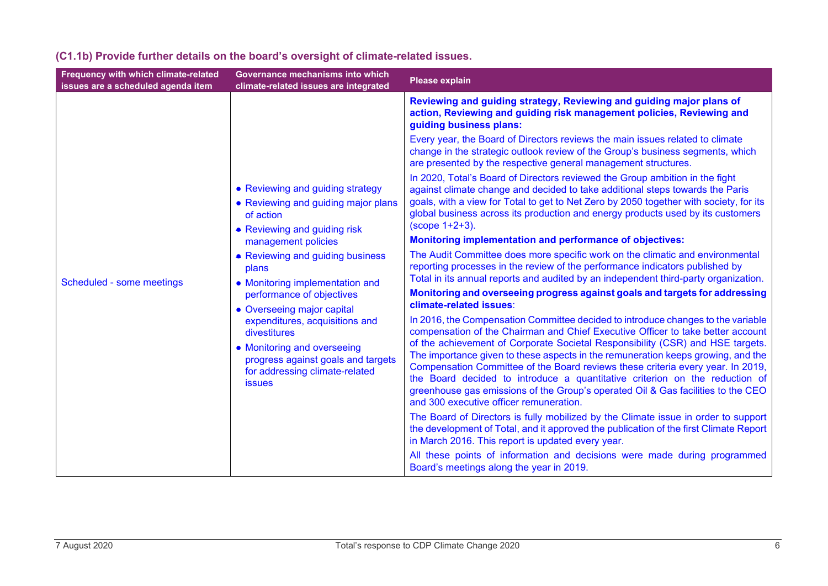| Frequency with which climate-related<br>issues are a scheduled agenda item | Governance mechanisms into which<br>climate-related issues are integrated                                                                                                                                                                                                                                         | Please explain                                                                                                                                                                                                                                                                                                                                                                                                                                                                                                                                                                                                                             |                                                                                                                                                                                                                                                                                                                                                              |
|----------------------------------------------------------------------------|-------------------------------------------------------------------------------------------------------------------------------------------------------------------------------------------------------------------------------------------------------------------------------------------------------------------|--------------------------------------------------------------------------------------------------------------------------------------------------------------------------------------------------------------------------------------------------------------------------------------------------------------------------------------------------------------------------------------------------------------------------------------------------------------------------------------------------------------------------------------------------------------------------------------------------------------------------------------------|--------------------------------------------------------------------------------------------------------------------------------------------------------------------------------------------------------------------------------------------------------------------------------------------------------------------------------------------------------------|
|                                                                            |                                                                                                                                                                                                                                                                                                                   | Reviewing and guiding strategy, Reviewing and guiding major plans of<br>action, Reviewing and guiding risk management policies, Reviewing and<br>guiding business plans:                                                                                                                                                                                                                                                                                                                                                                                                                                                                   |                                                                                                                                                                                                                                                                                                                                                              |
|                                                                            |                                                                                                                                                                                                                                                                                                                   | Every year, the Board of Directors reviews the main issues related to climate<br>change in the strategic outlook review of the Group's business segments, which<br>are presented by the respective general management structures.                                                                                                                                                                                                                                                                                                                                                                                                          |                                                                                                                                                                                                                                                                                                                                                              |
|                                                                            | • Reviewing and guiding strategy<br>• Reviewing and guiding major plans<br>of action<br>• Reviewing and guiding risk                                                                                                                                                                                              |                                                                                                                                                                                                                                                                                                                                                                                                                                                                                                                                                                                                                                            | In 2020, Total's Board of Directors reviewed the Group ambition in the fight<br>against climate change and decided to take additional steps towards the Paris<br>goals, with a view for Total to get to Net Zero by 2050 together with society, for its<br>global business across its production and energy products used by its customers<br>(scope 1+2+3). |
|                                                                            | management policies                                                                                                                                                                                                                                                                                               | Monitoring implementation and performance of objectives:                                                                                                                                                                                                                                                                                                                                                                                                                                                                                                                                                                                   |                                                                                                                                                                                                                                                                                                                                                              |
| Scheduled - some meetings                                                  | • Reviewing and guiding business<br>plans<br>• Monitoring implementation and<br>performance of objectives<br>• Overseeing major capital<br>expenditures, acquisitions and<br>divestitures<br>• Monitoring and overseeing<br>progress against goals and targets<br>for addressing climate-related<br><b>issues</b> |                                                                                                                                                                                                                                                                                                                                                                                                                                                                                                                                                                                                                                            | The Audit Committee does more specific work on the climatic and environmental<br>reporting processes in the review of the performance indicators published by<br>Total in its annual reports and audited by an independent third-party organization.                                                                                                         |
|                                                                            |                                                                                                                                                                                                                                                                                                                   | Monitoring and overseeing progress against goals and targets for addressing<br>climate-related issues:                                                                                                                                                                                                                                                                                                                                                                                                                                                                                                                                     |                                                                                                                                                                                                                                                                                                                                                              |
|                                                                            |                                                                                                                                                                                                                                                                                                                   | In 2016, the Compensation Committee decided to introduce changes to the variable<br>compensation of the Chairman and Chief Executive Officer to take better account<br>of the achievement of Corporate Societal Responsibility (CSR) and HSE targets.<br>The importance given to these aspects in the remuneration keeps growing, and the<br>Compensation Committee of the Board reviews these criteria every year. In 2019,<br>the Board decided to introduce a quantitative criterion on the reduction of<br>greenhouse gas emissions of the Group's operated Oil & Gas facilities to the CEO<br>and 300 executive officer remuneration. |                                                                                                                                                                                                                                                                                                                                                              |
|                                                                            |                                                                                                                                                                                                                                                                                                                   |                                                                                                                                                                                                                                                                                                                                                                                                                                                                                                                                                                                                                                            |                                                                                                                                                                                                                                                                                                                                                              |
|                                                                            |                                                                                                                                                                                                                                                                                                                   | All these points of information and decisions were made during programmed<br>Board's meetings along the year in 2019.                                                                                                                                                                                                                                                                                                                                                                                                                                                                                                                      |                                                                                                                                                                                                                                                                                                                                                              |

### **(C1.1b) Provide further details on the board's oversight of climate-related issues.**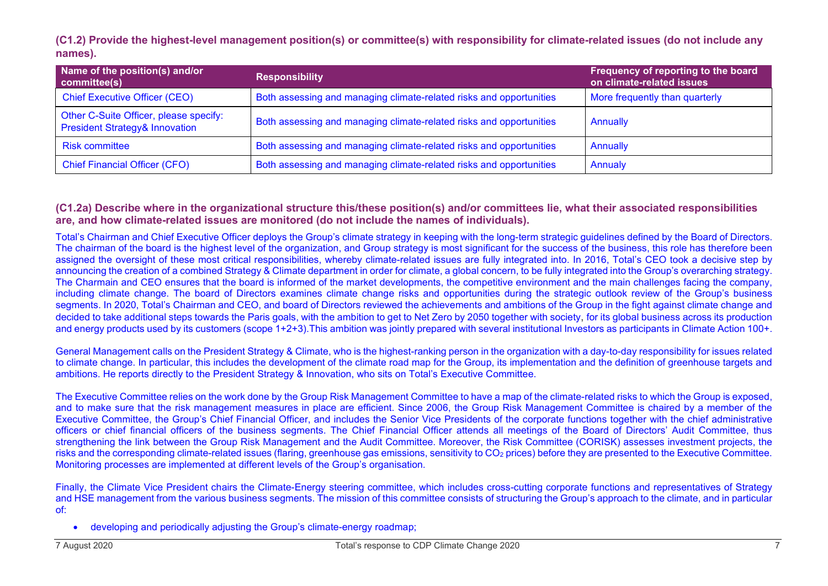**(C1.2) Provide the highest-level management position(s) or committee(s) with responsibility for climate-related issues (do not include any names).**

| Name of the position(s) and/or<br>committee(s)                                      | <b>Responsibility</b>                                               | Frequency of reporting to the board<br>on climate-related issues |
|-------------------------------------------------------------------------------------|---------------------------------------------------------------------|------------------------------------------------------------------|
| <b>Chief Executive Officer (CEO)</b>                                                | Both assessing and managing climate-related risks and opportunities | <b>More frequently than quarterly</b>                            |
| Other C-Suite Officer, please specify:<br><b>President Strategy&amp; Innovation</b> | Both assessing and managing climate-related risks and opportunities | Annually                                                         |
| <b>Risk committee</b>                                                               | Both assessing and managing climate-related risks and opportunities | Annually                                                         |
| <b>Chief Financial Officer (CFO)</b>                                                | Both assessing and managing climate-related risks and opportunities | Annualy                                                          |

#### **(C1.2a) Describe where in the organizational structure this/these position(s) and/or committees lie, what their associated responsibilities are, and how climate-related issues are monitored (do not include the names of individuals).**

Total's Chairman and Chief Executive Officer deploys the Group's climate strategy in keeping with the long-term strategic guidelines defined by the Board of Directors. The chairman of the board is the highest level of the organization, and Group strategy is most significant for the success of the business, this role has therefore been assigned the oversight of these most critical responsibilities, whereby climate-related issues are fully integrated into. In 2016, Total's CEO took a decisive step by announcing the creation of a combined Strategy & Climate department in order for climate, a global concern, to be fully integrated into the Group's overarching strategy. The Charmain and CEO ensures that the board is informed of the market developments, the competitive environment and the main challenges facing the company, including climate change. The board of Directors examines climate change risks and opportunities during the strategic outlook review of the Group's business segments. In 2020, Total's Chairman and CEO, and board of Directors reviewed the achievements and ambitions of the Group in the fight against climate change and decided to take additional steps towards the Paris goals, with the ambition to get to Net Zero by 2050 together with society, for its global business across its production and energy products used by its customers (scope 1+2+3).This ambition was jointly prepared with several institutional Investors as participants in Climate Action 100+.

General Management calls on the President Strategy & Climate, who is the highest-ranking person in the organization with a day-to-day responsibility for issues related to climate change. In particular, this includes the development of the climate road map for the Group, its implementation and the definition of greenhouse targets and ambitions. He reports directly to the President Strategy & Innovation, who sits on Total's Executive Committee.

The Executive Committee relies on the work done by the Group Risk Management Committee to have a map of the climate-related risks to which the Group is exposed, and to make sure that the risk management measures in place are efficient. Since 2006, the Group Risk Management Committee is chaired by a member of the Executive Committee, the Group's Chief Financial Officer, and includes the Senior Vice Presidents of the corporate functions together with the chief administrative officers or chief financial officers of the business segments. The Chief Financial Officer attends all meetings of the Board of Directors' Audit Committee, thus strengthening the link between the Group Risk Management and the Audit Committee. Moreover, the Risk Committee (CORISK) assesses investment projects, the risks and the corresponding climate-related issues (flaring, greenhouse gas emissions, sensitivity to CO<sub>2</sub> prices) before they are presented to the Executive Committee. Monitoring processes are implemented at different levels of the Group's organisation.

Finally, the Climate Vice President chairs the Climate-Energy steering committee, which includes cross-cutting corporate functions and representatives of Strategy and HSE management from the various business segments. The mission of this committee consists of structuring the Group's approach to the climate, and in particular of:

• developing and periodically adjusting the Group's climate-energy roadmap;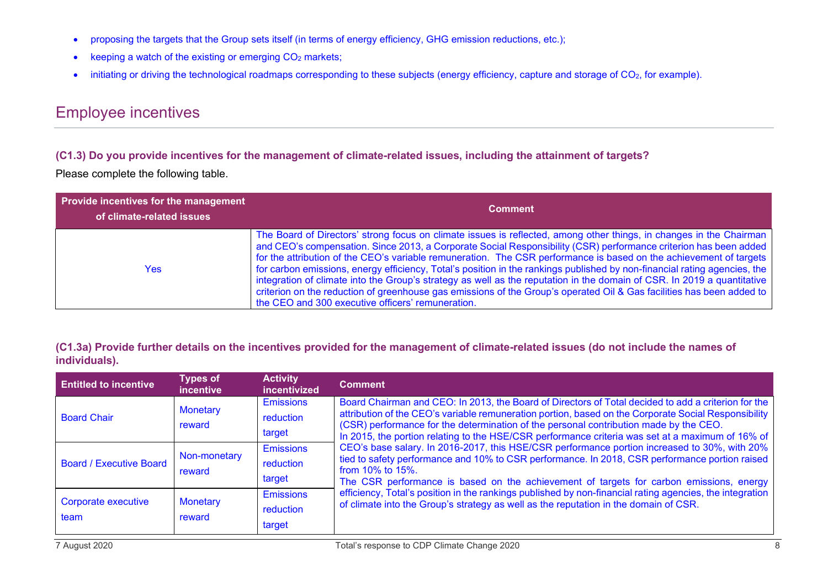- proposing the targets that the Group sets itself (in terms of energy efficiency, GHG emission reductions, etc.);
- keeping a watch of the existing or emerging  $CO<sub>2</sub>$  markets;
- initiating or driving the technological roadmaps corresponding to these subjects (energy efficiency, capture and storage of CO<sub>2</sub>, for example).

## Employee incentives

#### **(C1.3) Do you provide incentives for the management of climate-related issues, including the attainment of targets?**

Please complete the following table.

| <b>Provide incentives for the management</b><br>of climate-related issues | <b>Comment</b>                                                                                                                                                                                                                                                                                                                                                                                                                                                                                                                                                                                                                                                                                                                                                                                      |
|---------------------------------------------------------------------------|-----------------------------------------------------------------------------------------------------------------------------------------------------------------------------------------------------------------------------------------------------------------------------------------------------------------------------------------------------------------------------------------------------------------------------------------------------------------------------------------------------------------------------------------------------------------------------------------------------------------------------------------------------------------------------------------------------------------------------------------------------------------------------------------------------|
| Yes                                                                       | The Board of Directors' strong focus on climate issues is reflected, among other things, in changes in the Chairman<br>and CEO's compensation. Since 2013, a Corporate Social Responsibility (CSR) performance criterion has been added<br>for the attribution of the CEO's variable remuneration. The CSR performance is based on the achievement of targets<br>for carbon emissions, energy efficiency, Total's position in the rankings published by non-financial rating agencies, the<br>integration of climate into the Group's strategy as well as the reputation in the domain of CSR. In 2019 a quantitative<br>criterion on the reduction of greenhouse gas emissions of the Group's operated Oil & Gas facilities has been added to<br>the CEO and 300 executive officers' remuneration. |

#### **(C1.3a) Provide further details on the incentives provided for the management of climate-related issues (do not include the names of individuals).**

| <b>Entitled to incentive</b>   | <b>Types of</b><br><i>incentive</i> | <b>Activity</b><br>incentivized         | <b>Comment</b>                                                                                                                                                                                                                                                                                                                                                                                           |
|--------------------------------|-------------------------------------|-----------------------------------------|----------------------------------------------------------------------------------------------------------------------------------------------------------------------------------------------------------------------------------------------------------------------------------------------------------------------------------------------------------------------------------------------------------|
| <b>Board Chair</b>             | <b>Monetary</b><br>reward           | <b>Emissions</b><br>reduction<br>target | Board Chairman and CEO: In 2013, the Board of Directors of Total decided to add a criterion for the<br>attribution of the CEO's variable remuneration portion, based on the Corporate Social Responsibility<br>(CSR) performance for the determination of the personal contribution made by the CEO.<br>In 2015, the portion relating to the HSE/CSR performance criteria was set at a maximum of 16% of |
| <b>Board / Executive Board</b> | Non-monetary<br>reward              | <b>Emissions</b><br>reduction<br>target | CEO's base salary. In 2016-2017, this HSE/CSR performance portion increased to 30%, with 20%<br>tied to safety performance and 10% to CSR performance. In 2018, CSR performance portion raised<br>from $10\%$ to $15\%$ .<br>The CSR performance is based on the achievement of targets for carbon emissions, energy                                                                                     |
| Corporate executive<br>team    | <b>Monetary</b><br>reward           | <b>Emissions</b><br>reduction<br>target | efficiency, Total's position in the rankings published by non-financial rating agencies, the integration<br>of climate into the Group's strategy as well as the reputation in the domain of CSR.                                                                                                                                                                                                         |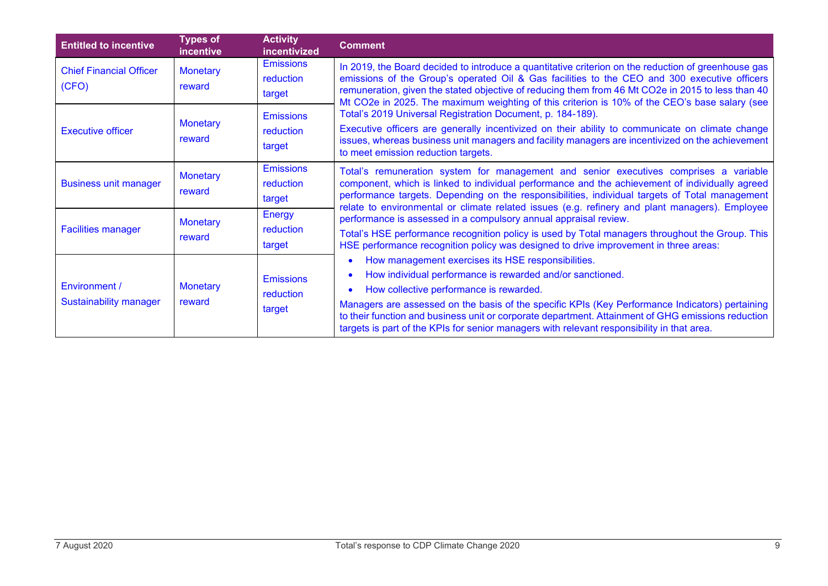| <b>Entitled to incentive</b>                   | <b>Types of</b><br>incentive | <b>Activity</b><br>incentivized         | <b>Comment</b>                                                                                                                                                                                                                                                                                                                                                                                                                                                    |
|------------------------------------------------|------------------------------|-----------------------------------------|-------------------------------------------------------------------------------------------------------------------------------------------------------------------------------------------------------------------------------------------------------------------------------------------------------------------------------------------------------------------------------------------------------------------------------------------------------------------|
| <b>Chief Financial Officer</b><br>(CFO)        | <b>Monetary</b><br>reward    | <b>Emissions</b><br>reduction<br>target | In 2019, the Board decided to introduce a quantitative criterion on the reduction of greenhouse gas<br>emissions of the Group's operated Oil & Gas facilities to the CEO and 300 executive officers<br>remuneration, given the stated objective of reducing them from 46 Mt CO2e in 2015 to less than 40<br>Mt CO2e in 2025. The maximum weighting of this criterion is 10% of the CEO's base salary (see                                                         |
| <b>Executive officer</b>                       | <b>Monetary</b><br>reward    | <b>Emissions</b><br>reduction<br>target | Total's 2019 Universal Registration Document, p. 184-189).<br>Executive officers are generally incentivized on their ability to communicate on climate change<br>issues, whereas business unit managers and facility managers are incentivized on the achievement<br>to meet emission reduction targets.                                                                                                                                                          |
| <b>Business unit manager</b>                   | <b>Monetary</b><br>reward    | <b>Emissions</b><br>reduction<br>target | Total's remuneration system for management and senior executives comprises a variable<br>component, which is linked to individual performance and the achievement of individually agreed<br>performance targets. Depending on the responsibilities, individual targets of Total management<br>relate to environmental or climate related issues (e.g. refinery and plant managers). Employee                                                                      |
| <b>Facilities manager</b>                      | <b>Monetary</b><br>reward    | <b>Energy</b><br>reduction<br>target    | performance is assessed in a compulsory annual appraisal review.<br>Total's HSE performance recognition policy is used by Total managers throughout the Group. This<br>HSE performance recognition policy was designed to drive improvement in three areas:                                                                                                                                                                                                       |
| Environment /<br><b>Sustainability manager</b> | <b>Monetary</b><br>reward    | <b>Emissions</b><br>reduction<br>target | How management exercises its HSE responsibilities.<br>How individual performance is rewarded and/or sanctioned.<br>How collective performance is rewarded.<br>Managers are assessed on the basis of the specific KPIs (Key Performance Indicators) pertaining<br>to their function and business unit or corporate department. Attainment of GHG emissions reduction<br>targets is part of the KPIs for senior managers with relevant responsibility in that area. |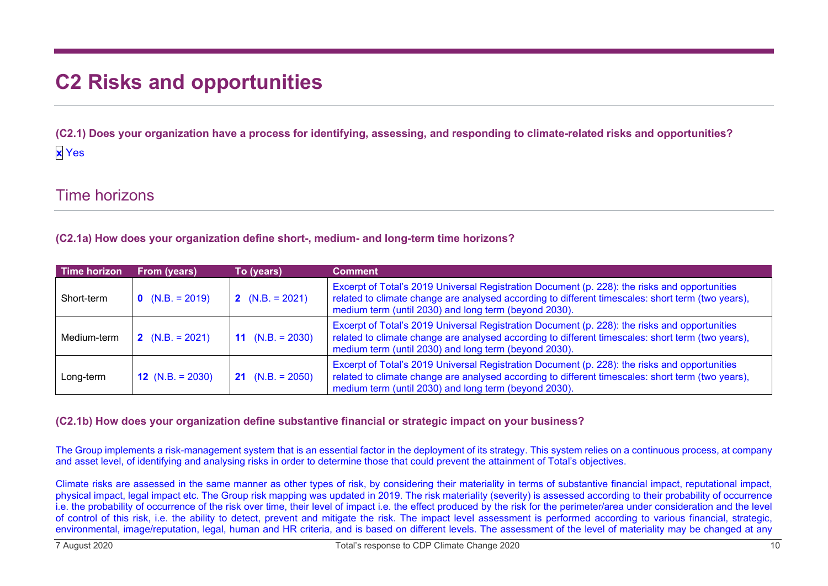# **C2 Risks and opportunities**

**(C2.1) Does your organization have a process for identifying, assessing, and responding to climate-related risks and opportunities? x** Yes

### Time horizons

**(C2.1a) How does your organization define short-, medium- and long-term time horizons?**

| Time horizon | From (years)       | To (years)              | <b>Comment</b>                                                                                                                                                                                                                                              |
|--------------|--------------------|-------------------------|-------------------------------------------------------------------------------------------------------------------------------------------------------------------------------------------------------------------------------------------------------------|
| Short-term   | $0 (N.B. = 2019)$  | 2 $(N.B. = 2021)$       | Excerpt of Total's 2019 Universal Registration Document (p. 228): the risks and opportunities<br>related to climate change are analysed according to different timescales: short term (two years),<br>medium term (until 2030) and long term (beyond 2030). |
| Medium-term  | 2 $(N.B. = 2021)$  | 11 $(N.B. = 2030)$      | Excerpt of Total's 2019 Universal Registration Document (p. 228): the risks and opportunities<br>related to climate change are analysed according to different timescales: short term (two years),<br>medium term (until 2030) and long term (beyond 2030). |
| Long-term    | 12 $(N.B. = 2030)$ | <b>21</b> (N.B. = 2050) | Excerpt of Total's 2019 Universal Registration Document (p. 228): the risks and opportunities<br>related to climate change are analysed according to different timescales: short term (two years),<br>medium term (until 2030) and long term (beyond 2030). |

#### **(C2.1b) How does your organization define substantive financial or strategic impact on your business?**

The Group implements a risk-management system that is an essential factor in the deployment of its strategy. This system relies on a continuous process, at company and asset level, of identifying and analysing risks in order to determine those that could prevent the attainment of Total's objectives.

Climate risks are assessed in the same manner as other types of risk, by considering their materiality in terms of substantive financial impact, reputational impact, physical impact, legal impact etc. The Group risk mapping was updated in 2019. The risk materiality (severity) is assessed according to their probability of occurrence i.e. the probability of occurrence of the risk over time, their level of impact i.e. the effect produced by the risk for the perimeter/area under consideration and the level of control of this risk, i.e. the ability to detect, prevent and mitigate the risk. The impact level assessment is performed according to various financial, strategic, environmental, image/reputation, legal, human and HR criteria, and is based on different levels. The assessment of the level of materiality may be changed at any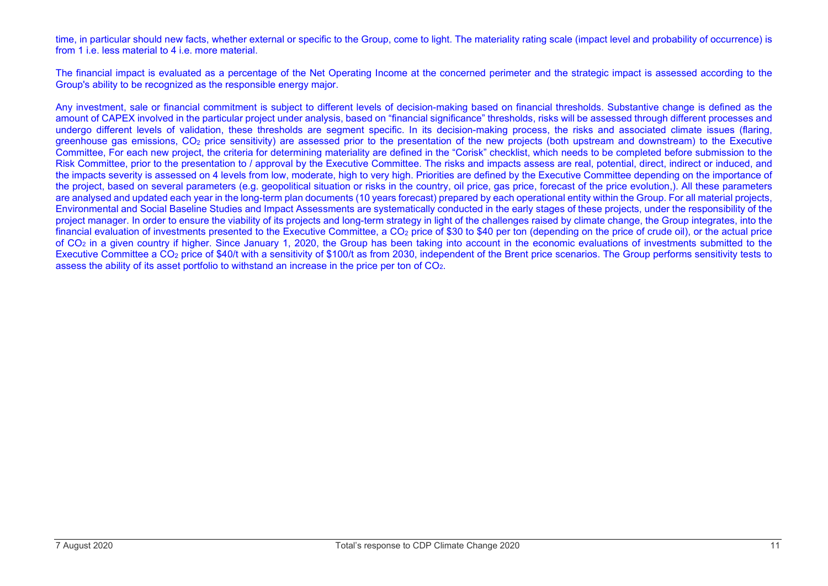time, in particular should new facts, whether external or specific to the Group, come to light. The materiality rating scale (impact level and probability of occurrence) is from 1 i.e. less material to 4 i.e. more material.

The financial impact is evaluated as a percentage of the Net Operating Income at the concerned perimeter and the strategic impact is assessed according to the Group's ability to be recognized as the responsible energy major.

Any investment, sale or financial commitment is subject to different levels of decision-making based on financial thresholds. Substantive change is defined as the amount of CAPEX involved in the particular project under analysis, based on "financial significance" thresholds, risks will be assessed through different processes and undergo different levels of validation, these thresholds are segment specific. In its decision-making process, the risks and associated climate issues (flaring, greenhouse gas emissions, CO2 price sensitivity) are assessed prior to the presentation of the new projects (both upstream and downstream) to the Executive Committee, For each new project, the criteria for determining materiality are defined in the "Corisk" checklist, which needs to be completed before submission to the Risk Committee, prior to the presentation to / approval by the Executive Committee. The risks and impacts assess are real, potential, direct, indirect or induced, and the impacts severity is assessed on 4 levels from low, moderate, high to very high. Priorities are defined by the Executive Committee depending on the importance of the project, based on several parameters (e.g. geopolitical situation or risks in the country, oil price, gas price, forecast of the price evolution,). All these parameters are analysed and updated each year in the long-term plan documents (10 years forecast) prepared by each operational entity within the Group. For all material projects, Environmental and Social Baseline Studies and Impact Assessments are systematically conducted in the early stages of these projects, under the responsibility of the project manager. In order to ensure the viability of its projects and long-term strategy in light of the challenges raised by climate change, the Group integrates, into the financial evaluation of investments presented to the Executive Committee, a CO<sub>2</sub> price of \$30 to \$40 per ton (depending on the price of crude oil), or the actual price of CO2 in a given country if higher. Since January 1, 2020, the Group has been taking into account in the economic evaluations of investments submitted to the Executive Committee a CO<sub>2</sub> price of \$40/t with a sensitivity of \$100/t as from 2030, independent of the Brent price scenarios. The Group performs sensitivity tests to assess the ability of its asset portfolio to withstand an increase in the price per ton of  $CO<sub>2</sub>$ .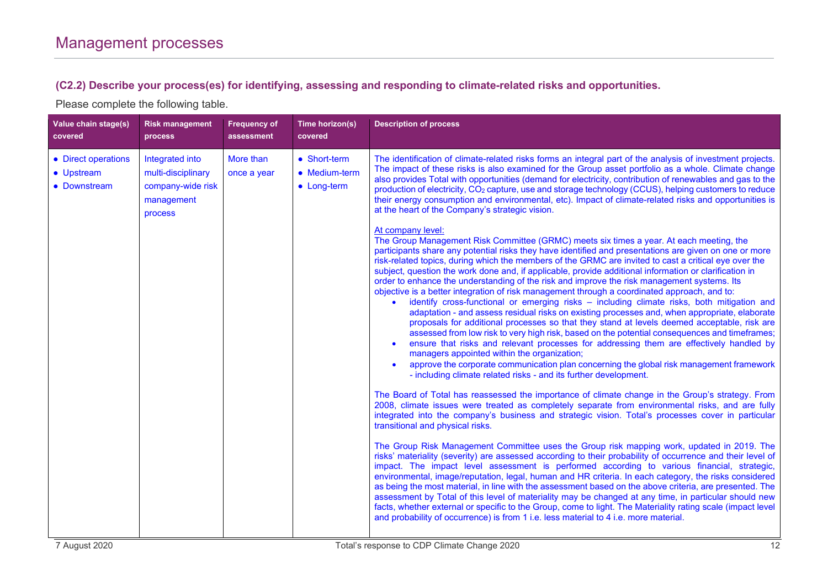#### **(C2.2) Describe your process(es) for identifying, assessing and responding to climate-related risks and opportunities.**

| Value chain stage(s)<br>covered                   | <b>Risk management</b><br><b>process</b>                                            | <b>Frequency of</b><br>assessment | Time horizon(s)<br>covered                   | <b>Description of process</b>                                                                                                                                                                                                                                                                                                                                                                                                                                                                                                                                                                                                                                                                                                                                                                                                                                                                                                                                                                                                                                                                                                                                                                                                                                                                                                                                  |
|---------------------------------------------------|-------------------------------------------------------------------------------------|-----------------------------------|----------------------------------------------|----------------------------------------------------------------------------------------------------------------------------------------------------------------------------------------------------------------------------------------------------------------------------------------------------------------------------------------------------------------------------------------------------------------------------------------------------------------------------------------------------------------------------------------------------------------------------------------------------------------------------------------------------------------------------------------------------------------------------------------------------------------------------------------------------------------------------------------------------------------------------------------------------------------------------------------------------------------------------------------------------------------------------------------------------------------------------------------------------------------------------------------------------------------------------------------------------------------------------------------------------------------------------------------------------------------------------------------------------------------|
| • Direct operations<br>• Upstream<br>• Downstream | Integrated into<br>multi-disciplinary<br>company-wide risk<br>management<br>process | More than<br>once a year          | • Short-term<br>• Medium-term<br>• Long-term | The identification of climate-related risks forms an integral part of the analysis of investment projects.<br>The impact of these risks is also examined for the Group asset portfolio as a whole. Climate change<br>also provides Total with opportunities (demand for electricity, contribution of renewables and gas to the<br>production of electricity, CO <sub>2</sub> capture, use and storage technology (CCUS), helping customers to reduce<br>their energy consumption and environmental, etc). Impact of climate-related risks and opportunities is<br>at the heart of the Company's strategic vision.                                                                                                                                                                                                                                                                                                                                                                                                                                                                                                                                                                                                                                                                                                                                              |
|                                                   |                                                                                     |                                   |                                              | At company level:<br>The Group Management Risk Committee (GRMC) meets six times a year. At each meeting, the<br>participants share any potential risks they have identified and presentations are given on one or more<br>risk-related topics, during which the members of the GRMC are invited to cast a critical eye over the<br>subject, question the work done and, if applicable, provide additional information or clarification in<br>order to enhance the understanding of the risk and improve the risk management systems. Its<br>objective is a better integration of risk management through a coordinated approach, and to:<br>identify cross-functional or emerging risks - including climate risks, both mitigation and<br>$\bullet$<br>adaptation - and assess residual risks on existing processes and, when appropriate, elaborate<br>proposals for additional processes so that they stand at levels deemed acceptable, risk are<br>assessed from low risk to very high risk, based on the potential consequences and timeframes;<br>ensure that risks and relevant processes for addressing them are effectively handled by<br>managers appointed within the organization;<br>approve the corporate communication plan concerning the global risk management framework<br>- including climate related risks - and its further development. |
|                                                   |                                                                                     |                                   |                                              | The Board of Total has reassessed the importance of climate change in the Group's strategy. From<br>2008, climate issues were treated as completely separate from environmental risks, and are fully<br>integrated into the company's business and strategic vision. Total's processes cover in particular<br>transitional and physical risks.                                                                                                                                                                                                                                                                                                                                                                                                                                                                                                                                                                                                                                                                                                                                                                                                                                                                                                                                                                                                                 |
|                                                   |                                                                                     |                                   |                                              | The Group Risk Management Committee uses the Group risk mapping work, updated in 2019. The<br>risks' materiality (severity) are assessed according to their probability of occurrence and their level of<br>impact. The impact level assessment is performed according to various financial, strategic,<br>environmental, image/reputation, legal, human and HR criteria. In each category, the risks considered<br>as being the most material, in line with the assessment based on the above criteria, are presented. The<br>assessment by Total of this level of materiality may be changed at any time, in particular should new<br>facts, whether external or specific to the Group, come to light. The Materiality rating scale (impact level<br>and probability of occurrence) is from 1 i.e. less material to 4 i.e. more material.                                                                                                                                                                                                                                                                                                                                                                                                                                                                                                                    |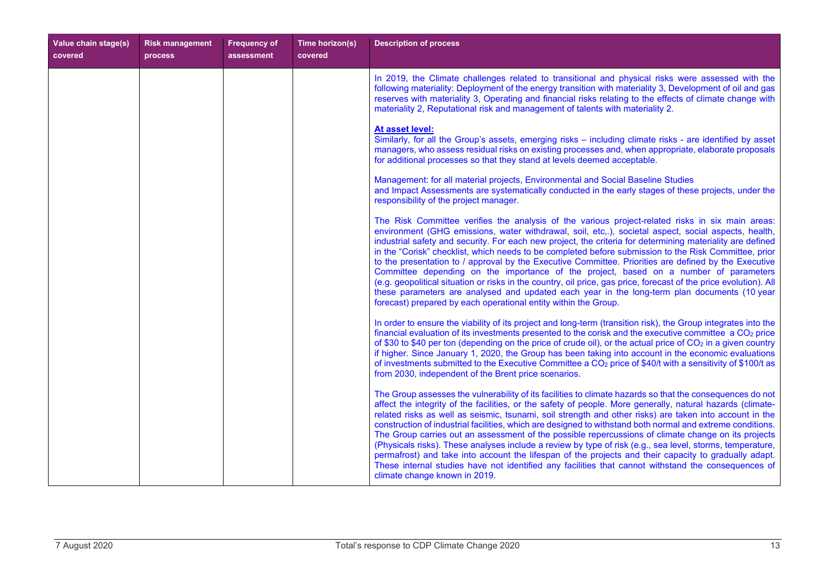| Value chain stage(s)<br>covered | <b>Risk management</b><br>process | <b>Frequency of</b><br>assessment | Time horizon(s)<br>covered | <b>Description of process</b>                                                                                                                                                                                                                                                                                                                                                                                                                                                                                                                                                                                                                                                                                                                                                                                                                                                                                             |
|---------------------------------|-----------------------------------|-----------------------------------|----------------------------|---------------------------------------------------------------------------------------------------------------------------------------------------------------------------------------------------------------------------------------------------------------------------------------------------------------------------------------------------------------------------------------------------------------------------------------------------------------------------------------------------------------------------------------------------------------------------------------------------------------------------------------------------------------------------------------------------------------------------------------------------------------------------------------------------------------------------------------------------------------------------------------------------------------------------|
|                                 |                                   |                                   |                            | In 2019, the Climate challenges related to transitional and physical risks were assessed with the<br>following materiality: Deployment of the energy transition with materiality 3, Development of oil and gas<br>reserves with materiality 3, Operating and financial risks relating to the effects of climate change with<br>materiality 2, Reputational risk and management of talents with materiality 2.                                                                                                                                                                                                                                                                                                                                                                                                                                                                                                             |
|                                 |                                   |                                   |                            | At asset level:<br>Similarly, for all the Group's assets, emerging risks – including climate risks - are identified by asset<br>managers, who assess residual risks on existing processes and, when appropriate, elaborate proposals<br>for additional processes so that they stand at levels deemed acceptable.                                                                                                                                                                                                                                                                                                                                                                                                                                                                                                                                                                                                          |
|                                 |                                   |                                   |                            | Management: for all material projects, Environmental and Social Baseline Studies<br>and Impact Assessments are systematically conducted in the early stages of these projects, under the<br>responsibility of the project manager.                                                                                                                                                                                                                                                                                                                                                                                                                                                                                                                                                                                                                                                                                        |
|                                 |                                   |                                   |                            | The Risk Committee verifies the analysis of the various project-related risks in six main areas:<br>environment (GHG emissions, water withdrawal, soil, etc,.), societal aspect, social aspects, health,<br>industrial safety and security. For each new project, the criteria for determining materiality are defined<br>in the "Corisk" checklist, which needs to be completed before submission to the Risk Committee, prior<br>to the presentation to / approval by the Executive Committee. Priorities are defined by the Executive<br>Committee depending on the importance of the project, based on a number of parameters<br>(e.g. geopolitical situation or risks in the country, oil price, gas price, forecast of the price evolution). All<br>these parameters are analysed and updated each year in the long-term plan documents (10 year<br>forecast) prepared by each operational entity within the Group. |
|                                 |                                   |                                   |                            | In order to ensure the viability of its project and long-term (transition risk), the Group integrates into the<br>financial evaluation of its investments presented to the corisk and the executive committee $a CO2$ price<br>of \$30 to \$40 per ton (depending on the price of crude oil), or the actual price of $CO2$ in a given country<br>if higher. Since January 1, 2020, the Group has been taking into account in the economic evaluations<br>of investments submitted to the Executive Committee a CO <sub>2</sub> price of \$40/t with a sensitivity of \$100/t as<br>from 2030, independent of the Brent price scenarios.                                                                                                                                                                                                                                                                                   |
|                                 |                                   |                                   |                            | The Group assesses the vulnerability of its facilities to climate hazards so that the consequences do not<br>affect the integrity of the facilities, or the safety of people. More generally, natural hazards (climate-<br>related risks as well as seismic, tsunami, soil strength and other risks) are taken into account in the<br>construction of industrial facilities, which are designed to withstand both normal and extreme conditions.<br>The Group carries out an assessment of the possible repercussions of climate change on its projects<br>(Physicals risks). These analyses include a review by type of risk (e.g., sea level, storms, temperature,<br>permafrost) and take into account the lifespan of the projects and their capacity to gradually adapt.<br>These internal studies have not identified any facilities that cannot withstand the consequences of<br>climate change known in 2019.     |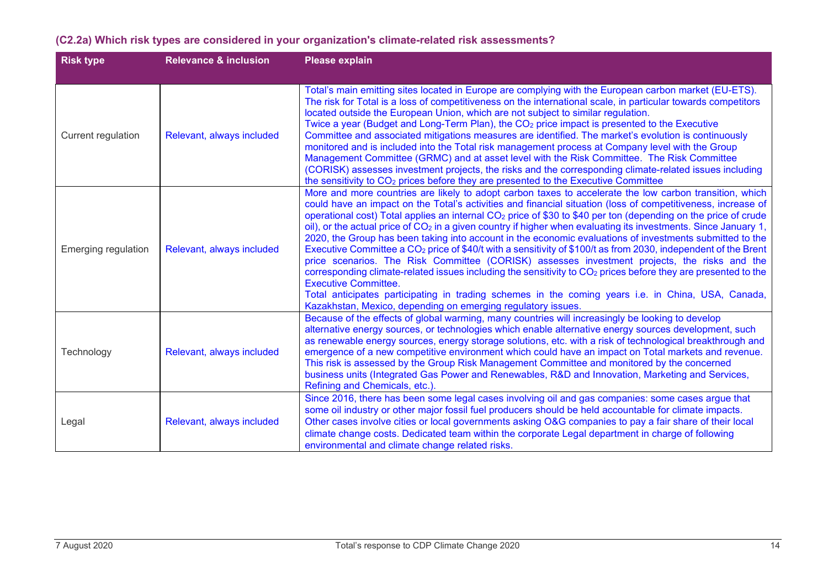| <b>Risk type</b>           | <b>Relevance &amp; inclusion</b> | <b>Please explain</b>                                                                                                                                                                                                                                                                                                                                                                                                                                                                                                                                                                                                                                                                                                                                                                                                                                                                                                                                                                                                                                                                                                                                  |
|----------------------------|----------------------------------|--------------------------------------------------------------------------------------------------------------------------------------------------------------------------------------------------------------------------------------------------------------------------------------------------------------------------------------------------------------------------------------------------------------------------------------------------------------------------------------------------------------------------------------------------------------------------------------------------------------------------------------------------------------------------------------------------------------------------------------------------------------------------------------------------------------------------------------------------------------------------------------------------------------------------------------------------------------------------------------------------------------------------------------------------------------------------------------------------------------------------------------------------------|
| Current regulation         | Relevant, always included        | Total's main emitting sites located in Europe are complying with the European carbon market (EU-ETS).<br>The risk for Total is a loss of competitiveness on the international scale, in particular towards competitors<br>located outside the European Union, which are not subject to similar regulation.<br>Twice a year (Budget and Long-Term Plan), the CO <sub>2</sub> price impact is presented to the Executive<br>Committee and associated mitigations measures are identified. The market's evolution is continuously<br>monitored and is included into the Total risk management process at Company level with the Group<br>Management Committee (GRMC) and at asset level with the Risk Committee. The Risk Committee<br>(CORISK) assesses investment projects, the risks and the corresponding climate-related issues including<br>the sensitivity to CO <sub>2</sub> prices before they are presented to the Executive Committee                                                                                                                                                                                                          |
| <b>Emerging regulation</b> | Relevant, always included        | More and more countries are likely to adopt carbon taxes to accelerate the low carbon transition, which<br>could have an impact on the Total's activities and financial situation (loss of competitiveness, increase of<br>operational cost) Total applies an internal CO <sub>2</sub> price of \$30 to \$40 per ton (depending on the price of crude<br>oil), or the actual price of CO <sub>2</sub> in a given country if higher when evaluating its investments. Since January 1,<br>2020, the Group has been taking into account in the economic evaluations of investments submitted to the<br>Executive Committee a $CO2$ price of \$40/t with a sensitivity of \$100/t as from 2030, independent of the Brent<br>price scenarios. The Risk Committee (CORISK) assesses investment projects, the risks and the<br>corresponding climate-related issues including the sensitivity to CO <sub>2</sub> prices before they are presented to the<br><b>Executive Committee.</b><br>Total anticipates participating in trading schemes in the coming years i.e. in China, USA, Canada,<br>Kazakhstan, Mexico, depending on emerging regulatory issues. |
| Technology                 | Relevant, always included        | Because of the effects of global warming, many countries will increasingly be looking to develop<br>alternative energy sources, or technologies which enable alternative energy sources development, such<br>as renewable energy sources, energy storage solutions, etc. with a risk of technological breakthrough and<br>emergence of a new competitive environment which could have an impact on Total markets and revenue.<br>This risk is assessed by the Group Risk Management Committee and monitored by the concerned<br>business units (Integrated Gas Power and Renewables, R&D and Innovation, Marketing and Services,<br>Refining and Chemicals, etc.).                                                                                                                                                                                                                                                                                                                                                                                                                                                                                     |
| Legal                      | Relevant, always included        | Since 2016, there has been some legal cases involving oil and gas companies: some cases argue that<br>some oil industry or other major fossil fuel producers should be held accountable for climate impacts.<br>Other cases involve cities or local governments asking O&G companies to pay a fair share of their local<br>climate change costs. Dedicated team within the corporate Legal department in charge of following<br>environmental and climate change related risks.                                                                                                                                                                                                                                                                                                                                                                                                                                                                                                                                                                                                                                                                        |

#### **(C2.2a) Which risk types are considered in your organization's climate-related risk assessments?**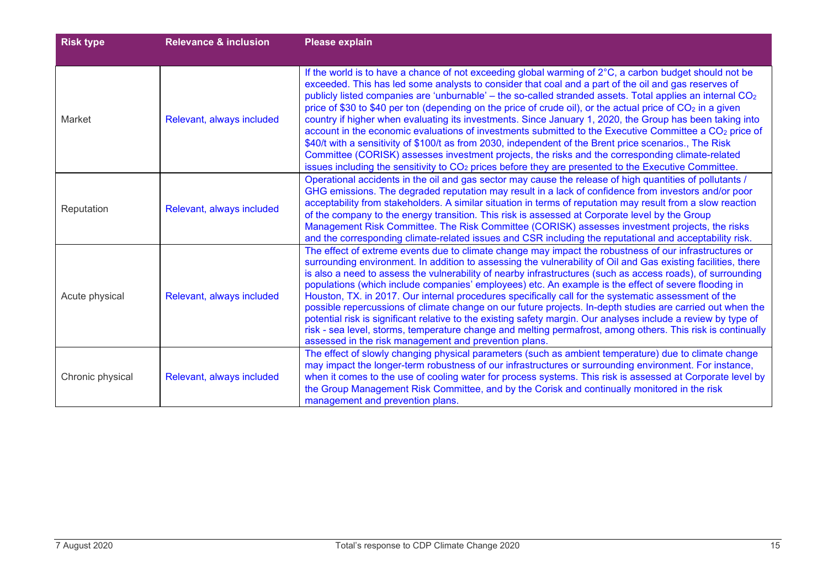| <b>Risk type</b> | <b>Relevance &amp; inclusion</b> | Please explain                                                                                                                                                                                                                                                                                                                                                                                                                                                                                                                                                                                                                                                                                                                                                                                                                                                                                                                                                                                                    |
|------------------|----------------------------------|-------------------------------------------------------------------------------------------------------------------------------------------------------------------------------------------------------------------------------------------------------------------------------------------------------------------------------------------------------------------------------------------------------------------------------------------------------------------------------------------------------------------------------------------------------------------------------------------------------------------------------------------------------------------------------------------------------------------------------------------------------------------------------------------------------------------------------------------------------------------------------------------------------------------------------------------------------------------------------------------------------------------|
| Market           | Relevant, always included        | If the world is to have a chance of not exceeding global warming of 2°C, a carbon budget should not be<br>exceeded. This has led some analysts to consider that coal and a part of the oil and gas reserves of<br>publicly listed companies are 'unburnable' - the so-called stranded assets. Total applies an internal CO <sub>2</sub><br>price of \$30 to \$40 per ton (depending on the price of crude oil), or the actual price of $CO2$ in a given<br>country if higher when evaluating its investments. Since January 1, 2020, the Group has been taking into<br>account in the economic evaluations of investments submitted to the Executive Committee a CO <sub>2</sub> price of<br>\$40/t with a sensitivity of \$100/t as from 2030, independent of the Brent price scenarios., The Risk<br>Committee (CORISK) assesses investment projects, the risks and the corresponding climate-related<br>issues including the sensitivity to $CO2$ prices before they are presented to the Executive Committee. |
| Reputation       | Relevant, always included        | Operational accidents in the oil and gas sector may cause the release of high quantities of pollutants /<br>GHG emissions. The degraded reputation may result in a lack of confidence from investors and/or poor<br>acceptability from stakeholders. A similar situation in terms of reputation may result from a slow reaction<br>of the company to the energy transition. This risk is assessed at Corporate level by the Group<br>Management Risk Committee. The Risk Committee (CORISK) assesses investment projects, the risks<br>and the corresponding climate-related issues and CSR including the reputational and acceptability risk.                                                                                                                                                                                                                                                                                                                                                                    |
| Acute physical   | Relevant, always included        | The effect of extreme events due to climate change may impact the robustness of our infrastructures or<br>surrounding environment. In addition to assessing the vulnerability of Oil and Gas existing facilities, there<br>is also a need to assess the vulnerability of nearby infrastructures (such as access roads), of surrounding<br>populations (which include companies' employees) etc. An example is the effect of severe flooding in<br>Houston, TX. in 2017. Our internal procedures specifically call for the systematic assessment of the<br>possible repercussions of climate change on our future projects. In-depth studies are carried out when the<br>potential risk is significant relative to the existing safety margin. Our analyses include a review by type of<br>risk - sea level, storms, temperature change and melting permafrost, among others. This risk is continually<br>assessed in the risk management and prevention plans.                                                    |
| Chronic physical | Relevant, always included        | The effect of slowly changing physical parameters (such as ambient temperature) due to climate change<br>may impact the longer-term robustness of our infrastructures or surrounding environment. For instance,<br>when it comes to the use of cooling water for process systems. This risk is assessed at Corporate level by<br>the Group Management Risk Committee, and by the Corisk and continually monitored in the risk<br>management and prevention plans.                                                                                                                                                                                                                                                                                                                                                                                                                                                                                                                                                 |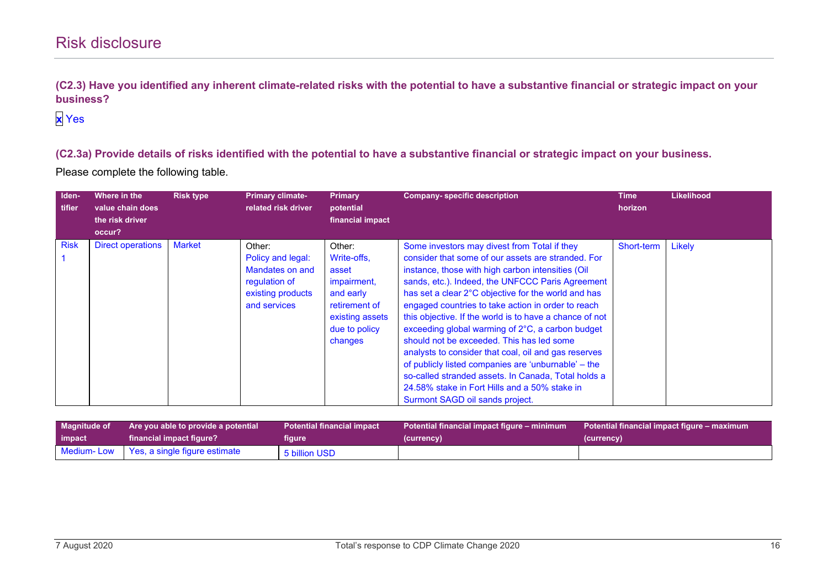**(C2.3) Have you identified any inherent climate-related risks with the potential to have a substantive financial or strategic impact on your business?**

## **x** Yes

**(C2.3a) Provide details of risks identified with the potential to have a substantive financial or strategic impact on your business.**

| Iden-<br>tifier | Where in the<br>value chain does<br>the risk driver<br>occur? | <b>Risk type</b> | <b>Primary climate-</b><br>related risk driver                                                       | <b>Primary</b><br>potential<br>financial impact                                                                            | <b>Company-specific description</b>                                                                                                                                                                                                                                                                                                                                                                                                                                                                                                                                                                                                                                                                                                            | <b>Time</b><br>horizon | <b>Likelihood</b> |
|-----------------|---------------------------------------------------------------|------------------|------------------------------------------------------------------------------------------------------|----------------------------------------------------------------------------------------------------------------------------|------------------------------------------------------------------------------------------------------------------------------------------------------------------------------------------------------------------------------------------------------------------------------------------------------------------------------------------------------------------------------------------------------------------------------------------------------------------------------------------------------------------------------------------------------------------------------------------------------------------------------------------------------------------------------------------------------------------------------------------------|------------------------|-------------------|
| <b>Risk</b>     | <b>Direct operations</b>                                      | <b>Market</b>    | Other:<br>Policy and legal:<br>Mandates on and<br>regulation of<br>existing products<br>and services | Other:<br>Write-offs,<br>asset<br>impairment,<br>and early<br>retirement of<br>existing assets<br>due to policy<br>changes | Some investors may divest from Total if they<br>consider that some of our assets are stranded. For<br>instance, those with high carbon intensities (Oil<br>sands, etc.). Indeed, the UNFCCC Paris Agreement<br>has set a clear 2°C objective for the world and has<br>engaged countries to take action in order to reach<br>this objective. If the world is to have a chance of not<br>exceeding global warming of 2°C, a carbon budget<br>should not be exceeded. This has led some<br>analysts to consider that coal, oil and gas reserves<br>of publicly listed companies are 'unburnable' - the<br>so-called stranded assets. In Canada, Total holds a<br>24.58% stake in Fort Hills and a 50% stake in<br>Surmont SAGD oil sands project. | Short-term             | Likely            |

| <b>Magnitude of</b> | Are you able to provide a potential      | <b>Potential financial impact</b> | Potential financial impact figure – minimum | Potential financial impact figure – maximum |  |
|---------------------|------------------------------------------|-----------------------------------|---------------------------------------------|---------------------------------------------|--|
| impact              | financial impact figure?                 | figure                            | (currency)                                  | (currency)                                  |  |
|                     | Medium-Low Yes, a single figure estimate | 5 billion USD                     |                                             |                                             |  |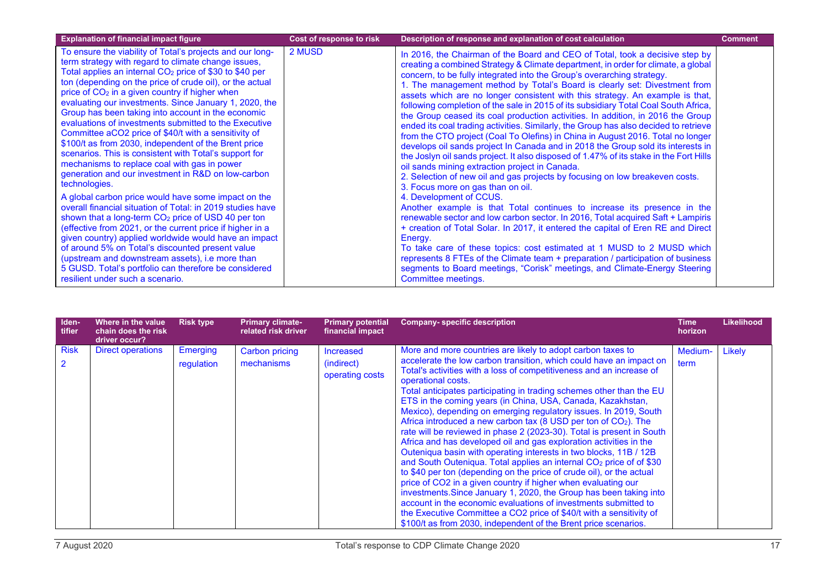| <b>Explanation of financial impact figure</b>                                                                                                                                                                                                                                                                                                                                                                                                                                                                                                                                                                                                                                                                                                                                                                                                                                                                                                                                                                                                                                                                                                                                                                                                                                                      | Cost of response to risk | Description of response and explanation of cost calculation                                                                                                                                                                                                                                                                                                                                                                                                                                                                                                                                                                                                                                                                                                                                                                                                                                                                                                                                                                                                                                                                                                                                                                                                                                                                                                                                                                                                                                                                                                                                                                                                                   | <b>Comment</b> |
|----------------------------------------------------------------------------------------------------------------------------------------------------------------------------------------------------------------------------------------------------------------------------------------------------------------------------------------------------------------------------------------------------------------------------------------------------------------------------------------------------------------------------------------------------------------------------------------------------------------------------------------------------------------------------------------------------------------------------------------------------------------------------------------------------------------------------------------------------------------------------------------------------------------------------------------------------------------------------------------------------------------------------------------------------------------------------------------------------------------------------------------------------------------------------------------------------------------------------------------------------------------------------------------------------|--------------------------|-------------------------------------------------------------------------------------------------------------------------------------------------------------------------------------------------------------------------------------------------------------------------------------------------------------------------------------------------------------------------------------------------------------------------------------------------------------------------------------------------------------------------------------------------------------------------------------------------------------------------------------------------------------------------------------------------------------------------------------------------------------------------------------------------------------------------------------------------------------------------------------------------------------------------------------------------------------------------------------------------------------------------------------------------------------------------------------------------------------------------------------------------------------------------------------------------------------------------------------------------------------------------------------------------------------------------------------------------------------------------------------------------------------------------------------------------------------------------------------------------------------------------------------------------------------------------------------------------------------------------------------------------------------------------------|----------------|
| To ensure the viability of Total's projects and our long-<br>term strategy with regard to climate change issues,<br>Total applies an internal CO <sub>2</sub> price of \$30 to \$40 per<br>ton (depending on the price of crude oil), or the actual<br>price of CO <sub>2</sub> in a given country if higher when<br>evaluating our investments. Since January 1, 2020, the<br>Group has been taking into account in the economic<br>evaluations of investments submitted to the Executive<br>Committee aCO2 price of \$40/t with a sensitivity of<br>\$100/t as from 2030, independent of the Brent price<br>scenarios. This is consistent with Total's support for<br>mechanisms to replace coal with gas in power<br>generation and our investment in R&D on low-carbon<br>technologies.<br>A global carbon price would have some impact on the<br>overall financial situation of Total: in 2019 studies have<br>shown that a long-term $CO2$ price of USD 40 per ton<br>(effective from 2021, or the current price if higher in a<br>given country) applied worldwide would have an impact<br>of around 5% on Total's discounted present value<br>(upstream and downstream assets), i.e more than<br>5 GUSD. Total's portfolio can therefore be considered<br>resilient under such a scenario. | 2 MUSD                   | In 2016, the Chairman of the Board and CEO of Total, took a decisive step by<br>creating a combined Strategy & Climate department, in order for climate, a global<br>concern, to be fully integrated into the Group's overarching strategy.<br>1. The management method by Total's Board is clearly set: Divestment from<br>assets which are no longer consistent with this strategy. An example is that,<br>following completion of the sale in 2015 of its subsidiary Total Coal South Africa,<br>the Group ceased its coal production activities. In addition, in 2016 the Group<br>ended its coal trading activities. Similarly, the Group has also decided to retrieve<br>from the CTO project (Coal To Olefins) in China in August 2016. Total no longer<br>develops oil sands project In Canada and in 2018 the Group sold its interests in<br>the Joslyn oil sands project. It also disposed of 1.47% of its stake in the Fort Hills<br>oil sands mining extraction project in Canada.<br>2. Selection of new oil and gas projects by focusing on low breakeven costs.<br>3. Focus more on gas than on oil.<br>4. Development of CCUS.<br>Another example is that Total continues to increase its presence in the<br>renewable sector and low carbon sector. In 2016, Total acquired Saft + Lampiris<br>+ creation of Total Solar. In 2017, it entered the capital of Eren RE and Direct<br>Energy.<br>To take care of these topics: cost estimated at 1 MUSD to 2 MUSD which<br>represents 8 FTEs of the Climate team + preparation / participation of business<br>segments to Board meetings, "Corisk" meetings, and Climate-Energy Steering<br>Committee meetings. |                |

| Iden-<br>tifier               | Where in the value<br>chain does the risk<br>driver occur? | <b>Risk type</b>       | <b>Primary climate-</b><br>related risk driver | <b>Primary potential</b><br>financial impact      | <b>Company-specific description</b>                                                                                                                                                                                                                                                                                                                                                                                                                                                                                                                                                                                                                                                                                                                                                                                                                                                                                                                                                                                                                                                                                                                                                                                                              | Time<br>horizon | <b>Likelihood</b> |
|-------------------------------|------------------------------------------------------------|------------------------|------------------------------------------------|---------------------------------------------------|--------------------------------------------------------------------------------------------------------------------------------------------------------------------------------------------------------------------------------------------------------------------------------------------------------------------------------------------------------------------------------------------------------------------------------------------------------------------------------------------------------------------------------------------------------------------------------------------------------------------------------------------------------------------------------------------------------------------------------------------------------------------------------------------------------------------------------------------------------------------------------------------------------------------------------------------------------------------------------------------------------------------------------------------------------------------------------------------------------------------------------------------------------------------------------------------------------------------------------------------------|-----------------|-------------------|
| <b>Risk</b><br>$\overline{2}$ | <b>Direct operations</b>                                   | Emerging<br>regulation | <b>Carbon pricing</b><br>mechanisms            | <b>Increased</b><br>(indirect)<br>operating costs | More and more countries are likely to adopt carbon taxes to<br>accelerate the low carbon transition, which could have an impact on<br>Total's activities with a loss of competitiveness and an increase of<br>operational costs.<br>Total anticipates participating in trading schemes other than the EU<br>ETS in the coming years (in China, USA, Canada, Kazakhstan,<br>Mexico), depending on emerging regulatory issues. In 2019, South<br>Africa introduced a new carbon tax (8 USD per ton of CO2). The<br>rate will be reviewed in phase 2 (2023-30). Total is present in South<br>Africa and has developed oil and gas exploration activities in the<br>Outeniqua basin with operating interests in two blocks, 11B / 12B<br>and South Outeniqua. Total applies an internal CO <sub>2</sub> price of of \$30<br>to \$40 per ton (depending on the price of crude oil), or the actual<br>price of CO2 in a given country if higher when evaluating our<br>investments. Since January 1, 2020, the Group has been taking into<br>account in the economic evaluations of investments submitted to<br>the Executive Committee a CO2 price of \$40/t with a sensitivity of<br>\$100/t as from 2030, independent of the Brent price scenarios. | Medium-<br>term | Likely            |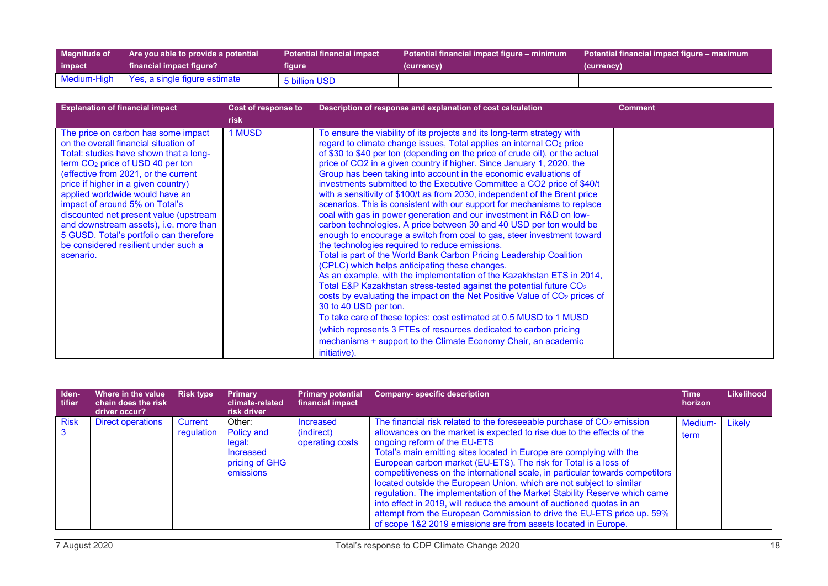| <b>Magnitude of</b> | Are you able to provide a potential       | <b>Potential financial impact</b> | Potential financial impact figure – minimum | Potential financial impact figure – maximum |
|---------------------|-------------------------------------------|-----------------------------------|---------------------------------------------|---------------------------------------------|
| impact              | financial impact figure?                  | figure                            | (currency)                                  | (currency)                                  |
|                     | Medium-High Yes, a single figure estimate | 5 billion USD                     |                                             |                                             |

| <b>Explanation of financial impact</b>                                                                                                                                                                                                                                                                                                                                                                                                                                                                         | Cost of response to | Description of response and explanation of cost calculation                                                                                                                                                                                                                                                                                                                                                                                                                                                                                                                                                                                                                                                                                                                                                                                                                                                                                                                                                                                                                                                                                                                                                                                                                                                                                                                                                                                                                                                                                 | <b>Comment</b> |
|----------------------------------------------------------------------------------------------------------------------------------------------------------------------------------------------------------------------------------------------------------------------------------------------------------------------------------------------------------------------------------------------------------------------------------------------------------------------------------------------------------------|---------------------|---------------------------------------------------------------------------------------------------------------------------------------------------------------------------------------------------------------------------------------------------------------------------------------------------------------------------------------------------------------------------------------------------------------------------------------------------------------------------------------------------------------------------------------------------------------------------------------------------------------------------------------------------------------------------------------------------------------------------------------------------------------------------------------------------------------------------------------------------------------------------------------------------------------------------------------------------------------------------------------------------------------------------------------------------------------------------------------------------------------------------------------------------------------------------------------------------------------------------------------------------------------------------------------------------------------------------------------------------------------------------------------------------------------------------------------------------------------------------------------------------------------------------------------------|----------------|
|                                                                                                                                                                                                                                                                                                                                                                                                                                                                                                                | risk                |                                                                                                                                                                                                                                                                                                                                                                                                                                                                                                                                                                                                                                                                                                                                                                                                                                                                                                                                                                                                                                                                                                                                                                                                                                                                                                                                                                                                                                                                                                                                             |                |
| The price on carbon has some impact<br>on the overall financial situation of<br>Total: studies have shown that a long-<br>term CO <sub>2</sub> price of USD 40 per ton<br>(effective from 2021, or the current<br>price if higher in a given country)<br>applied worldwide would have an<br>impact of around 5% on Total's<br>discounted net present value (upstream<br>and downstream assets), i.e. more than<br>5 GUSD. Total's portfolio can therefore<br>be considered resilient under such a<br>scenario. | 1 MUSD              | To ensure the viability of its projects and its long-term strategy with<br>regard to climate change issues, Total applies an internal CO <sub>2</sub> price<br>of \$30 to \$40 per ton (depending on the price of crude oil), or the actual<br>price of CO2 in a given country if higher. Since January 1, 2020, the<br>Group has been taking into account in the economic evaluations of<br>investments submitted to the Executive Committee a CO2 price of \$40/t<br>with a sensitivity of \$100/t as from 2030, independent of the Brent price<br>scenarios. This is consistent with our support for mechanisms to replace<br>coal with gas in power generation and our investment in R&D on low-<br>carbon technologies. A price between 30 and 40 USD per ton would be<br>enough to encourage a switch from coal to gas, steer investment toward<br>the technologies required to reduce emissions.<br>Total is part of the World Bank Carbon Pricing Leadership Coalition<br>(CPLC) which helps anticipating these changes.<br>As an example, with the implementation of the Kazakhstan ETS in 2014,<br>Total E&P Kazakhstan stress-tested against the potential future CO <sub>2</sub><br>costs by evaluating the impact on the Net Positive Value of CO <sub>2</sub> prices of<br>30 to 40 USD per ton.<br>To take care of these topics: cost estimated at 0.5 MUSD to 1 MUSD<br>(which represents 3 FTEs of resources dedicated to carbon pricing<br>mechanisms + support to the Climate Economy Chair, an academic<br>initiative). |                |

| Iden-<br>tifier | Where in the value<br>chain does the risk<br>driver occur? | <b>Risk type</b>             | Primary<br>climate-related<br>risk driver                                  | <b>Primary potential</b><br>financial impact | <b>Company-specific description</b>                                                                                                                                                                                                                                                                                                                                                                                                                                                                                                                                                                                                                                                                                                                                                                 | Time<br>horizon | Likelihood |
|-----------------|------------------------------------------------------------|------------------------------|----------------------------------------------------------------------------|----------------------------------------------|-----------------------------------------------------------------------------------------------------------------------------------------------------------------------------------------------------------------------------------------------------------------------------------------------------------------------------------------------------------------------------------------------------------------------------------------------------------------------------------------------------------------------------------------------------------------------------------------------------------------------------------------------------------------------------------------------------------------------------------------------------------------------------------------------------|-----------------|------------|
| <b>Risk</b>     | <b>Direct operations</b>                                   | <b>Current</b><br>regulation | Other:<br>Policy and<br>legal:<br>Increased<br>pricing of GHG<br>emissions | Increased<br>(indirect)<br>operating costs   | The financial risk related to the foreseeable purchase of CO <sub>2</sub> emission<br>allowances on the market is expected to rise due to the effects of the<br>ongoing reform of the EU-ETS<br>Total's main emitting sites located in Europe are complying with the<br>European carbon market (EU-ETS). The risk for Total is a loss of<br>competitiveness on the international scale, in particular towards competitors<br>located outside the European Union, which are not subject to similar<br>regulation. The implementation of the Market Stability Reserve which came<br>into effect in 2019, will reduce the amount of auctioned quotas in an<br>attempt from the European Commission to drive the EU-ETS price up. 59%<br>of scope 1&2 2019 emissions are from assets located in Europe. | Medium-<br>term | Likely     |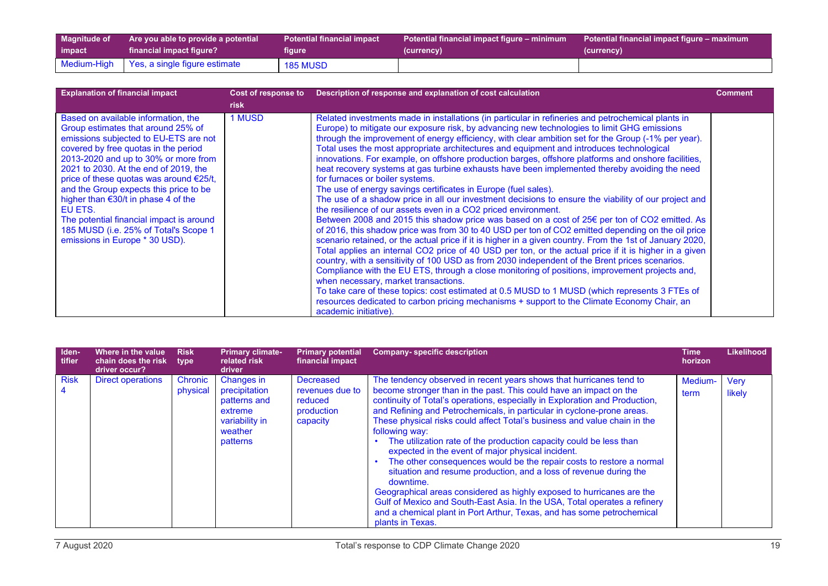| <b>Magnitude of</b> | Are you able to provide a potential       | <b>Potential financial impact</b> | Potential financial impact figure – minimum | Potential financial impact figure – maximum |  |
|---------------------|-------------------------------------------|-----------------------------------|---------------------------------------------|---------------------------------------------|--|
| impact              | financial impact figure?                  | figure                            | (currency)                                  | (currency)                                  |  |
|                     | Medium-High Yes, a single figure estimate | <b>185 MUSD</b>                   |                                             |                                             |  |

| <b>Explanation of financial impact</b>                                                                                                                                                                                                                                                                                                                                                                                                                                                                    | Cost of response to<br><b>risk</b> | Description of response and explanation of cost calculation                                                                                                                                                                                                                                                                                                                                                                                                                                                                                                                                                                                                                                                                                                                                                                                                                                                                                                                                                                                                                                                                                                                                                                                                                                                                                                                                                                                                                                                                                                                                                                                                                                                                                                                                   | <b>Comment</b> |
|-----------------------------------------------------------------------------------------------------------------------------------------------------------------------------------------------------------------------------------------------------------------------------------------------------------------------------------------------------------------------------------------------------------------------------------------------------------------------------------------------------------|------------------------------------|-----------------------------------------------------------------------------------------------------------------------------------------------------------------------------------------------------------------------------------------------------------------------------------------------------------------------------------------------------------------------------------------------------------------------------------------------------------------------------------------------------------------------------------------------------------------------------------------------------------------------------------------------------------------------------------------------------------------------------------------------------------------------------------------------------------------------------------------------------------------------------------------------------------------------------------------------------------------------------------------------------------------------------------------------------------------------------------------------------------------------------------------------------------------------------------------------------------------------------------------------------------------------------------------------------------------------------------------------------------------------------------------------------------------------------------------------------------------------------------------------------------------------------------------------------------------------------------------------------------------------------------------------------------------------------------------------------------------------------------------------------------------------------------------------|----------------|
| Based on available information, the<br>Group estimates that around 25% of<br>emissions subjected to EU-ETS are not<br>covered by free quotas in the period<br>2013-2020 and up to 30% or more from<br>2021 to 2030. At the end of 2019, the<br>price of these quotas was around €25/t,<br>and the Group expects this price to be<br>higher than €30/t in phase 4 of the<br>EU ETS.<br>The potential financial impact is around<br>185 MUSD (i.e. 25% of Total's Scope 1<br>emissions in Europe * 30 USD). | 1 MUSD                             | Related investments made in installations (in particular in refineries and petrochemical plants in<br>Europe) to mitigate our exposure risk, by advancing new technologies to limit GHG emissions<br>through the improvement of energy efficiency, with clear ambition set for the Group (-1% per year).<br>Total uses the most appropriate architectures and equipment and introduces technological<br>innovations. For example, on offshore production barges, offshore platforms and onshore facilities,<br>heat recovery systems at gas turbine exhausts have been implemented thereby avoiding the need<br>for furnaces or boiler systems.<br>The use of energy savings certificates in Europe (fuel sales).<br>The use of a shadow price in all our investment decisions to ensure the viability of our project and<br>the resilience of our assets even in a CO2 priced environment.<br>Between 2008 and 2015 this shadow price was based on a cost of 25€ per ton of CO2 emitted. As<br>of 2016, this shadow price was from 30 to 40 USD per ton of CO2 emitted depending on the oil price<br>scenario retained, or the actual price if it is higher in a given country. From the 1st of January 2020,<br>Total applies an internal CO2 price of 40 USD per ton, or the actual price if it is higher in a given<br>country, with a sensitivity of 100 USD as from 2030 independent of the Brent prices scenarios.<br>Compliance with the EU ETS, through a close monitoring of positions, improvement projects and,<br>when necessary, market transactions.<br>To take care of these topics: cost estimated at 0.5 MUSD to 1 MUSD (which represents 3 FTEs of<br>resources dedicated to carbon pricing mechanisms + support to the Climate Economy Chair, an<br>academic initiative). |                |

| Iden-<br>tifier               | Where in the value<br>chain does the risk<br>driver occur? | <b>Risk</b><br>type        | <b>Primary climate-</b><br>related risk<br><b>driver</b>                                        | <b>Primary potential</b><br>financial impact                             | Company- specific description                                                                                                                                                                                                                                                                                                                                                                                                                                                                                                                                                                                                                                                                                                                                                                                                                                                                                                              | Time<br>horizon | <b>Likelihood</b>     |
|-------------------------------|------------------------------------------------------------|----------------------------|-------------------------------------------------------------------------------------------------|--------------------------------------------------------------------------|--------------------------------------------------------------------------------------------------------------------------------------------------------------------------------------------------------------------------------------------------------------------------------------------------------------------------------------------------------------------------------------------------------------------------------------------------------------------------------------------------------------------------------------------------------------------------------------------------------------------------------------------------------------------------------------------------------------------------------------------------------------------------------------------------------------------------------------------------------------------------------------------------------------------------------------------|-----------------|-----------------------|
| <b>Risk</b><br>$\overline{4}$ | <b>Direct operations</b>                                   | <b>Chronic</b><br>physical | Changes in<br>precipitation<br>patterns and<br>extreme<br>variability in<br>weather<br>patterns | <b>Decreased</b><br>revenues due to<br>reduced<br>production<br>capacity | The tendency observed in recent years shows that hurricanes tend to<br>become stronger than in the past. This could have an impact on the<br>continuity of Total's operations, especially in Exploration and Production,<br>and Refining and Petrochemicals, in particular in cyclone-prone areas.<br>These physical risks could affect Total's business and value chain in the<br>following way:<br>The utilization rate of the production capacity could be less than<br>expected in the event of major physical incident.<br>The other consequences would be the repair costs to restore a normal<br>situation and resume production, and a loss of revenue during the<br>downtime.<br>Geographical areas considered as highly exposed to hurricanes are the<br>Gulf of Mexico and South-East Asia. In the USA, Total operates a refinery<br>and a chemical plant in Port Arthur, Texas, and has some petrochemical<br>plants in Texas. | Medium-<br>term | <b>Verv</b><br>likely |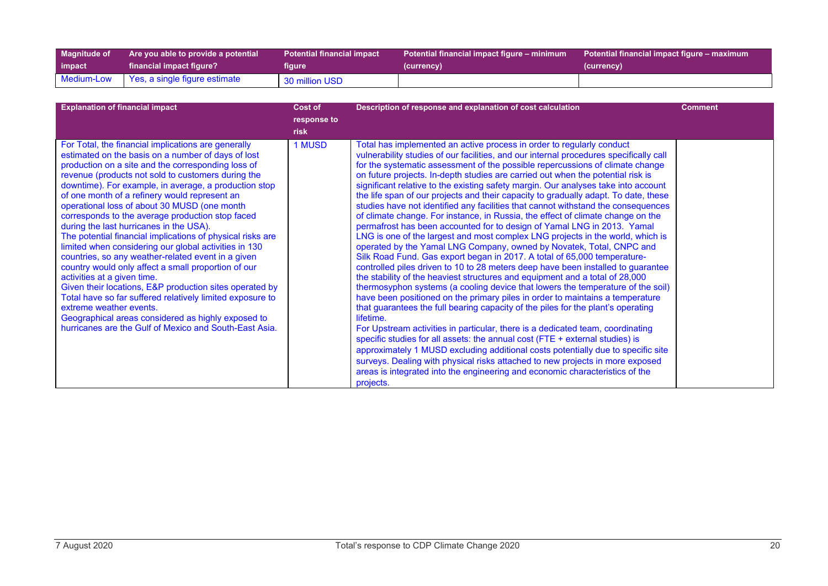| <b>Magnitude of</b> | Are you able to provide a potential | <b>Potential financial impact</b> | Potential financial impact figure – minimum | Potential financial impact figure – maximum |
|---------------------|-------------------------------------|-----------------------------------|---------------------------------------------|---------------------------------------------|
| impact              | financial impact figure? \          | figure                            | (currency)                                  | (currency)                                  |
| Medium-Low          | Yes, a single figure estimate       | 30 million USD                    |                                             |                                             |

| <b>Explanation of financial impact</b>                                                                                                                                                                                                                                                                                                                                                                                                                                                                                                                                                                                                                                                                                                                                                                                                                                                                                                                                                                               | Cost of<br>response to<br><b>risk</b> | Description of response and explanation of cost calculation                                                                                                                                                                                                                                                                                                                                                                                                                                                                                                                                                                                                                                                                                                                                                                                                                                                                                                                                                                                                                                                                                                                                                                                                                                                                                                                                                                                                                                                                                                                                                                                                                                                                                                                                                                                                                            | <b>Comment</b> |
|----------------------------------------------------------------------------------------------------------------------------------------------------------------------------------------------------------------------------------------------------------------------------------------------------------------------------------------------------------------------------------------------------------------------------------------------------------------------------------------------------------------------------------------------------------------------------------------------------------------------------------------------------------------------------------------------------------------------------------------------------------------------------------------------------------------------------------------------------------------------------------------------------------------------------------------------------------------------------------------------------------------------|---------------------------------------|----------------------------------------------------------------------------------------------------------------------------------------------------------------------------------------------------------------------------------------------------------------------------------------------------------------------------------------------------------------------------------------------------------------------------------------------------------------------------------------------------------------------------------------------------------------------------------------------------------------------------------------------------------------------------------------------------------------------------------------------------------------------------------------------------------------------------------------------------------------------------------------------------------------------------------------------------------------------------------------------------------------------------------------------------------------------------------------------------------------------------------------------------------------------------------------------------------------------------------------------------------------------------------------------------------------------------------------------------------------------------------------------------------------------------------------------------------------------------------------------------------------------------------------------------------------------------------------------------------------------------------------------------------------------------------------------------------------------------------------------------------------------------------------------------------------------------------------------------------------------------------------|----------------|
| For Total, the financial implications are generally<br>estimated on the basis on a number of days of lost<br>production on a site and the corresponding loss of<br>revenue (products not sold to customers during the<br>downtime). For example, in average, a production stop<br>of one month of a refinery would represent an<br>operational loss of about 30 MUSD (one month<br>corresponds to the average production stop faced<br>during the last hurricanes in the USA).<br>The potential financial implications of physical risks are<br>limited when considering our global activities in 130<br>countries, so any weather-related event in a given<br>country would only affect a small proportion of our<br>activities at a given time.<br>Given their locations, E&P production sites operated by<br>Total have so far suffered relatively limited exposure to<br>extreme weather events.<br>Geographical areas considered as highly exposed to<br>hurricanes are the Gulf of Mexico and South-East Asia. | 1 MUSD                                | Total has implemented an active process in order to regularly conduct<br>vulnerability studies of our facilities, and our internal procedures specifically call<br>for the systematic assessment of the possible repercussions of climate change<br>on future projects. In-depth studies are carried out when the potential risk is<br>significant relative to the existing safety margin. Our analyses take into account<br>the life span of our projects and their capacity to gradually adapt. To date, these<br>studies have not identified any facilities that cannot withstand the consequences<br>of climate change. For instance, in Russia, the effect of climate change on the<br>permafrost has been accounted for to design of Yamal LNG in 2013. Yamal<br>LNG is one of the largest and most complex LNG projects in the world, which is<br>operated by the Yamal LNG Company, owned by Novatek, Total, CNPC and<br>Silk Road Fund. Gas export began in 2017. A total of 65,000 temperature-<br>controlled piles driven to 10 to 28 meters deep have been installed to guarantee<br>the stability of the heaviest structures and equipment and a total of 28,000<br>thermosyphon systems (a cooling device that lowers the temperature of the soil)<br>have been positioned on the primary piles in order to maintains a temperature<br>that guarantees the full bearing capacity of the piles for the plant's operating<br>lifetime.<br>For Upstream activities in particular, there is a dedicated team, coordinating<br>specific studies for all assets: the annual cost (FTE + external studies) is<br>approximately 1 MUSD excluding additional costs potentially due to specific site<br>surveys. Dealing with physical risks attached to new projects in more exposed<br>areas is integrated into the engineering and economic characteristics of the<br>projects. |                |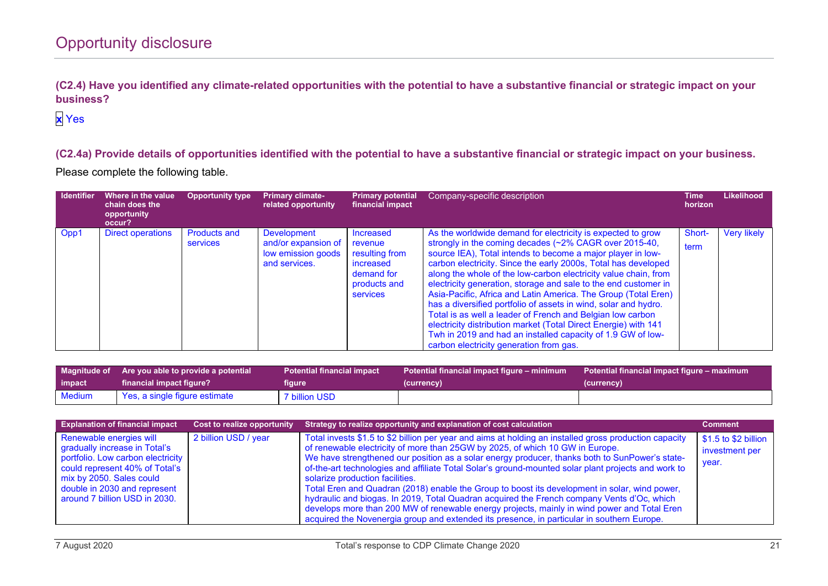**(C2.4) Have you identified any climate-related opportunities with the potential to have a substantive financial or strategic impact on your business?**

## **x** Yes

**(C2.4a) Provide details of opportunities identified with the potential to have a substantive financial or strategic impact on your business.** Please complete the following table.

| <b>Identifier</b> | Where in the value<br>chain does the<br>opportunity<br>occur? | <b>Opportunity type</b>         | <b>Primary climate-</b><br>related opportunity                            | <b>Primary potential</b><br>financial impact                                                                | Company-specific description                                                                                                                                                                                                                                                                                                                                                                                                                                                                                                                                                                                                                                                                                                                                                 | Time<br>horizon | <b>Likelihood</b>  |
|-------------------|---------------------------------------------------------------|---------------------------------|---------------------------------------------------------------------------|-------------------------------------------------------------------------------------------------------------|------------------------------------------------------------------------------------------------------------------------------------------------------------------------------------------------------------------------------------------------------------------------------------------------------------------------------------------------------------------------------------------------------------------------------------------------------------------------------------------------------------------------------------------------------------------------------------------------------------------------------------------------------------------------------------------------------------------------------------------------------------------------------|-----------------|--------------------|
| Opp1              | Direct operations                                             | <b>Products and</b><br>services | Development<br>and/or expansion of<br>low emission goods<br>and services. | <b>Increased</b><br>revenue<br>resulting from<br>increased<br>demand for<br>products and<br><b>services</b> | As the worldwide demand for electricity is expected to grow<br>strongly in the coming decades (~2% CAGR over 2015-40,<br>source IEA), Total intends to become a major player in low-<br>carbon electricity. Since the early 2000s, Total has developed<br>along the whole of the low-carbon electricity value chain, from<br>electricity generation, storage and sale to the end customer in<br>Asia-Pacific, Africa and Latin America. The Group (Total Eren)<br>has a diversified portfolio of assets in wind, solar and hydro.<br>Total is as well a leader of French and Belgian low carbon<br>electricity distribution market (Total Direct Energie) with 141<br>Twh in 2019 and had an installed capacity of 1.9 GW of low-<br>carbon electricity generation from gas. | Short-<br>term  | <b>Very likely</b> |

| impact | Magnitude of Are you able to provide a potential | <b>Potential financial impact</b> | Potential financial impact figure – minimum | Potential financial impact figure – maximum |
|--------|--------------------------------------------------|-----------------------------------|---------------------------------------------|---------------------------------------------|
|        | financial impact figure?                         | figure                            | (currency)                                  | (currency)                                  |
| Medium | Yes, a single figure estimate                    | 7 billion USD                     |                                             |                                             |

| <b>Explanation of financial impact</b>                                                                                                                                                      | Cost to realize opportunity | Strategy to realize opportunity and explanation of cost calculation                                                                                                                                                                                                                                                                                                                                                                                                                                                                  | <b>Comment</b>                                   |
|---------------------------------------------------------------------------------------------------------------------------------------------------------------------------------------------|-----------------------------|--------------------------------------------------------------------------------------------------------------------------------------------------------------------------------------------------------------------------------------------------------------------------------------------------------------------------------------------------------------------------------------------------------------------------------------------------------------------------------------------------------------------------------------|--------------------------------------------------|
| Renewable energies will<br>gradually increase in Total's<br>portfolio. Low carbon electricity<br>could represent 40% of Total's<br>mix by 2050. Sales could<br>double in 2030 and represent | 2 billion USD / year        | Total invests \$1.5 to \$2 billion per year and aims at holding an installed gross production capacity<br>of renewable electricity of more than 25GW by 2025, of which 10 GW in Europe.<br>We have strengthened our position as a solar energy producer, thanks both to SunPower's state-<br>of-the-art technologies and affiliate Total Solar's ground-mounted solar plant projects and work to<br>solarize production facilities.<br>Total Eren and Quadran (2018) enable the Group to boost its development in solar, wind power, | $$1.5$ to \$2 billion<br>investment per<br>year. |
| around 7 billion USD in 2030.                                                                                                                                                               |                             | hydraulic and biogas. In 2019, Total Quadran acquired the French company Vents d'Oc, which<br>develops more than 200 MW of renewable energy projects, mainly in wind power and Total Eren<br>acquired the Novenergia group and extended its presence, in particular in southern Europe.                                                                                                                                                                                                                                              |                                                  |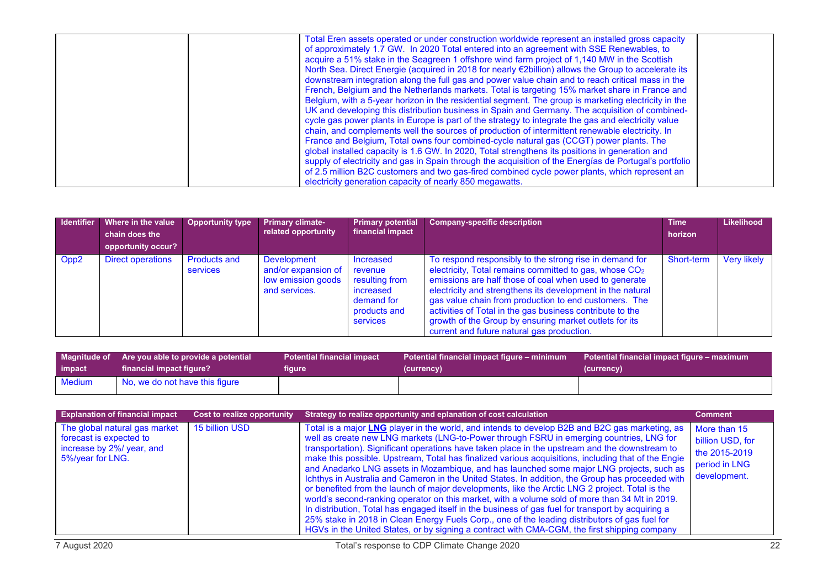| Total Eren assets operated or under construction worldwide represent an installed gross capacity<br>of approximately 1.7 GW. In 2020 Total entered into an agreement with SSE Renewables, to<br>acquire a 51% stake in the Seagreen 1 offshore wind farm project of 1,140 MW in the Scottish<br>North Sea. Direct Energie (acquired in 2018 for nearly €2billion) allows the Group to accelerate its<br>downstream integration along the full gas and power value chain and to reach critical mass in the<br>French, Belgium and the Netherlands markets. Total is targeting 15% market share in France and<br>Belgium, with a 5-year horizon in the residential segment. The group is marketing electricity in the<br>UK and developing this distribution business in Spain and Germany. The acquisition of combined-<br>cycle gas power plants in Europe is part of the strategy to integrate the gas and electricity value<br>chain, and complements well the sources of production of intermittent renewable electricity. In<br>France and Belgium, Total owns four combined-cycle natural gas (CCGT) power plants. The<br>global installed capacity is 1.6 GW. In 2020, Total strengthens its positions in generation and<br>supply of electricity and gas in Spain through the acquisition of the Energías de Portugal's portfolio |  |
|------------------------------------------------------------------------------------------------------------------------------------------------------------------------------------------------------------------------------------------------------------------------------------------------------------------------------------------------------------------------------------------------------------------------------------------------------------------------------------------------------------------------------------------------------------------------------------------------------------------------------------------------------------------------------------------------------------------------------------------------------------------------------------------------------------------------------------------------------------------------------------------------------------------------------------------------------------------------------------------------------------------------------------------------------------------------------------------------------------------------------------------------------------------------------------------------------------------------------------------------------------------------------------------------------------------------------------------|--|
| of 2.5 million B2C customers and two gas-fired combined cycle power plants, which represent an<br>electricity generation capacity of nearly 850 megawatts.                                                                                                                                                                                                                                                                                                                                                                                                                                                                                                                                                                                                                                                                                                                                                                                                                                                                                                                                                                                                                                                                                                                                                                               |  |

| Identifier       | Where in the value<br>chain does the<br>opportunity occur? | <b>Opportunity type</b>         | <b>Primary climate-</b><br>related opportunity                            | <b>Primary potential</b><br>financial impact                                                  | <b>Company-specific description</b>                                                                                                                                                                                                                                                                                                                                                                                                                                                 | <b>Time</b><br>horizon | Likelihood         |
|------------------|------------------------------------------------------------|---------------------------------|---------------------------------------------------------------------------|-----------------------------------------------------------------------------------------------|-------------------------------------------------------------------------------------------------------------------------------------------------------------------------------------------------------------------------------------------------------------------------------------------------------------------------------------------------------------------------------------------------------------------------------------------------------------------------------------|------------------------|--------------------|
| Opp <sub>2</sub> | <b>Direct operations</b>                                   | <b>Products and</b><br>services | Development<br>and/or expansion of<br>low emission goods<br>and services. | Increased<br>revenue<br>resulting from<br>increased<br>demand for<br>products and<br>services | To respond responsibly to the strong rise in demand for<br>electricity, Total remains committed to gas, whose CO <sub>2</sub><br>emissions are half those of coal when used to generate<br>electricity and strengthens its development in the natural<br>gas value chain from production to end customers. The<br>activities of Total in the gas business contribute to the<br>growth of the Group by ensuring market outlets for its<br>current and future natural gas production. | Short-term             | <b>Very likely</b> |

|               | Magnitude of Are you able to provide a potential | <b>Potential financial impact</b> | Potential financial impact figure – minimum | Potential financial impact figure – maximum |
|---------------|--------------------------------------------------|-----------------------------------|---------------------------------------------|---------------------------------------------|
| impact        | financial impact figure?                         | figure                            | (currency)                                  | (currency)                                  |
| <b>Medium</b> | No, we do not have this figure                   |                                   |                                             |                                             |

| <b>Explanation of financial impact</b>                                                                    | <b>Cost to realize opportunity</b> | Strategy to realize opportunity and eplanation of cost calculation                                                                                                                                                                                                                                                                                                                                                                                                                                                                                                                                                                                                                                                                                                                                                                                                                                                                                                                                                                                                                                               | <b>Comment</b>                                                                     |
|-----------------------------------------------------------------------------------------------------------|------------------------------------|------------------------------------------------------------------------------------------------------------------------------------------------------------------------------------------------------------------------------------------------------------------------------------------------------------------------------------------------------------------------------------------------------------------------------------------------------------------------------------------------------------------------------------------------------------------------------------------------------------------------------------------------------------------------------------------------------------------------------------------------------------------------------------------------------------------------------------------------------------------------------------------------------------------------------------------------------------------------------------------------------------------------------------------------------------------------------------------------------------------|------------------------------------------------------------------------------------|
| The global natural gas market<br>forecast is expected to<br>increase by 2%/ year, and<br>5%/year for LNG. | 15 billion USD                     | Total is a major LNG player in the world, and intends to develop B2B and B2C gas marketing, as<br>well as create new LNG markets (LNG-to-Power through FSRU in emerging countries, LNG for<br>transportation). Significant operations have taken place in the upstream and the downstream to<br>make this possible. Upstream, Total has finalized various acquisitions, including that of the Engie<br>and Anadarko LNG assets in Mozambique, and has launched some major LNG projects, such as<br>Ichthys in Australia and Cameron in the United States. In addition, the Group has proceeded with<br>or benefited from the launch of major developments, like the Arctic LNG 2 project. Total is the<br>world's second-ranking operator on this market, with a volume sold of more than 34 Mt in 2019.<br>In distribution, Total has engaged itself in the business of gas fuel for transport by acquiring a<br>25% stake in 2018 in Clean Energy Fuels Corp., one of the leading distributors of gas fuel for<br>HGVs in the United States, or by signing a contract with CMA-CGM, the first shipping company | More than 15<br>billion USD, for<br>the 2015-2019<br>period in LNG<br>development. |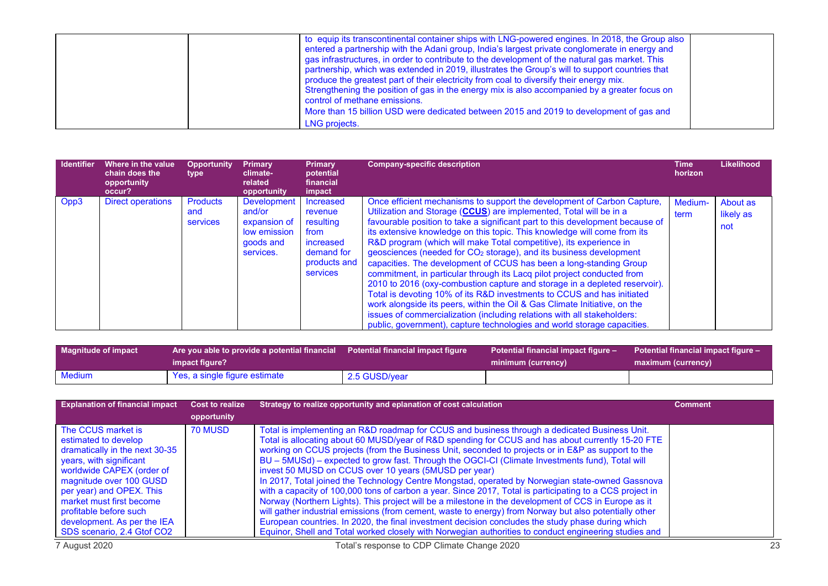| to equip its transcontinental container ships with LNG-powered engines. In 2018, the Group also<br>entered a partnership with the Adani group, India's largest private conglomerate in energy and<br>gas infrastructures, in order to contribute to the development of the natural gas market. This<br>partnership, which was extended in 2019, illustrates the Group's will to support countries that<br>produce the greatest part of their electricity from coal to diversify their energy mix.<br>Strengthening the position of gas in the energy mix is also accompanied by a greater focus on<br>control of methane emissions.<br>More than 15 billion USD were dedicated between 2015 and 2019 to development of gas and<br>LNG projects. |  |
|-------------------------------------------------------------------------------------------------------------------------------------------------------------------------------------------------------------------------------------------------------------------------------------------------------------------------------------------------------------------------------------------------------------------------------------------------------------------------------------------------------------------------------------------------------------------------------------------------------------------------------------------------------------------------------------------------------------------------------------------------|--|
|-------------------------------------------------------------------------------------------------------------------------------------------------------------------------------------------------------------------------------------------------------------------------------------------------------------------------------------------------------------------------------------------------------------------------------------------------------------------------------------------------------------------------------------------------------------------------------------------------------------------------------------------------------------------------------------------------------------------------------------------------|--|

| <b>Identifier</b> | Where in the value<br>chain does the<br>opportunity<br>occur? | <b>Opportunity</b><br>type                | <b>Primary</b><br>climate-<br>related<br>opportunity                                   | <b>Primary</b><br>potential<br>financial<br>impact                                               | <b>Company-specific description</b>                                                                                                                                                                                                                                                                                                                                                                                                                                                                                                                                                                                                                                                                                                                                                                                                                                                                                                                                                                            | Time<br>horizon | Likelihood                   |
|-------------------|---------------------------------------------------------------|-------------------------------------------|----------------------------------------------------------------------------------------|--------------------------------------------------------------------------------------------------|----------------------------------------------------------------------------------------------------------------------------------------------------------------------------------------------------------------------------------------------------------------------------------------------------------------------------------------------------------------------------------------------------------------------------------------------------------------------------------------------------------------------------------------------------------------------------------------------------------------------------------------------------------------------------------------------------------------------------------------------------------------------------------------------------------------------------------------------------------------------------------------------------------------------------------------------------------------------------------------------------------------|-----------------|------------------------------|
| Opp3              | <b>Direct operations</b>                                      | <b>Products</b><br>and<br><b>services</b> | <b>Development</b><br>and/or<br>expansion of<br>low emission<br>goods and<br>services. | Increased<br>revenue<br>resulting<br>from<br>increased<br>demand for<br>products and<br>services | Once efficient mechanisms to support the development of Carbon Capture,<br>Utilization and Storage (CCUS) are implemented, Total will be in a<br>favourable position to take a significant part to this development because of<br>its extensive knowledge on this topic. This knowledge will come from its<br>R&D program (which will make Total competitive), its experience in<br>geosciences (needed for CO <sub>2</sub> storage), and its business development<br>capacities. The development of CCUS has been a long-standing Group<br>commitment, in particular through its Lacq pilot project conducted from<br>2010 to 2016 (oxy-combustion capture and storage in a depleted reservoir).<br>Total is devoting 10% of its R&D investments to CCUS and has initiated<br>work alongside its peers, within the Oil & Gas Climate Initiative, on the<br>issues of commercialization (including relations with all stakeholders:<br>public, government), capture technologies and world storage capacities. | Medium-<br>term | About as<br>likely as<br>not |

| <b>Magnitude of impact</b> | Are you able to provide a potential financial Potential financial impact figure $\overline{ }$ |               | Potential financial impact figure - | Potential financial impact figure - |  |
|----------------------------|------------------------------------------------------------------------------------------------|---------------|-------------------------------------|-------------------------------------|--|
|                            | impact figure?                                                                                 |               | minimum (currency)                  | maximum (currency)                  |  |
| <b>Medium</b>              | Yes, a single figure estimate                                                                  | 2.5 GUSD/year |                                     |                                     |  |

| <b>Explanation of financial impact</b>                                                                                                                                                                                                                                           | <b>Cost to realize</b> | Strategy to realize opportunity and eplanation of cost calculation                                                                                                                                                                                                                                                                                                                                                                                                                                                                                                                                                                                                                                                                                                                                                                                                                                                                                                                                          | <b>Comment</b> |
|----------------------------------------------------------------------------------------------------------------------------------------------------------------------------------------------------------------------------------------------------------------------------------|------------------------|-------------------------------------------------------------------------------------------------------------------------------------------------------------------------------------------------------------------------------------------------------------------------------------------------------------------------------------------------------------------------------------------------------------------------------------------------------------------------------------------------------------------------------------------------------------------------------------------------------------------------------------------------------------------------------------------------------------------------------------------------------------------------------------------------------------------------------------------------------------------------------------------------------------------------------------------------------------------------------------------------------------|----------------|
|                                                                                                                                                                                                                                                                                  | opportunity            |                                                                                                                                                                                                                                                                                                                                                                                                                                                                                                                                                                                                                                                                                                                                                                                                                                                                                                                                                                                                             |                |
| The CCUS market is<br>estimated to develop<br>dramatically in the next 30-35<br>years, with significant<br>worldwide CAPEX (order of<br>magnitude over 100 GUSD<br>per year) and OPEX. This<br>market must first become<br>profitable before such<br>development. As per the IEA | <b>70 MUSD</b>         | Total is implementing an R&D roadmap for CCUS and business through a dedicated Business Unit.<br>Total is allocating about 60 MUSD/year of R&D spending for CCUS and has about currently 15-20 FTE<br>working on CCUS projects (from the Business Unit, seconded to projects or in E&P as support to the<br>BU - 5MUSd) - expected to grow fast. Through the OGCI-CI (Climate Investments fund), Total will<br>invest 50 MUSD on CCUS over 10 years (5MUSD per year)<br>In 2017, Total joined the Technology Centre Mongstad, operated by Norwegian state-owned Gassnova<br>with a capacity of 100,000 tons of carbon a year. Since 2017, Total is participating to a CCS project in<br>Norway (Northern Lights). This project will be a milestone in the development of CCS in Europe as it<br>will gather industrial emissions (from cement, waste to energy) from Norway but also potentially other<br>European countries. In 2020, the final investment decision concludes the study phase during which |                |
| SDS scenario, 2.4 Gtof CO2                                                                                                                                                                                                                                                       |                        | Equinor, Shell and Total worked closely with Norwegian authorities to conduct engineering studies and                                                                                                                                                                                                                                                                                                                                                                                                                                                                                                                                                                                                                                                                                                                                                                                                                                                                                                       |                |
| 7 August 2020                                                                                                                                                                                                                                                                    |                        | Total's response to CDP Climate Change 2020                                                                                                                                                                                                                                                                                                                                                                                                                                                                                                                                                                                                                                                                                                                                                                                                                                                                                                                                                                 | 23             |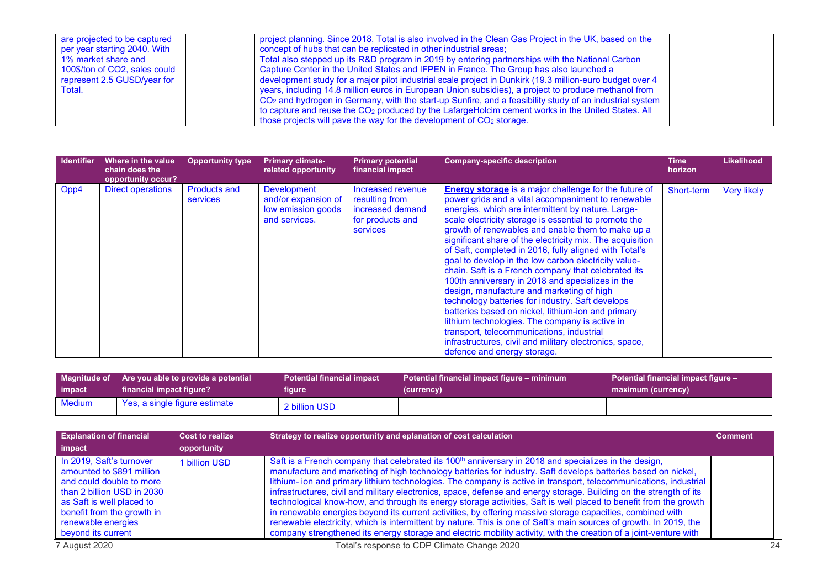| are projected to be captured<br>per year starting 2040. With<br>1% market share and<br>100\$/ton of CO2, sales could<br>represent 2.5 GUSD/year for<br>Total. | project planning. Since 2018, Total is also involved in the Clean Gas Project in the UK, based on the<br>concept of hubs that can be replicated in other industrial areas;<br>Total also stepped up its R&D program in 2019 by entering partnerships with the National Carbon<br>Capture Center in the United States and IFPEN in France. The Group has also launched a<br>development study for a major pilot industrial scale project in Dunkirk (19.3 million-euro budget over 4<br>years, including 14.8 million euros in European Union subsidies), a project to produce methanol from<br>CO <sub>2</sub> and hydrogen in Germany, with the start-up Sunfire, and a feasibility study of an industrial system<br>to capture and reuse the CO <sub>2</sub> produced by the LafargeHolcim cement works in the United States. All<br>those projects will pave the way for the development of $CO2$ storage. |  |
|---------------------------------------------------------------------------------------------------------------------------------------------------------------|---------------------------------------------------------------------------------------------------------------------------------------------------------------------------------------------------------------------------------------------------------------------------------------------------------------------------------------------------------------------------------------------------------------------------------------------------------------------------------------------------------------------------------------------------------------------------------------------------------------------------------------------------------------------------------------------------------------------------------------------------------------------------------------------------------------------------------------------------------------------------------------------------------------|--|
|---------------------------------------------------------------------------------------------------------------------------------------------------------------|---------------------------------------------------------------------------------------------------------------------------------------------------------------------------------------------------------------------------------------------------------------------------------------------------------------------------------------------------------------------------------------------------------------------------------------------------------------------------------------------------------------------------------------------------------------------------------------------------------------------------------------------------------------------------------------------------------------------------------------------------------------------------------------------------------------------------------------------------------------------------------------------------------------|--|

| <b>Identifier</b> | Where in the value<br>chain does the<br>opportunity occur? | <b>Opportunity type</b>                | <b>Primary climate-</b><br>related opportunity                                   | <b>Primary potential</b><br>financial impact                                            | <b>Company-specific description</b>                                                                                                                                                                                                                                                                                                                                                                                                                                                                                                                                                                                                                                                                                                                                                                                                                                                                                              | Time<br>horizon | <b>Likelihood</b>  |
|-------------------|------------------------------------------------------------|----------------------------------------|----------------------------------------------------------------------------------|-----------------------------------------------------------------------------------------|----------------------------------------------------------------------------------------------------------------------------------------------------------------------------------------------------------------------------------------------------------------------------------------------------------------------------------------------------------------------------------------------------------------------------------------------------------------------------------------------------------------------------------------------------------------------------------------------------------------------------------------------------------------------------------------------------------------------------------------------------------------------------------------------------------------------------------------------------------------------------------------------------------------------------------|-----------------|--------------------|
| Opp4              | <b>Direct operations</b>                                   | <b>Products and</b><br><b>services</b> | <b>Development</b><br>and/or expansion of<br>low emission goods<br>and services. | Increased revenue<br>resulting from<br>increased demand<br>for products and<br>services | <b>Energy storage</b> is a major challenge for the future of<br>power grids and a vital accompaniment to renewable<br>energies, which are intermittent by nature. Large-<br>scale electricity storage is essential to promote the<br>growth of renewables and enable them to make up a<br>significant share of the electricity mix. The acquisition<br>of Saft, completed in 2016, fully aligned with Total's<br>goal to develop in the low carbon electricity value-<br>chain. Saft is a French company that celebrated its<br>100th anniversary in 2018 and specializes in the<br>design, manufacture and marketing of high<br>technology batteries for industry. Saft develops<br>batteries based on nickel, lithium-ion and primary<br>lithium technologies. The company is active in<br>transport, telecommunications, industrial<br>infrastructures, civil and military electronics, space,<br>defence and energy storage. | Short-term      | <b>Very likely</b> |

|        | Magnitude of Are you able to provide a potential | <b>Potential financial impact</b> | Potential financial impact figure – minimum | Potential financial impact figure - |
|--------|--------------------------------------------------|-----------------------------------|---------------------------------------------|-------------------------------------|
| impact | financial impact figure?                         | figure                            | (currency)                                  | maximum (currency)                  |
| Medium | Yes, a single figure estimate                    | 2 billion USD                     |                                             |                                     |

| <b>Explanation of financial</b><br>Cost to realize                                                                                                                                                                     |               | Strategy to realize opportunity and eplanation of cost calculation                                                                                                                                                                                                                                                                                                                                                                                                                                                                                                                                                                                                                                                                                                                                                                                                                                                                                           |  |  |
|------------------------------------------------------------------------------------------------------------------------------------------------------------------------------------------------------------------------|---------------|--------------------------------------------------------------------------------------------------------------------------------------------------------------------------------------------------------------------------------------------------------------------------------------------------------------------------------------------------------------------------------------------------------------------------------------------------------------------------------------------------------------------------------------------------------------------------------------------------------------------------------------------------------------------------------------------------------------------------------------------------------------------------------------------------------------------------------------------------------------------------------------------------------------------------------------------------------------|--|--|
| impact                                                                                                                                                                                                                 | opportunity   |                                                                                                                                                                                                                                                                                                                                                                                                                                                                                                                                                                                                                                                                                                                                                                                                                                                                                                                                                              |  |  |
| In 2019. Saft's turnover<br>amounted to \$891 million<br>and could double to more<br>than 2 billion USD in 2030<br>as Saft is well placed to<br>benefit from the growth in<br>renewable energies<br>beyond its current | 1 billion USD | Saft is a French company that celebrated its 100 <sup>th</sup> anniversary in 2018 and specializes in the design,<br>manufacture and marketing of high technology batteries for industry. Saft develops batteries based on nickel,<br>lithium- ion and primary lithium technologies. The company is active in transport, telecommunications, industrial<br>infrastructures, civil and military electronics, space, defense and energy storage. Building on the strength of its<br>technological know-how, and through its energy storage activities, Saft is well placed to benefit from the growth<br>in renewable energies beyond its current activities, by offering massive storage capacities, combined with<br>renewable electricity, which is intermittent by nature. This is one of Saft's main sources of growth. In 2019, the<br>company strengthened its energy storage and electric mobility activity, with the creation of a joint-venture with |  |  |
| 7 August 2020                                                                                                                                                                                                          |               | Total's response to CDP Climate Change 2020                                                                                                                                                                                                                                                                                                                                                                                                                                                                                                                                                                                                                                                                                                                                                                                                                                                                                                                  |  |  |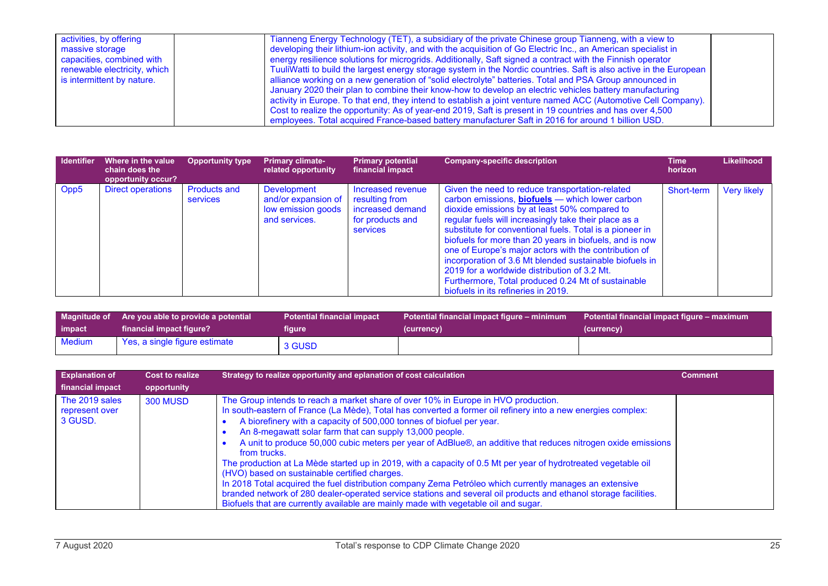| activities, by offering      | Tianneng Energy Technology (TET), a subsidiary of the private Chinese group Tianneng, with a view to               |  |
|------------------------------|--------------------------------------------------------------------------------------------------------------------|--|
| massive storage              | developing their lithium-ion activity, and with the acquisition of Go Electric Inc., an American specialist in     |  |
| capacities, combined with    | energy resilience solutions for microgrids. Additionally, Saft signed a contract with the Finnish operator         |  |
| renewable electricity, which | TuuliWatti to build the largest energy storage system in the Nordic countries. Saft is also active in the European |  |
| is intermittent by nature.   | alliance working on a new generation of "solid electrolyte" batteries. Total and PSA Group announced in            |  |
|                              | January 2020 their plan to combine their know-how to develop an electric vehicles battery manufacturing            |  |
|                              | activity in Europe. To that end, they intend to establish a joint venture named ACC (Automotive Cell Company).     |  |
|                              | Cost to realize the opportunity: As of year-end 2019, Saft is present in 19 countries and has over 4,500           |  |
|                              | employees. Total acquired France-based battery manufacturer Saft in 2016 for around 1 billion USD.                 |  |

| <b>Identifier</b> | Where in the value<br>chain does the<br>opportunity occur? | <b>Opportunity type</b>         | <b>Primary climate-</b><br>related opportunity                                   | <b>Primary potential</b><br>financial impact                                            | <b>Company-specific description</b>                                                                                                                                                                                                                                                                                                                                                                                                                                                                                                                                                                         | Time<br>horizon | <b>Likelihood</b>  |
|-------------------|------------------------------------------------------------|---------------------------------|----------------------------------------------------------------------------------|-----------------------------------------------------------------------------------------|-------------------------------------------------------------------------------------------------------------------------------------------------------------------------------------------------------------------------------------------------------------------------------------------------------------------------------------------------------------------------------------------------------------------------------------------------------------------------------------------------------------------------------------------------------------------------------------------------------------|-----------------|--------------------|
| Opp5              | <b>Direct operations</b>                                   | <b>Products and</b><br>services | <b>Development</b><br>and/or expansion of<br>low emission goods<br>and services. | Increased revenue<br>resulting from<br>increased demand<br>for products and<br>services | Given the need to reduce transportation-related<br>carbon emissions, <b>biofuels</b> - which lower carbon<br>dioxide emissions by at least 50% compared to<br>regular fuels will increasingly take their place as a<br>substitute for conventional fuels. Total is a pioneer in<br>biofuels for more than 20 years in biofuels, and is now<br>one of Europe's major actors with the contribution of<br>incorporation of 3.6 Mt blended sustainable biofuels in<br>2019 for a worldwide distribution of 3.2 Mt.<br>Furthermore, Total produced 0.24 Mt of sustainable<br>biofuels in its refineries in 2019. | Short-term      | <b>Very likely</b> |

|               | Magnitude of Are you able to provide a potential | <b>Potential financial impact</b> | Potential financial impact figure $-$ minimum | Potential financial impact figure – maximum |
|---------------|--------------------------------------------------|-----------------------------------|-----------------------------------------------|---------------------------------------------|
| impact        | financial impact figure?                         | figure                            | (currency)                                    | (currency)                                  |
| <b>Medium</b> | Yes, a single figure estimate                    | 3 GUSD                            |                                               |                                             |

| <b>Explanation of</b><br>financial impact   | Cost to realize<br>opportunity | Strategy to realize opportunity and eplanation of cost calculation                                                                                                                                                                                                                                                                                                                                                                                                                                                                                                                                                                                                                                                                                                                                                                                                                                                                                             | <b>Comment</b> |
|---------------------------------------------|--------------------------------|----------------------------------------------------------------------------------------------------------------------------------------------------------------------------------------------------------------------------------------------------------------------------------------------------------------------------------------------------------------------------------------------------------------------------------------------------------------------------------------------------------------------------------------------------------------------------------------------------------------------------------------------------------------------------------------------------------------------------------------------------------------------------------------------------------------------------------------------------------------------------------------------------------------------------------------------------------------|----------------|
| The 2019 sales<br>represent over<br>3 GUSD. | <b>300 MUSD</b>                | The Group intends to reach a market share of over 10% in Europe in HVO production.<br>In south-eastern of France (La Mède), Total has converted a former oil refinery into a new energies complex:<br>A biorefinery with a capacity of 500,000 tonnes of biofuel per year.<br>An 8-megawatt solar farm that can supply 13,000 people.<br>A unit to produce 50,000 cubic meters per year of AdBlue®, an additive that reduces nitrogen oxide emissions<br>from trucks.<br>The production at La Mède started up in 2019, with a capacity of 0.5 Mt per year of hydrotreated vegetable oil<br>(HVO) based on sustainable certified charges.<br>In 2018 Total acquired the fuel distribution company Zema Petróleo which currently manages an extensive<br>branded network of 280 dealer-operated service stations and several oil products and ethanol storage facilities.<br>Biofuels that are currently available are mainly made with vegetable oil and sugar. |                |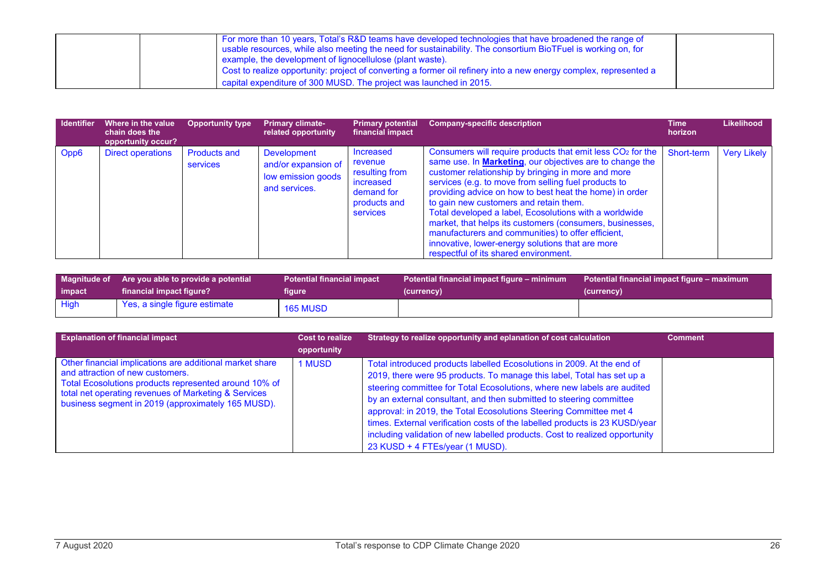| For more than 10 years, Total's R&D teams have developed technologies that have broadened the range of<br>I usable resources, while also meeting the need for sustainability. The consortium BioTFuel is working on, for<br>example, the development of lignocellulose (plant waste). |  |
|---------------------------------------------------------------------------------------------------------------------------------------------------------------------------------------------------------------------------------------------------------------------------------------|--|
| Cost to realize opportunity: project of converting a former oil refinery into a new energy complex, represented a<br>capital expenditure of 300 MUSD. The project was launched in 2015.                                                                                               |  |

| <b>Identifier</b> | Where in the value<br>chain does the<br>opportunity occur? | <b>Opportunity type</b>         | <b>Primary climate-</b><br>related opportunity                                   | <b>Primary potential</b><br>financial impact                                                         | <b>Company-specific description</b>                                                                                                                                                                                                                                                                                                                                                                                                                                                                                                                                                                                                    | Time<br>horizon | Likelihood         |
|-------------------|------------------------------------------------------------|---------------------------------|----------------------------------------------------------------------------------|------------------------------------------------------------------------------------------------------|----------------------------------------------------------------------------------------------------------------------------------------------------------------------------------------------------------------------------------------------------------------------------------------------------------------------------------------------------------------------------------------------------------------------------------------------------------------------------------------------------------------------------------------------------------------------------------------------------------------------------------------|-----------------|--------------------|
| Opp6              | <b>Direct operations</b>                                   | <b>Products and</b><br>services | <b>Development</b><br>and/or expansion of<br>low emission goods<br>and services. | Increased<br>revenue<br>resulting from<br>increased<br>demand for<br>products and<br><b>services</b> | Consumers will require products that emit less CO <sub>2</sub> for the<br>same use. In <b>Marketing</b> , our objectives are to change the<br>customer relationship by bringing in more and more<br>services (e.g. to move from selling fuel products to<br>providing advice on how to best heat the home) in order<br>to gain new customers and retain them.<br>Total developed a label, Ecosolutions with a worldwide<br>market, that helps its customers (consumers, businesses,<br>manufacturers and communities) to offer efficient,<br>innovative, lower-energy solutions that are more<br>respectful of its shared environment. | Short-term      | <b>Very Likely</b> |

| impact | Magnitude of Are you able to provide a potential | <b>Potential financial impact</b> | Potential financial impact figure – minimum | Potential financial impact figure – maximum |
|--------|--------------------------------------------------|-----------------------------------|---------------------------------------------|---------------------------------------------|
|        | financial impact figure?                         | figure                            | (currency)                                  | (currency)                                  |
| High   | Yes, a single figure estimate                    | <b>165 MUSD</b>                   |                                             |                                             |

| <b>Explanation of financial impact</b>                                                                                                                                                                                                                              | <b>Cost to realize</b> | Strategy to realize opportunity and eplanation of cost calculation                                                                                                                                                                                                                                                                                                                                                                                                                                                                                                        | <b>Comment</b> |
|---------------------------------------------------------------------------------------------------------------------------------------------------------------------------------------------------------------------------------------------------------------------|------------------------|---------------------------------------------------------------------------------------------------------------------------------------------------------------------------------------------------------------------------------------------------------------------------------------------------------------------------------------------------------------------------------------------------------------------------------------------------------------------------------------------------------------------------------------------------------------------------|----------------|
|                                                                                                                                                                                                                                                                     | opportunity            |                                                                                                                                                                                                                                                                                                                                                                                                                                                                                                                                                                           |                |
| Other financial implications are additional market share<br>and attraction of new customers.<br>Total Ecosolutions products represented around 10% of<br>total net operating revenues of Marketing & Services<br>business segment in 2019 (approximately 165 MUSD). | <b>1 MUSD</b>          | Total introduced products labelled Ecosolutions in 2009. At the end of<br>2019, there were 95 products. To manage this label, Total has set up a<br>steering committee for Total Ecosolutions, where new labels are audited<br>by an external consultant, and then submitted to steering committee<br>approval: in 2019, the Total Ecosolutions Steering Committee met 4<br>times. External verification costs of the labelled products is 23 KUSD/year<br>including validation of new labelled products. Cost to realized opportunity<br>23 KUSD + 4 FTEs/year (1 MUSD). |                |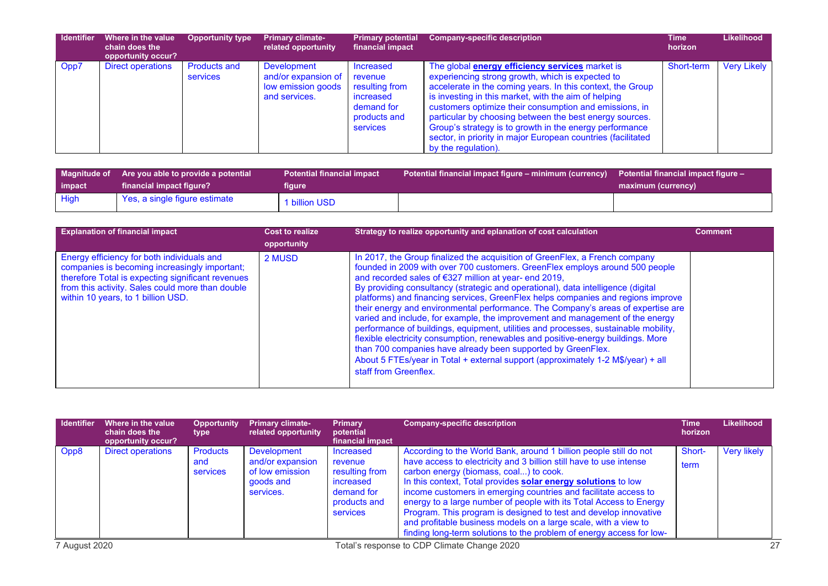| <b>Identifier</b> | Where in the value<br>chain does the<br>opportunity occur? | <b>Opportunity type</b>         | <b>Primary climate-</b><br>related opportunity                                   | <b>Primary potential</b><br>financial impact                                                         | <b>Company-specific description</b>                                                                                                                                                                                                                                                                                                                                                                                                                                                                     | Time<br>horizon | <b>Likelihood</b>  |
|-------------------|------------------------------------------------------------|---------------------------------|----------------------------------------------------------------------------------|------------------------------------------------------------------------------------------------------|---------------------------------------------------------------------------------------------------------------------------------------------------------------------------------------------------------------------------------------------------------------------------------------------------------------------------------------------------------------------------------------------------------------------------------------------------------------------------------------------------------|-----------------|--------------------|
| Opp7              | <b>Direct operations</b>                                   | <b>Products and</b><br>services | <b>Development</b><br>and/or expansion of<br>low emission goods<br>and services. | <b>Increased</b><br>revenue<br>resulting from<br>increased<br>demand for<br>products and<br>services | The global <b>energy efficiency services</b> market is<br>experiencing strong growth, which is expected to<br>accelerate in the coming years. In this context, the Group<br>is investing in this market, with the aim of helping<br>customers optimize their consumption and emissions, in<br>particular by choosing between the best energy sources.<br>Group's strategy is to growth in the energy performance<br>sector, in priority in major European countries (facilitated<br>by the regulation). | Short-term      | <b>Very Likely</b> |

| impact      | Magnitude of Are you able to provide a potential<br>financial impact figure? | <b>Potential financial impact</b><br>figure | Potential financial impact figure – minimum (currency) Potential financial impact figure – | maximum (currency) |
|-------------|------------------------------------------------------------------------------|---------------------------------------------|--------------------------------------------------------------------------------------------|--------------------|
| <b>High</b> | Yes, a single figure estimate                                                | billion USD                                 |                                                                                            |                    |

| <b>Explanation of financial impact</b>                                                                                                                                                                                                     | <b>Cost to realize</b><br>opportunity | Strategy to realize opportunity and eplanation of cost calculation                                                                                                                                                                                                                                                                                                                                                                                                                                                                                                                                                                                                                                                                                                                                                                                                                                                        | <b>Comment</b> |
|--------------------------------------------------------------------------------------------------------------------------------------------------------------------------------------------------------------------------------------------|---------------------------------------|---------------------------------------------------------------------------------------------------------------------------------------------------------------------------------------------------------------------------------------------------------------------------------------------------------------------------------------------------------------------------------------------------------------------------------------------------------------------------------------------------------------------------------------------------------------------------------------------------------------------------------------------------------------------------------------------------------------------------------------------------------------------------------------------------------------------------------------------------------------------------------------------------------------------------|----------------|
| Energy efficiency for both individuals and<br>companies is becoming increasingly important;<br>therefore Total is expecting significant revenues<br>from this activity. Sales could more than double<br>within 10 years, to 1 billion USD. | 2 MUSD                                | In 2017, the Group finalized the acquisition of GreenFlex, a French company<br>founded in 2009 with over 700 customers. GreenFlex employs around 500 people<br>and recorded sales of €327 million at year- end 2019,<br>By providing consultancy (strategic and operational), data intelligence (digital<br>platforms) and financing services, GreenFlex helps companies and regions improve<br>their energy and environmental performance. The Company's areas of expertise are<br>varied and include, for example, the improvement and management of the energy<br>performance of buildings, equipment, utilities and processes, sustainable mobility,<br>flexible electricity consumption, renewables and positive-energy buildings. More<br>than 700 companies have already been supported by GreenFlex.<br>About 5 FTEs/year in Total + external support (approximately 1-2 M\$/year) + all<br>staff from Greenflex. |                |

| <b>Identifier</b>                                            | Where in the value<br>chain does the<br>opportunity occur? | <b>Opportunity</b><br>type                | <b>Primary climate-</b><br>related opportunity                               | <b>Primary</b><br>potential<br>financial impact                                               | <b>Company-specific description</b>                                                                                                                                                                                                                                                                                                                                                                                                                                                                                                                                                                        | Time<br>horizon | Likelihood         |
|--------------------------------------------------------------|------------------------------------------------------------|-------------------------------------------|------------------------------------------------------------------------------|-----------------------------------------------------------------------------------------------|------------------------------------------------------------------------------------------------------------------------------------------------------------------------------------------------------------------------------------------------------------------------------------------------------------------------------------------------------------------------------------------------------------------------------------------------------------------------------------------------------------------------------------------------------------------------------------------------------------|-----------------|--------------------|
| Opp8                                                         | <b>Direct operations</b>                                   | <b>Products</b><br>and<br><b>services</b> | Development<br>and/or expansion<br>of low emission<br>goods and<br>services. | Increased<br>revenue<br>resulting from<br>increased<br>demand for<br>products and<br>services | According to the World Bank, around 1 billion people still do not<br>have access to electricity and 3 billion still have to use intense<br>carbon energy (biomass, coal) to cook.<br>In this context, Total provides solar energy solutions to low<br>income customers in emerging countries and facilitate access to<br>energy to a large number of people with its Total Access to Energy<br>Program. This program is designed to test and develop innovative<br>and profitable business models on a large scale, with a view to<br>finding long-term solutions to the problem of energy access for low- | Short-<br>term  | <b>Very likely</b> |
| Total's response to CDP Climate Change 2020<br>7 August 2020 |                                                            |                                           |                                                                              | 27                                                                                            |                                                                                                                                                                                                                                                                                                                                                                                                                                                                                                                                                                                                            |                 |                    |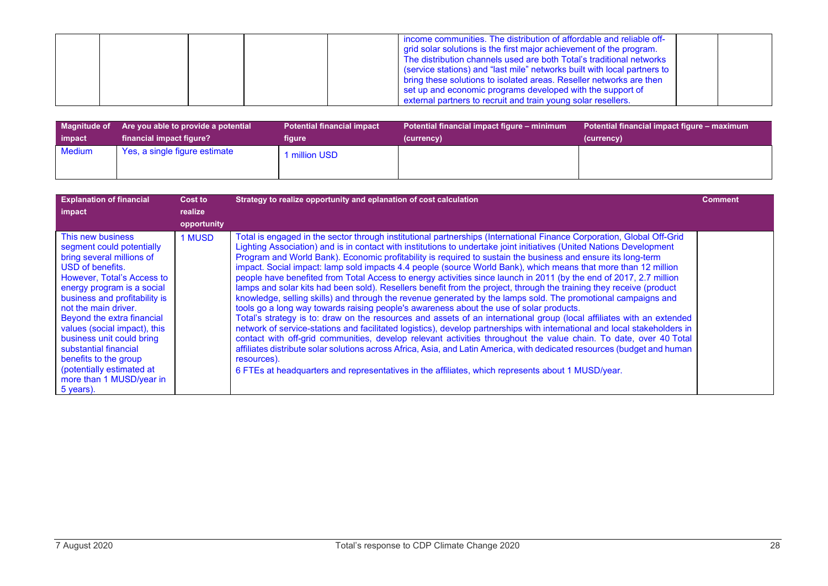|  | I income communities. The distribution of affordable and reliable off-<br>grid solar solutions is the first major achievement of the program.<br>The distribution channels used are both Total's traditional networks<br>(service stations) and "last mile" networks built with local partners to<br>bring these solutions to isolated areas. Reseller networks are then<br>set up and economic programs developed with the support of |  |
|--|----------------------------------------------------------------------------------------------------------------------------------------------------------------------------------------------------------------------------------------------------------------------------------------------------------------------------------------------------------------------------------------------------------------------------------------|--|
|  | external partners to recruit and train young solar resellers.                                                                                                                                                                                                                                                                                                                                                                          |  |

| <b>Magnitude of</b> | Are you able to provide a potential | <b>Potential financial impact</b> | Potential financial impact figure – minimum | Potential financial impact figure - maximum |
|---------------------|-------------------------------------|-----------------------------------|---------------------------------------------|---------------------------------------------|
| impact              | financial impact figure?            | figure                            | (currency)                                  | (currency)                                  |
| Medium              | Yes, a single figure estimate       | million USD                       |                                             |                                             |

| <b>Explanation of financial</b>                                                                                                                                                                                                                                                                                                                                                                                                         | Cost to     | Strategy to realize opportunity and eplanation of cost calculation                                                                                                                                                                                                                                                                                                                                                                                                                                                                                                                                                                                                                                                                                                                                                                                                                                                                                                                                                                                                                                                                                                                                                                                                                                                                                                                                                                                                                                                                                                  | <b>Comment</b> |
|-----------------------------------------------------------------------------------------------------------------------------------------------------------------------------------------------------------------------------------------------------------------------------------------------------------------------------------------------------------------------------------------------------------------------------------------|-------------|---------------------------------------------------------------------------------------------------------------------------------------------------------------------------------------------------------------------------------------------------------------------------------------------------------------------------------------------------------------------------------------------------------------------------------------------------------------------------------------------------------------------------------------------------------------------------------------------------------------------------------------------------------------------------------------------------------------------------------------------------------------------------------------------------------------------------------------------------------------------------------------------------------------------------------------------------------------------------------------------------------------------------------------------------------------------------------------------------------------------------------------------------------------------------------------------------------------------------------------------------------------------------------------------------------------------------------------------------------------------------------------------------------------------------------------------------------------------------------------------------------------------------------------------------------------------|----------------|
| impact                                                                                                                                                                                                                                                                                                                                                                                                                                  | realize     |                                                                                                                                                                                                                                                                                                                                                                                                                                                                                                                                                                                                                                                                                                                                                                                                                                                                                                                                                                                                                                                                                                                                                                                                                                                                                                                                                                                                                                                                                                                                                                     |                |
|                                                                                                                                                                                                                                                                                                                                                                                                                                         | opportunity |                                                                                                                                                                                                                                                                                                                                                                                                                                                                                                                                                                                                                                                                                                                                                                                                                                                                                                                                                                                                                                                                                                                                                                                                                                                                                                                                                                                                                                                                                                                                                                     |                |
| This new business<br>segment could potentially<br>bring several millions of<br>USD of benefits.<br>However, Total's Access to<br>energy program is a social<br>business and profitability is<br>not the main driver.<br>Beyond the extra financial<br>values (social impact), this<br>business unit could bring<br>substantial financial<br>benefits to the group<br>(potentially estimated at<br>more than 1 MUSD/year in<br>5 years). | 1 MUSD      | Total is engaged in the sector through institutional partnerships (International Finance Corporation, Global Off-Grid<br>Lighting Association) and is in contact with institutions to undertake joint initiatives (United Nations Development<br>Program and World Bank). Economic profitability is required to sustain the business and ensure its long-term<br>impact. Social impact: lamp sold impacts 4.4 people (source World Bank), which means that more than 12 million<br>people have benefited from Total Access to energy activities since launch in 2011 (by the end of 2017, 2.7 million<br>lamps and solar kits had been sold). Resellers benefit from the project, through the training they receive (product<br>knowledge, selling skills) and through the revenue generated by the lamps sold. The promotional campaigns and<br>tools go a long way towards raising people's awareness about the use of solar products.<br>Total's strategy is to: draw on the resources and assets of an international group (local affiliates with an extended<br>network of service-stations and facilitated logistics), develop partnerships with international and local stakeholders in<br>contact with off-grid communities, develop relevant activities throughout the value chain. To date, over 40 Total<br>affiliates distribute solar solutions across Africa, Asia, and Latin America, with dedicated resources (budget and human<br>resources).<br>6 FTEs at headquarters and representatives in the affiliates, which represents about 1 MUSD/year. |                |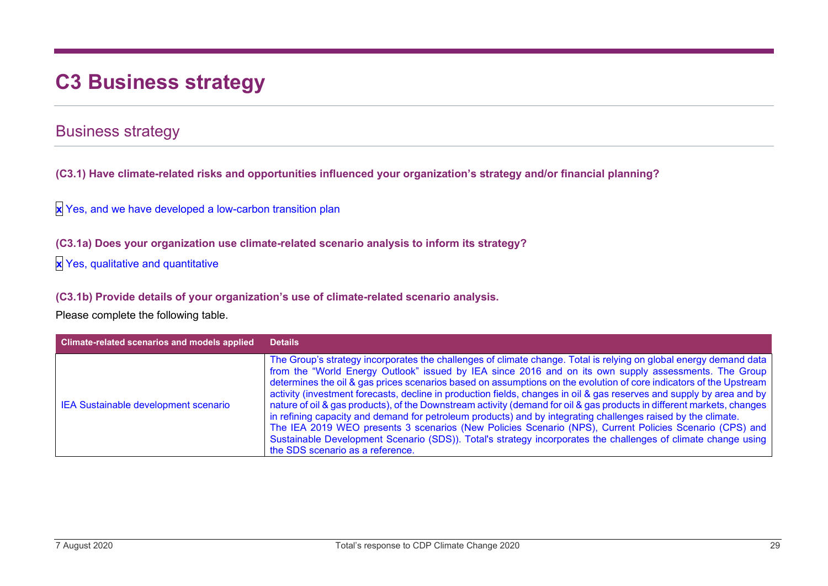# **C3 Business strategy**

### Business strategy

**(C3.1) Have climate-related risks and opportunities influenced your organization's strategy and/or financial planning?**

**x** Yes, and we have developed a low-carbon transition plan

**(C3.1a) Does your organization use climate-related scenario analysis to inform its strategy?**

**x** Yes, qualitative and quantitative

**(C3.1b) Provide details of your organization's use of climate-related scenario analysis.**

| Climate-related scenarios and models applied | <b>Details</b>                                                                                                                                                                                                                                                                                                                                                                                                                                                                                                                                                                                                                                                                                                                                                                                                                                                                                                                                                                      |
|----------------------------------------------|-------------------------------------------------------------------------------------------------------------------------------------------------------------------------------------------------------------------------------------------------------------------------------------------------------------------------------------------------------------------------------------------------------------------------------------------------------------------------------------------------------------------------------------------------------------------------------------------------------------------------------------------------------------------------------------------------------------------------------------------------------------------------------------------------------------------------------------------------------------------------------------------------------------------------------------------------------------------------------------|
| IEA Sustainable development scenario         | The Group's strategy incorporates the challenges of climate change. Total is relying on global energy demand data<br>from the "World Energy Outlook" issued by IEA since 2016 and on its own supply assessments. The Group<br>determines the oil & gas prices scenarios based on assumptions on the evolution of core indicators of the Upstream<br>activity (investment forecasts, decline in production fields, changes in oil & gas reserves and supply by area and by<br>nature of oil & gas products), of the Downstream activity (demand for oil & gas products in different markets, changes<br>in refining capacity and demand for petroleum products) and by integrating challenges raised by the climate.<br>The IEA 2019 WEO presents 3 scenarios (New Policies Scenario (NPS), Current Policies Scenario (CPS) and<br>Sustainable Development Scenario (SDS)). Total's strategy incorporates the challenges of climate change using<br>the SDS scenario as a reference. |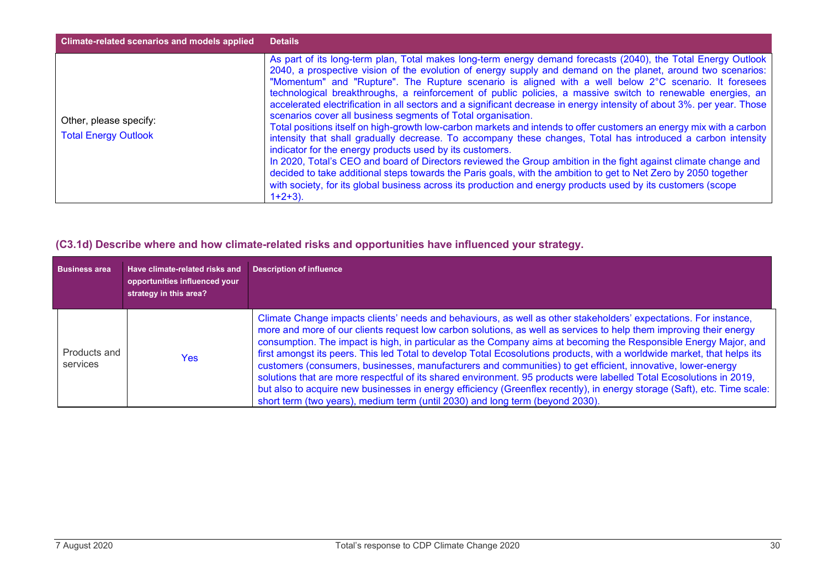| <b>Climate-related scenarios and models applied</b>   | <b>Details</b>                                                                                                                                                                                                                                                                                                                                                                                                                                                                                                                                                                                                                                                                                                                                                                                                                                                                                                                                                                                                                                                                                                                                                                                                                                                                                                         |
|-------------------------------------------------------|------------------------------------------------------------------------------------------------------------------------------------------------------------------------------------------------------------------------------------------------------------------------------------------------------------------------------------------------------------------------------------------------------------------------------------------------------------------------------------------------------------------------------------------------------------------------------------------------------------------------------------------------------------------------------------------------------------------------------------------------------------------------------------------------------------------------------------------------------------------------------------------------------------------------------------------------------------------------------------------------------------------------------------------------------------------------------------------------------------------------------------------------------------------------------------------------------------------------------------------------------------------------------------------------------------------------|
| Other, please specify:<br><b>Total Energy Outlook</b> | As part of its long-term plan, Total makes long-term energy demand forecasts (2040), the Total Energy Outlook<br>2040, a prospective vision of the evolution of energy supply and demand on the planet, around two scenarios:<br>"Momentum" and "Rupture". The Rupture scenario is aligned with a well below 2°C scenario. It foresees<br>technological breakthroughs, a reinforcement of public policies, a massive switch to renewable energies, an<br>accelerated electrification in all sectors and a significant decrease in energy intensity of about 3%. per year. Those<br>scenarios cover all business segments of Total organisation.<br>Total positions itself on high-growth low-carbon markets and intends to offer customers an energy mix with a carbon<br>intensity that shall gradually decrease. To accompany these changes, Total has introduced a carbon intensity<br>indicator for the energy products used by its customers.<br>In 2020, Total's CEO and board of Directors reviewed the Group ambition in the fight against climate change and<br>decided to take additional steps towards the Paris goals, with the ambition to get to Net Zero by 2050 together<br>with society, for its global business across its production and energy products used by its customers (scope<br>$1+2+3$ ). |

#### **(C3.1d) Describe where and how climate-related risks and opportunities have influenced your strategy.**

| <b>Business area</b>     | Have climate-related risks and<br>opportunities influenced your<br>strategy in this area? | <b>Description of influence</b>                                                                                                                                                                                                                                                                                                                                                                                                                                                                                                                                                                                                                                                                                                                                                                                                                                                                                                          |
|--------------------------|-------------------------------------------------------------------------------------------|------------------------------------------------------------------------------------------------------------------------------------------------------------------------------------------------------------------------------------------------------------------------------------------------------------------------------------------------------------------------------------------------------------------------------------------------------------------------------------------------------------------------------------------------------------------------------------------------------------------------------------------------------------------------------------------------------------------------------------------------------------------------------------------------------------------------------------------------------------------------------------------------------------------------------------------|
| Products and<br>services | Yes:                                                                                      | Climate Change impacts clients' needs and behaviours, as well as other stakeholders' expectations. For instance,<br>more and more of our clients request low carbon solutions, as well as services to help them improving their energy<br>consumption. The impact is high, in particular as the Company aims at becoming the Responsible Energy Major, and<br>first amongst its peers. This led Total to develop Total Ecosolutions products, with a worldwide market, that helps its<br>customers (consumers, businesses, manufacturers and communities) to get efficient, innovative, lower-energy<br>solutions that are more respectful of its shared environment. 95 products were labelled Total Ecosolutions in 2019,<br>but also to acquire new businesses in energy efficiency (Greenflex recently), in energy storage (Saft), etc. Time scale:<br>short term (two years), medium term (until 2030) and long term (beyond 2030). |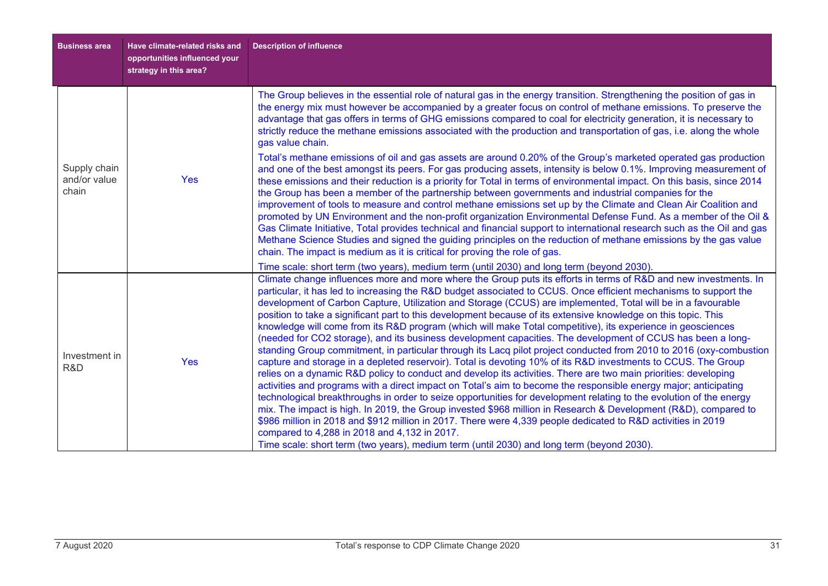| <b>Business area</b>                  | Have climate-related risks and<br>opportunities influenced your<br>strategy in this area? | <b>Description of influence</b>                                                                                                                                                                                                                                                                                                                                                                                                                                                                                                                                                                                                                                                                                                                                                                                                                                                                                                                                                                                                                                                                                                                                                                                                                                                                                                                                                                                                                                                                                                                                                                                                                                                                                                                                                         |
|---------------------------------------|-------------------------------------------------------------------------------------------|-----------------------------------------------------------------------------------------------------------------------------------------------------------------------------------------------------------------------------------------------------------------------------------------------------------------------------------------------------------------------------------------------------------------------------------------------------------------------------------------------------------------------------------------------------------------------------------------------------------------------------------------------------------------------------------------------------------------------------------------------------------------------------------------------------------------------------------------------------------------------------------------------------------------------------------------------------------------------------------------------------------------------------------------------------------------------------------------------------------------------------------------------------------------------------------------------------------------------------------------------------------------------------------------------------------------------------------------------------------------------------------------------------------------------------------------------------------------------------------------------------------------------------------------------------------------------------------------------------------------------------------------------------------------------------------------------------------------------------------------------------------------------------------------|
|                                       |                                                                                           | The Group believes in the essential role of natural gas in the energy transition. Strengthening the position of gas in<br>the energy mix must however be accompanied by a greater focus on control of methane emissions. To preserve the<br>advantage that gas offers in terms of GHG emissions compared to coal for electricity generation, it is necessary to<br>strictly reduce the methane emissions associated with the production and transportation of gas, i.e. along the whole<br>gas value chain.                                                                                                                                                                                                                                                                                                                                                                                                                                                                                                                                                                                                                                                                                                                                                                                                                                                                                                                                                                                                                                                                                                                                                                                                                                                                             |
| Supply chain<br>and/or value<br>chain | Yes                                                                                       | Total's methane emissions of oil and gas assets are around 0.20% of the Group's marketed operated gas production<br>and one of the best amongst its peers. For gas producing assets, intensity is below 0.1%. Improving measurement of<br>these emissions and their reduction is a priority for Total in terms of environmental impact. On this basis, since 2014<br>the Group has been a member of the partnership between governments and industrial companies for the<br>improvement of tools to measure and control methane emissions set up by the Climate and Clean Air Coalition and<br>promoted by UN Environment and the non-profit organization Environmental Defense Fund. As a member of the Oil &<br>Gas Climate Initiative, Total provides technical and financial support to international research such as the Oil and gas<br>Methane Science Studies and signed the guiding principles on the reduction of methane emissions by the gas value<br>chain. The impact is medium as it is critical for proving the role of gas.                                                                                                                                                                                                                                                                                                                                                                                                                                                                                                                                                                                                                                                                                                                                            |
| Investment in<br>R&D                  | <b>Yes</b>                                                                                | Time scale: short term (two years), medium term (until 2030) and long term (beyond 2030).<br>Climate change influences more and more where the Group puts its efforts in terms of R&D and new investments. In<br>particular, it has led to increasing the R&D budget associated to CCUS. Once efficient mechanisms to support the<br>development of Carbon Capture, Utilization and Storage (CCUS) are implemented, Total will be in a favourable<br>position to take a significant part to this development because of its extensive knowledge on this topic. This<br>knowledge will come from its R&D program (which will make Total competitive), its experience in geosciences<br>(needed for CO2 storage), and its business development capacities. The development of CCUS has been a long-<br>standing Group commitment, in particular through its Lacq pilot project conducted from 2010 to 2016 (oxy-combustion<br>capture and storage in a depleted reservoir). Total is devoting 10% of its R&D investments to CCUS. The Group<br>relies on a dynamic R&D policy to conduct and develop its activities. There are two main priorities: developing<br>activities and programs with a direct impact on Total's aim to become the responsible energy major; anticipating<br>technological breakthroughs in order to seize opportunities for development relating to the evolution of the energy<br>mix. The impact is high. In 2019, the Group invested \$968 million in Research & Development (R&D), compared to<br>\$986 million in 2018 and \$912 million in 2017. There were 4,339 people dedicated to R&D activities in 2019<br>compared to 4,288 in 2018 and 4,132 in 2017.<br>Time scale: short term (two years), medium term (until 2030) and long term (beyond 2030). |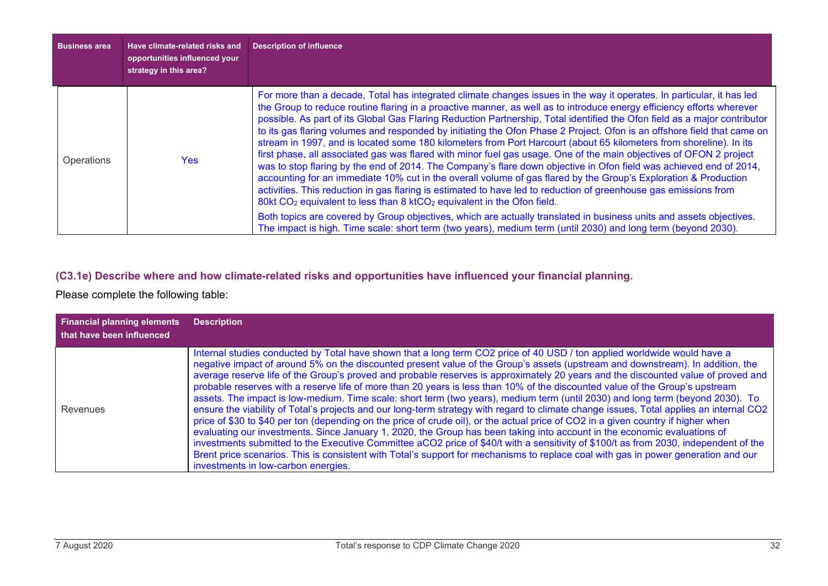| <b>Business area</b> | Have climate-related risks and<br>opportunities influenced your<br>strategy in this area? | <b>Description of influence</b>                                                                                                                                                                                                                                                                                                                                                                                                                                                                                                                                                                                                                                                                                                                                                                                                                                                                                                                                                                                                                                                                                                                                                                                                                                                                                                                                                                                                                           |
|----------------------|-------------------------------------------------------------------------------------------|-----------------------------------------------------------------------------------------------------------------------------------------------------------------------------------------------------------------------------------------------------------------------------------------------------------------------------------------------------------------------------------------------------------------------------------------------------------------------------------------------------------------------------------------------------------------------------------------------------------------------------------------------------------------------------------------------------------------------------------------------------------------------------------------------------------------------------------------------------------------------------------------------------------------------------------------------------------------------------------------------------------------------------------------------------------------------------------------------------------------------------------------------------------------------------------------------------------------------------------------------------------------------------------------------------------------------------------------------------------------------------------------------------------------------------------------------------------|
| Operations           | Yes.                                                                                      | For more than a decade, Total has integrated climate changes issues in the way it operates. In particular, it has led<br>the Group to reduce routine flaring in a proactive manner, as well as to introduce energy efficiency efforts wherever<br>possible. As part of its Global Gas Flaring Reduction Partnership, Total identified the Ofon field as a major contributor<br>to its gas flaring volumes and responded by initiating the Ofon Phase 2 Project. Ofon is an offshore field that came on<br>stream in 1997, and is located some 180 kilometers from Port Harcourt (about 65 kilometers from shoreline). In its<br>first phase, all associated gas was flared with minor fuel gas usage. One of the main objectives of OFON 2 project<br>was to stop flaring by the end of 2014. The Company's flare down objective in Ofon field was achieved end of 2014,<br>accounting for an immediate 10% cut in the overall volume of gas flared by the Group's Exploration & Production<br>activities. This reduction in gas flaring is estimated to have led to reduction of greenhouse gas emissions from<br>80kt CO <sub>2</sub> equivalent to less than 8 ktCO <sub>2</sub> equivalent in the Ofon field.<br>Both topics are covered by Group objectives, which are actually translated in business units and assets objectives.<br>The impact is high. Time scale: short term (two years), medium term (until 2030) and long term (beyond 2030). |

#### **(C3.1e) Describe where and how climate-related risks and opportunities have influenced your financial planning.**

| <b>Financial planning elements</b><br>that have been influenced | <b>Description</b>                                                                                                                                                                                                                                                                                                                                                                                                                                                                                                                                                                                                                                                                                                                                                                                                                                                                                                                                                                                                                                                                                                                                                                                                                                                                                                                                                                                 |
|-----------------------------------------------------------------|----------------------------------------------------------------------------------------------------------------------------------------------------------------------------------------------------------------------------------------------------------------------------------------------------------------------------------------------------------------------------------------------------------------------------------------------------------------------------------------------------------------------------------------------------------------------------------------------------------------------------------------------------------------------------------------------------------------------------------------------------------------------------------------------------------------------------------------------------------------------------------------------------------------------------------------------------------------------------------------------------------------------------------------------------------------------------------------------------------------------------------------------------------------------------------------------------------------------------------------------------------------------------------------------------------------------------------------------------------------------------------------------------|
| Revenues                                                        | Internal studies conducted by Total have shown that a long term CO2 price of 40 USD / ton applied worldwide would have a<br>negative impact of around 5% on the discounted present value of the Group's assets (upstream and downstream). In addition, the<br>average reserve life of the Group's proved and probable reserves is approximately 20 years and the discounted value of proved and<br>probable reserves with a reserve life of more than 20 years is less than 10% of the discounted value of the Group's upstream<br>assets. The impact is low-medium. Time scale: short term (two years), medium term (until 2030) and long term (beyond 2030). To<br>ensure the viability of Total's projects and our long-term strategy with regard to climate change issues, Total applies an internal CO2<br>price of \$30 to \$40 per ton (depending on the price of crude oil), or the actual price of CO2 in a given country if higher when<br>evaluating our investments. Since January 1, 2020, the Group has been taking into account in the economic evaluations of<br>investments submitted to the Executive Committee aCO2 price of \$40/t with a sensitivity of \$100/t as from 2030, independent of the<br>Brent price scenarios. This is consistent with Total's support for mechanisms to replace coal with gas in power generation and our<br>investments in low-carbon energies. |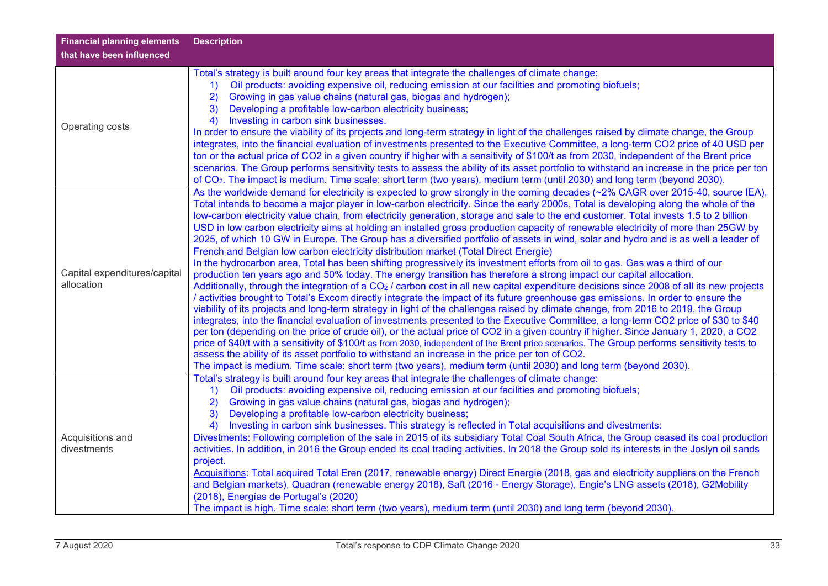| <b>Financial planning elements</b><br>that have been influenced | <b>Description</b>                                                                                                                                                                                                                                                                                                                                                                                                                                                                                                                                                                                                                                                                                                                                                                                                                                                                                                                                                                                                                                                                                                                                                                                                                                                                                                                                                                                                                                                                                                                                                                                                                                                                                                                                                                                                                                                                                                                                                                                                                                                                                                                      |
|-----------------------------------------------------------------|-----------------------------------------------------------------------------------------------------------------------------------------------------------------------------------------------------------------------------------------------------------------------------------------------------------------------------------------------------------------------------------------------------------------------------------------------------------------------------------------------------------------------------------------------------------------------------------------------------------------------------------------------------------------------------------------------------------------------------------------------------------------------------------------------------------------------------------------------------------------------------------------------------------------------------------------------------------------------------------------------------------------------------------------------------------------------------------------------------------------------------------------------------------------------------------------------------------------------------------------------------------------------------------------------------------------------------------------------------------------------------------------------------------------------------------------------------------------------------------------------------------------------------------------------------------------------------------------------------------------------------------------------------------------------------------------------------------------------------------------------------------------------------------------------------------------------------------------------------------------------------------------------------------------------------------------------------------------------------------------------------------------------------------------------------------------------------------------------------------------------------------------|
| Operating costs                                                 | Total's strategy is built around four key areas that integrate the challenges of climate change:<br>Oil products: avoiding expensive oil, reducing emission at our facilities and promoting biofuels;<br>1)<br>Growing in gas value chains (natural gas, biogas and hydrogen);<br>2)<br>Developing a profitable low-carbon electricity business;<br>3)<br>Investing in carbon sink businesses.<br>4)<br>In order to ensure the viability of its projects and long-term strategy in light of the challenges raised by climate change, the Group<br>integrates, into the financial evaluation of investments presented to the Executive Committee, a long-term CO2 price of 40 USD per<br>ton or the actual price of CO2 in a given country if higher with a sensitivity of \$100/t as from 2030, independent of the Brent price<br>scenarios. The Group performs sensitivity tests to assess the ability of its asset portfolio to withstand an increase in the price per ton<br>of CO <sub>2</sub> . The impact is medium. Time scale: short term (two years), medium term (until 2030) and long term (beyond 2030).                                                                                                                                                                                                                                                                                                                                                                                                                                                                                                                                                                                                                                                                                                                                                                                                                                                                                                                                                                                                                    |
| Capital expenditures/capital<br>allocation                      | As the worldwide demand for electricity is expected to grow strongly in the coming decades (~2% CAGR over 2015-40, source IEA),<br>Total intends to become a major player in low-carbon electricity. Since the early 2000s, Total is developing along the whole of the<br>low-carbon electricity value chain, from electricity generation, storage and sale to the end customer. Total invests 1.5 to 2 billion<br>USD in low carbon electricity aims at holding an installed gross production capacity of renewable electricity of more than 25GW by<br>2025, of which 10 GW in Europe. The Group has a diversified portfolio of assets in wind, solar and hydro and is as well a leader of<br>French and Belgian low carbon electricity distribution market (Total Direct Energie)<br>In the hydrocarbon area, Total has been shifting progressively its investment efforts from oil to gas. Gas was a third of our<br>production ten years ago and 50% today. The energy transition has therefore a strong impact our capital allocation.<br>Additionally, through the integration of a CO <sub>2</sub> / carbon cost in all new capital expenditure decisions since 2008 of all its new projects<br>/ activities brought to Total's Excom directly integrate the impact of its future greenhouse gas emissions. In order to ensure the<br>viability of its projects and long-term strategy in light of the challenges raised by climate change, from 2016 to 2019, the Group<br>integrates, into the financial evaluation of investments presented to the Executive Committee, a long-term CO2 price of \$30 to \$40<br>per ton (depending on the price of crude oil), or the actual price of CO2 in a given country if higher. Since January 1, 2020, a CO2<br>price of \$40/t with a sensitivity of \$100/t as from 2030, independent of the Brent price scenarios. The Group performs sensitivity tests to<br>assess the ability of its asset portfolio to withstand an increase in the price per ton of CO2.<br>The impact is medium. Time scale: short term (two years), medium term (until 2030) and long term (beyond 2030). |
| Acquisitions and<br>divestments                                 | Total's strategy is built around four key areas that integrate the challenges of climate change:<br>Oil products: avoiding expensive oil, reducing emission at our facilities and promoting biofuels;<br>$\left( \begin{matrix} 1 \end{matrix} \right)$<br>2)<br>Growing in gas value chains (natural gas, biogas and hydrogen);<br>Developing a profitable low-carbon electricity business;<br>3)<br>Investing in carbon sink businesses. This strategy is reflected in Total acquisitions and divestments:<br>4)<br>Divestments: Following completion of the sale in 2015 of its subsidiary Total Coal South Africa, the Group ceased its coal production<br>activities. In addition, in 2016 the Group ended its coal trading activities. In 2018 the Group sold its interests in the Joslyn oil sands<br>project.<br>Acquisitions: Total acquired Total Eren (2017, renewable energy) Direct Energie (2018, gas and electricity suppliers on the French<br>and Belgian markets), Quadran (renewable energy 2018), Saft (2016 - Energy Storage), Engie's LNG assets (2018), G2Mobility<br>(2018), Energías de Portugal's (2020)<br>The impact is high. Time scale: short term (two years), medium term (until 2030) and long term (beyond 2030).                                                                                                                                                                                                                                                                                                                                                                                                                                                                                                                                                                                                                                                                                                                                                                                                                                                                                     |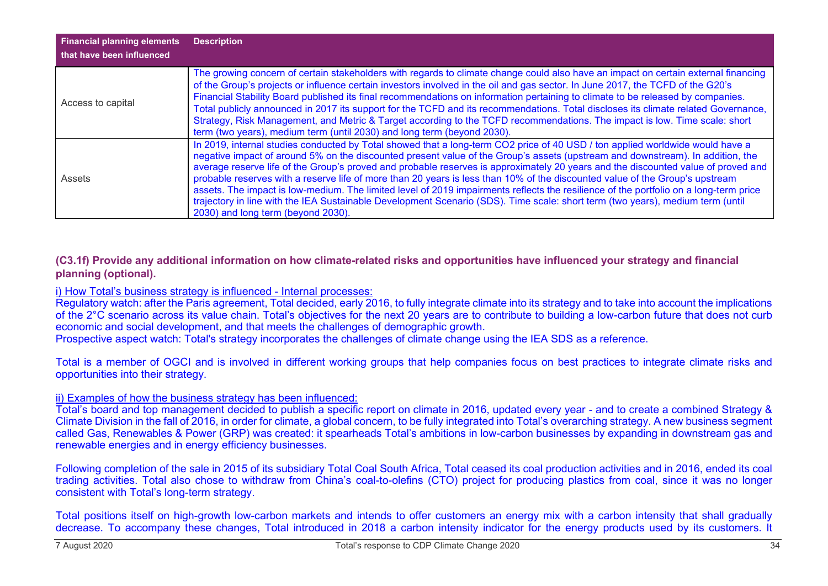| <b>Financial planning elements</b><br>that have been influenced | <b>Description</b>                                                                                                                                                                                                                                                                                                                                                                                                                                                                                                                                                                                                                                                                                                                                                                                                                                    |
|-----------------------------------------------------------------|-------------------------------------------------------------------------------------------------------------------------------------------------------------------------------------------------------------------------------------------------------------------------------------------------------------------------------------------------------------------------------------------------------------------------------------------------------------------------------------------------------------------------------------------------------------------------------------------------------------------------------------------------------------------------------------------------------------------------------------------------------------------------------------------------------------------------------------------------------|
| Access to capital                                               | The growing concern of certain stakeholders with regards to climate change could also have an impact on certain external financing<br>of the Group's projects or influence certain investors involved in the oil and gas sector. In June 2017, the TCFD of the G20's<br>Financial Stability Board published its final recommendations on information pertaining to climate to be released by companies.<br>Total publicly announced in 2017 its support for the TCFD and its recommendations. Total discloses its climate related Governance,<br>Strategy, Risk Management, and Metric & Target according to the TCFD recommendations. The impact is low. Time scale: short<br>term (two years), medium term (until 2030) and long term (beyond 2030).                                                                                                |
| <b>Assets</b>                                                   | In 2019, internal studies conducted by Total showed that a long-term CO2 price of 40 USD / ton applied worldwide would have a<br>negative impact of around 5% on the discounted present value of the Group's assets (upstream and downstream). In addition, the<br>average reserve life of the Group's proved and probable reserves is approximately 20 years and the discounted value of proved and<br>probable reserves with a reserve life of more than 20 years is less than 10% of the discounted value of the Group's upstream<br>assets. The impact is low-medium. The limited level of 2019 impairments reflects the resilience of the portfolio on a long-term price<br>trajectory in line with the IEA Sustainable Development Scenario (SDS). Time scale: short term (two years), medium term (until<br>2030) and long term (beyond 2030). |

#### **(C3.1f) Provide any additional information on how climate-related risks and opportunities have influenced your strategy and financial planning (optional).**

#### i) How Total's business strategy is influenced - Internal processes:

Regulatory watch: after the Paris agreement, Total decided, early 2016, to fully integrate climate into its strategy and to take into account the implications of the 2°C scenario across its value chain. Total's objectives for the next 20 years are to contribute to building a low-carbon future that does not curb economic and social development, and that meets the challenges of demographic growth.

Prospective aspect watch: Total's strategy incorporates the challenges of climate change using the IEA SDS as a reference.

Total is a member of OGCI and is involved in different working groups that help companies focus on best practices to integrate climate risks and opportunities into their strategy.

#### ii) Examples of how the business strategy has been influenced:

Total's board and top management decided to publish a specific report on climate in 2016, updated every year - and to create a combined Strategy & Climate Division in the fall of 2016, in order for climate, a global concern, to be fully integrated into Total's overarching strategy. A new business segment called Gas, Renewables & Power (GRP) was created: it spearheads Total's ambitions in low-carbon businesses by expanding in downstream gas and renewable energies and in energy efficiency businesses.

Following completion of the sale in 2015 of its subsidiary Total Coal South Africa, Total ceased its coal production activities and in 2016, ended its coal trading activities. Total also chose to withdraw from China's coal-to-olefins (CTO) project for producing plastics from coal, since it was no longer consistent with Total's long-term strategy.

Total positions itself on high-growth low-carbon markets and intends to offer customers an energy mix with a carbon intensity that shall gradually decrease. To accompany these changes, Total introduced in 2018 a carbon intensity indicator for the energy products used by its customers. It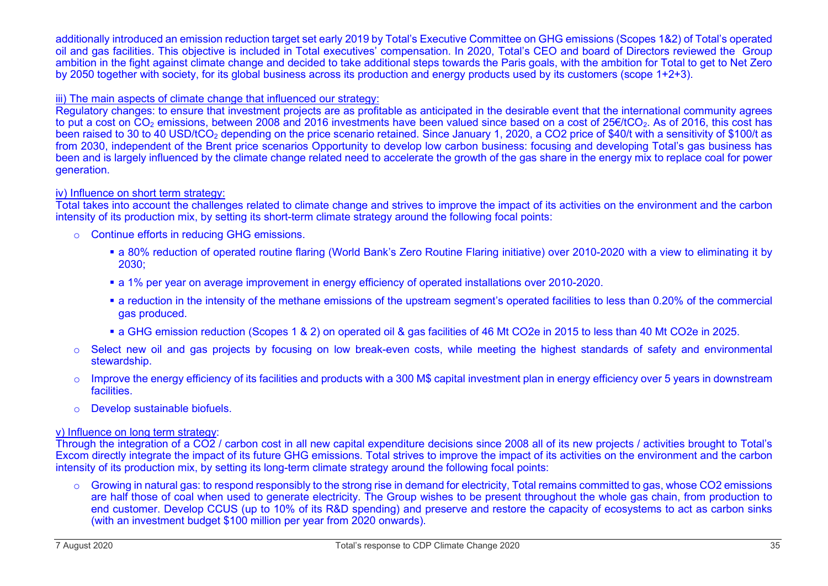#### additionally introduced an emission reduction target set early 2019 by Total's Executive Committee on GHG emissions (Scopes 1&2) of Total's operated oil and gas facilities. This objective is included in Total executives' compensation. In 2020, Total's CEO and board of Directors reviewed the Group ambition in the fight against climate change and decided to take additional steps towards the Paris goals, with the ambition for Total to get to Net Zero by 2050 together with society, for its global business across its production and energy products used by its customers (scope 1+2+3).

#### iii) The main aspects of climate change that influenced our strategy:

Regulatory changes: to ensure that investment projects are as profitable as anticipated in the desirable event that the international community agrees to put a cost on CO<sub>2</sub> emissions, between 2008 and 2016 investments have been valued since based on a cost of 25€/tCO<sub>2</sub>. As of 2016, this cost has been raised to 30 to 40 USD/tCO<sub>2</sub> depending on the price scenario retained. Since January 1, 2020, a CO2 price of \$40/t with a sensitivity of \$100/t as from 2030, independent of the Brent price scenarios Opportunity to develop low carbon business: focusing and developing Total's gas business has been and is largely influenced by the climate change related need to accelerate the growth of the gas share in the energy mix to replace coal for power generation.

#### iv) Influence on short term strategy:

Total takes into account the challenges related to climate change and strives to improve the impact of its activities on the environment and the carbon intensity of its production mix, by setting its short-term climate strategy around the following focal points:

- o Continue efforts in reducing GHG emissions.
	- a 80% reduction of operated routine flaring (World Bank's Zero Routine Flaring initiative) over 2010-2020 with a view to eliminating it by 2030;
	- a 1% per year on average improvement in energy efficiency of operated installations over 2010-2020.
	- a reduction in the intensity of the methane emissions of the upstream segment's operated facilities to less than 0.20% of the commercial gas produced.
	- a GHG emission reduction (Scopes 1 & 2) on operated oil & gas facilities of 46 Mt CO2e in 2015 to less than 40 Mt CO2e in 2025.
- o Select new oil and gas projects by focusing on low break-even costs, while meeting the highest standards of safety and environmental stewardship.
- o Improve the energy efficiency of its facilities and products with a 300 M\$ capital investment plan in energy efficiency over 5 years in downstream facilities.
- o Develop sustainable biofuels.

#### v) Influence on long term strategy:

Through the integration of a CO2 / carbon cost in all new capital expenditure decisions since 2008 all of its new projects / activities brought to Total's Excom directly integrate the impact of its future GHG emissions. Total strives to improve the impact of its activities on the environment and the carbon intensity of its production mix, by setting its long-term climate strategy around the following focal points:

o Growing in natural gas: to respond responsibly to the strong rise in demand for electricity, Total remains committed to gas, whose CO2 emissions are half those of coal when used to generate electricity. The Group wishes to be present throughout the whole gas chain, from production to end customer. Develop CCUS (up to 10% of its R&D spending) and preserve and restore the capacity of ecosystems to act as carbon sinks (with an investment budget \$100 million per year from 2020 onwards).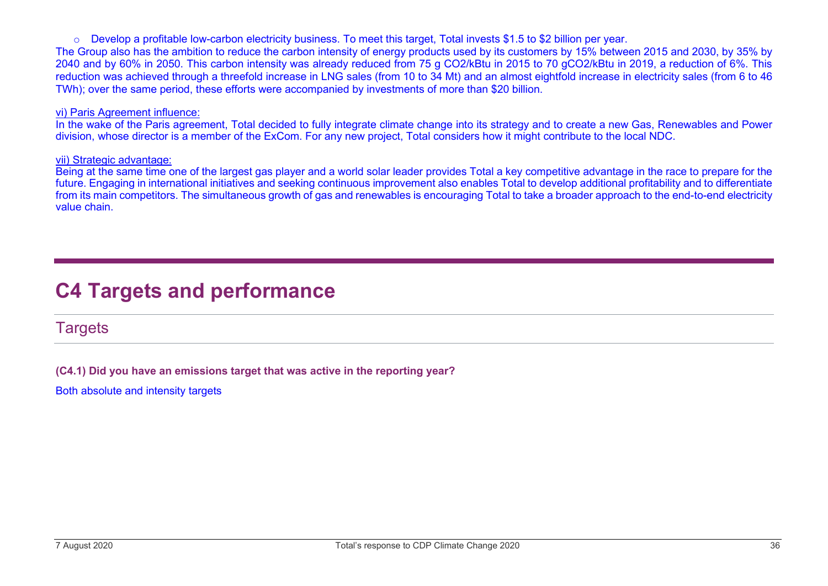$\circ$  Develop a profitable low-carbon electricity business. To meet this target, Total invests \$1.5 to \$2 billion per year.

The Group also has the ambition to reduce the carbon intensity of energy products used by its customers by 15% between 2015 and 2030, by 35% by 2040 and by 60% in 2050. This carbon intensity was already reduced from 75 g CO2/kBtu in 2015 to 70 gCO2/kBtu in 2019, a reduction of 6%. This reduction was achieved through a threefold increase in LNG sales (from 10 to 34 Mt) and an almost eightfold increase in electricity sales (from 6 to 46 TWh); over the same period, these efforts were accompanied by investments of more than \$20 billion.

#### vi) Paris Agreement influence:

In the wake of the Paris agreement, Total decided to fully integrate climate change into its strategy and to create a new Gas, Renewables and Power division, whose director is a member of the ExCom. For any new project, Total considers how it might contribute to the local NDC.

#### vii) Strategic advantage:

Being at the same time one of the largest gas player and a world solar leader provides Total a key competitive advantage in the race to prepare for the future. Engaging in international initiatives and seeking continuous improvement also enables Total to develop additional profitability and to differentiate from its main competitors. The simultaneous growth of gas and renewables is encouraging Total to take a broader approach to the end-to-end electricity value chain.

# **C4 Targets and performance**

**Targets** 

**(C4.1) Did you have an emissions target that was active in the reporting year?**

Both absolute and intensity targets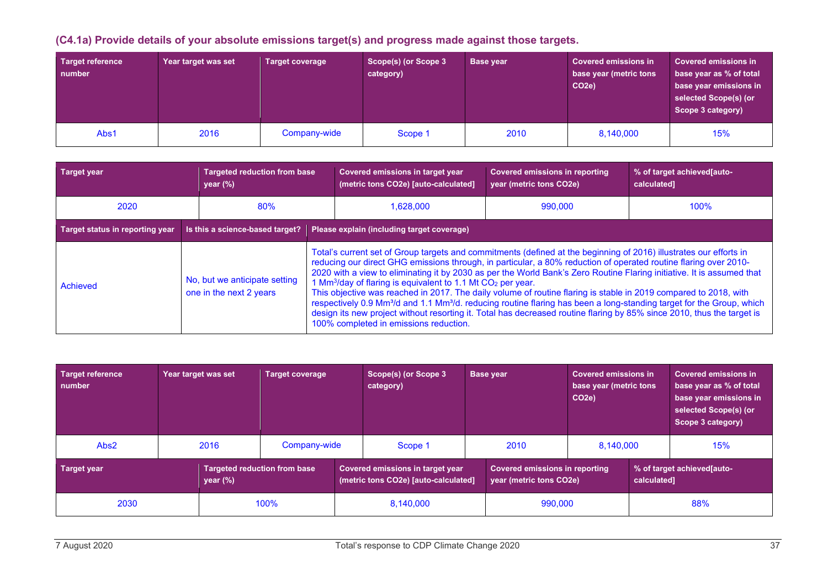### **(C4.1a) Provide details of your absolute emissions target(s) and progress made against those targets.**

| Target reference<br>number | Year target was set | <b>Target coverage</b> | Scope(s) (or Scope 3<br>category) | Base year | <b>Covered emissions in</b><br>base year (metric tons<br>CO <sub>2e</sub> ) | <b>Covered emissions in</b><br>base year as % of total<br>base year emissions in<br>selected Scope(s) (or<br>Scope 3 category) |
|----------------------------|---------------------|------------------------|-----------------------------------|-----------|-----------------------------------------------------------------------------|--------------------------------------------------------------------------------------------------------------------------------|
| Abs1                       | 2016                | Company-wide           | Scope 1                           | 2010      | 8,140,000                                                                   | 15%                                                                                                                            |

| <b>Target year</b>              | <b>Targeted reduction from base</b><br>year $(\%)$       | Covered emissions in target year<br>(metric tons CO2e) [auto-calculated]                                                                                                                                                                                                                                                                                                                                                                                                                                                                                                                                                                                                                                                                                                                                                                                                                         | <b>Covered emissions in reporting</b><br>year (metric tons CO2e) | % of target achieved auto-<br>calculated] |  |  |  |
|---------------------------------|----------------------------------------------------------|--------------------------------------------------------------------------------------------------------------------------------------------------------------------------------------------------------------------------------------------------------------------------------------------------------------------------------------------------------------------------------------------------------------------------------------------------------------------------------------------------------------------------------------------------------------------------------------------------------------------------------------------------------------------------------------------------------------------------------------------------------------------------------------------------------------------------------------------------------------------------------------------------|------------------------------------------------------------------|-------------------------------------------|--|--|--|
| 2020                            | 80%                                                      | 1,628,000                                                                                                                                                                                                                                                                                                                                                                                                                                                                                                                                                                                                                                                                                                                                                                                                                                                                                        | 990,000                                                          | 100%                                      |  |  |  |
| Target status in reporting year | Is this a science-based target?                          | Please explain (including target coverage)                                                                                                                                                                                                                                                                                                                                                                                                                                                                                                                                                                                                                                                                                                                                                                                                                                                       |                                                                  |                                           |  |  |  |
| Achieved                        | No, but we anticipate setting<br>one in the next 2 years | Total's current set of Group targets and commitments (defined at the beginning of 2016) illustrates our efforts in<br>reducing our direct GHG emissions through, in particular, a 80% reduction of operated routine flaring over 2010-<br>2020 with a view to eliminating it by 2030 as per the World Bank's Zero Routine Flaring initiative. It is assumed that<br>1 Mm <sup>3</sup> /day of flaring is equivalent to 1.1 Mt CO <sub>2</sub> per year.<br>This objective was reached in 2017. The daily volume of routine flaring is stable in 2019 compared to 2018, with<br>respectively 0.9 Mm <sup>3</sup> /d and 1.1 Mm <sup>3</sup> /d. reducing routine flaring has been a long-standing target for the Group, which<br>design its new project without resorting it. Total has decreased routine flaring by 85% since 2010, thus the target is<br>100% completed in emissions reduction. |                                                                  |                                           |  |  |  |

| <b>Target reference</b><br>number |  | Year target was set                                                                                             | Target coverage |                      | Scope(s) (or Scope 3<br>Base year<br>category)                   |  |                                           | <b>Covered emissions in</b><br>base year (metric tons<br>CO <sub>2e</sub> ) |  | <b>Covered emissions in</b><br>base year as % of total<br>base year emissions in<br>selected Scope(s) (or<br>Scope 3 category) |  |
|-----------------------------------|--|-----------------------------------------------------------------------------------------------------------------|-----------------|----------------------|------------------------------------------------------------------|--|-------------------------------------------|-----------------------------------------------------------------------------|--|--------------------------------------------------------------------------------------------------------------------------------|--|
| Abs2                              |  | 2016                                                                                                            | Company-wide    |                      | Scope 1                                                          |  | 2010                                      | 8.140.000                                                                   |  | 15%                                                                                                                            |  |
| <b>Target year</b><br>year $(\%)$ |  | <b>Targeted reduction from base</b><br>Covered emissions in target year<br>(metric tons CO2e) [auto-calculated] |                 |                      | <b>Covered emissions in reporting</b><br>year (metric tons CO2e) |  | % of target achieved auto-<br>calculated] |                                                                             |  |                                                                                                                                |  |
| 2030                              |  | 100%                                                                                                            |                 | 990,000<br>8,140,000 |                                                                  |  |                                           | 88%                                                                         |  |                                                                                                                                |  |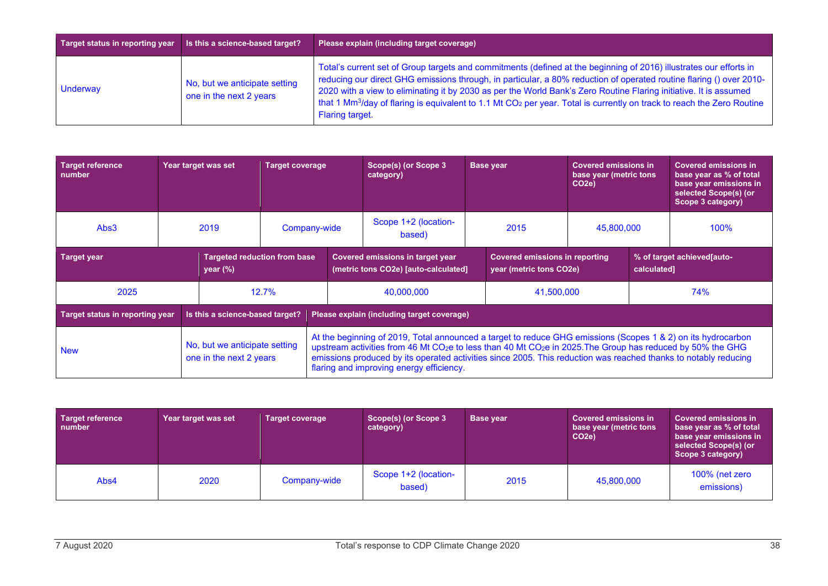| Target status in reporting year | Is this a science-based target?                          | Please explain (including target coverage)                                                                                                                                                                                                                                                                                                                                                                                                                                                                                                 |
|---------------------------------|----------------------------------------------------------|--------------------------------------------------------------------------------------------------------------------------------------------------------------------------------------------------------------------------------------------------------------------------------------------------------------------------------------------------------------------------------------------------------------------------------------------------------------------------------------------------------------------------------------------|
| Underway                        | No, but we anticipate setting<br>one in the next 2 years | Total's current set of Group targets and commitments (defined at the beginning of 2016) illustrates our efforts in<br>reducing our direct GHG emissions through, in particular, a 80% reduction of operated routine flaring () over 2010-<br>2020 with a view to eliminating it by 2030 as per the World Bank's Zero Routine Flaring initiative. It is assumed<br>that 1 Mm <sup>3</sup> /day of flaring is equivalent to 1.1 Mt CO <sub>2</sub> per year. Total is currently on track to reach the Zero Routine<br><b>Flaring target.</b> |

| <b>Target reference</b><br>number                                        |  |  | Year target was set                                                                                                                                                                                                                                                                                                                                                                                                | <b>Target coverage</b>                                                                                                                       |                                                | Scope(s) (or Scope 3<br>category) |  | <b>Base year</b> | <b>Covered emissions in</b><br>base year (metric tons<br>CO <sub>2e</sub> ) |     | <b>Covered emissions in</b><br>base year as % of total<br>base year emissions in<br>selected Scope(s) (or<br>Scope 3 category) |
|--------------------------------------------------------------------------|--|--|--------------------------------------------------------------------------------------------------------------------------------------------------------------------------------------------------------------------------------------------------------------------------------------------------------------------------------------------------------------------------------------------------------------------|----------------------------------------------------------------------------------------------------------------------------------------------|------------------------------------------------|-----------------------------------|--|------------------|-----------------------------------------------------------------------------|-----|--------------------------------------------------------------------------------------------------------------------------------|
| Abs3                                                                     |  |  | 2019                                                                                                                                                                                                                                                                                                                                                                                                               |                                                                                                                                              | Scope 1+2 (location-<br>Company-wide<br>based) |                                   |  | 2015             | 45,800,000                                                                  |     | 100%                                                                                                                           |
| <b>Target year</b><br><b>Targeted reduction from base</b><br>year $(\%)$ |  |  |                                                                                                                                                                                                                                                                                                                                                                                                                    | Covered emissions in target year<br><b>Covered emissions in reporting</b><br>(metric tons CO2e) [auto-calculated]<br>year (metric tons CO2e) |                                                |                                   |  | calculated]      | % of target achieved[auto-                                                  |     |                                                                                                                                |
| 2025                                                                     |  |  |                                                                                                                                                                                                                                                                                                                                                                                                                    | 12.7%                                                                                                                                        | 40,000,000                                     |                                   |  | 41,500,000       |                                                                             | 74% |                                                                                                                                |
| <b>Target status in reporting year</b>                                   |  |  | Is this a science-based target?                                                                                                                                                                                                                                                                                                                                                                                    |                                                                                                                                              | Please explain (including target coverage)     |                                   |  |                  |                                                                             |     |                                                                                                                                |
| No, but we anticipate setting<br><b>New</b><br>one in the next 2 years   |  |  | At the beginning of 2019, Total announced a target to reduce GHG emissions (Scopes 1 & 2) on its hydrocarbon<br>upstream activities from 46 Mt CO <sub>2</sub> e to less than 40 Mt CO <sub>2</sub> e in 2025. The Group has reduced by 50% the GHG<br>emissions produced by its operated activities since 2005. This reduction was reached thanks to notably reducing<br>flaring and improving energy efficiency. |                                                                                                                                              |                                                |                                   |  |                  |                                                                             |     |                                                                                                                                |

| Target reference<br>number | Year target was set | <b>Target coverage</b> | Scope(s) (or Scope 3<br>category) | <b>Base year</b> | <b>Covered emissions in</b><br>base year (metric tons<br>CO <sub>2e</sub> ) | <b>Covered emissions in</b><br>base year as % of total<br>base year emissions in<br>selected Scope(s) (or<br>Scope 3 category) |
|----------------------------|---------------------|------------------------|-----------------------------------|------------------|-----------------------------------------------------------------------------|--------------------------------------------------------------------------------------------------------------------------------|
| Abs4                       | 2020                | Company-wide           | Scope 1+2 (location-<br>based)    | 2015             | 45,800,000                                                                  | 100% (net zero<br>emissions)                                                                                                   |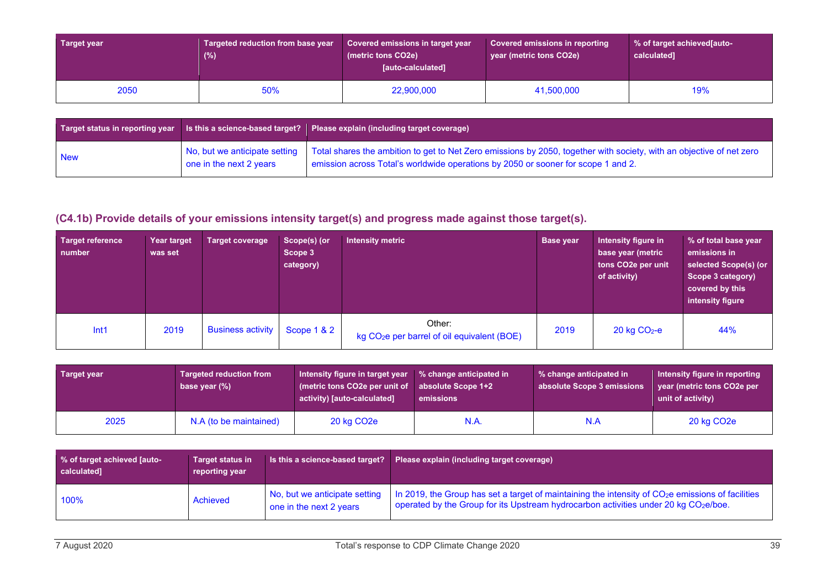| Target year | Targeted reduction from base year<br>$(\%)$ | Covered emissions in target year<br>(metric tons CO2e)<br>[auto-calculated] | Covered emissions in reporting<br>year (metric tons CO2e) | ↓% of target achieved[auto-<br>calculated] |  |
|-------------|---------------------------------------------|-----------------------------------------------------------------------------|-----------------------------------------------------------|--------------------------------------------|--|
| 2050        | 50%                                         | 22,900,000                                                                  | 41,500,000                                                | 19%                                        |  |

| <b>Target status in reporting year</b> Is this a science-based target? |                         | Please explain (including target coverage)                                                                                                                                                                                              |
|------------------------------------------------------------------------|-------------------------|-----------------------------------------------------------------------------------------------------------------------------------------------------------------------------------------------------------------------------------------|
| <b>New</b>                                                             | one in the next 2 years | No, but we anticipate setting Total shares the ambition to get to Net Zero emissions by 2050, together with society, with an objective of net zero<br>emission across Total's worldwide operations by 2050 or sooner for scope 1 and 2. |

### **(C4.1b) Provide details of your emissions intensity target(s) and progress made against those target(s).**

| <b>Target reference</b><br>number | Year target<br>was set | Target coverage          | Scope(s) (or<br>Scope 3<br>category) | <b>Intensity metric</b>                                           | <b>Base year</b> | Intensity figure in<br>base year (metric<br>tons CO2e per unit<br>of activity) | % of total base year<br>emissions in<br>selected Scope(s) (or<br>Scope 3 category)<br>covered by this<br>intensity figure |
|-----------------------------------|------------------------|--------------------------|--------------------------------------|-------------------------------------------------------------------|------------------|--------------------------------------------------------------------------------|---------------------------------------------------------------------------------------------------------------------------|
| Int1                              | 2019                   | <b>Business activity</b> | Scope $1 & 2$                        | Other:<br>kg CO <sub>2</sub> e per barrel of oil equivalent (BOE) | 2019             | $20$ kg $CO2$ -e                                                               | 44%                                                                                                                       |

| Target year | <b>Targeted reduction from</b><br>base year $(\%)$ | Intensity figure in target year<br>(metric tons CO2e per unit of<br>activity) [auto-calculated] | % change anticipated in<br>absolute Scope 1+2<br>emissions | % change anticipated in<br>absolute Scope 3 emissions | Intensity figure in reporting<br>year (metric tons CO2e per<br>unit of activity) |
|-------------|----------------------------------------------------|-------------------------------------------------------------------------------------------------|------------------------------------------------------------|-------------------------------------------------------|----------------------------------------------------------------------------------|
| 2025        | N.A (to be maintained)                             | 20 kg CO <sub>2</sub> e                                                                         | N.A.                                                       | N.A                                                   | 20 kg CO <sub>2</sub> e                                                          |

| % of target achieved [auto-<br>calculated] | <b>Target status in</b><br>reporting year | Is this a science-based target?                          | Please explain (including target coverage)                                                                                                                                                                        |
|--------------------------------------------|-------------------------------------------|----------------------------------------------------------|-------------------------------------------------------------------------------------------------------------------------------------------------------------------------------------------------------------------|
| 100%                                       | Achieved                                  | No, but we anticipate setting<br>one in the next 2 years | In 2019, the Group has set a target of maintaining the intensity of CO <sub>2</sub> e emissions of facilities<br>operated by the Group for its Upstream hydrocarbon activities under 20 kg CO <sub>2</sub> e/boe. |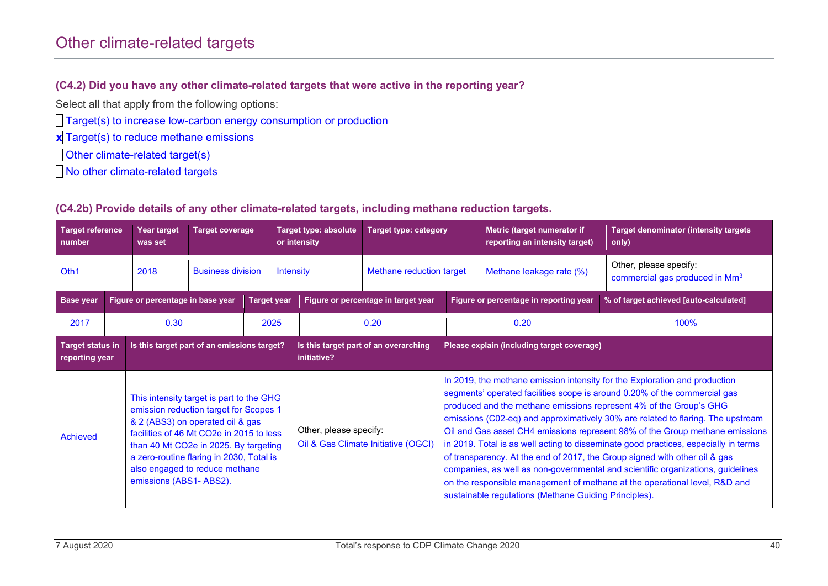### Other climate-related targets

#### **(C4.2) Did you have any other climate-related targets that were active in the reporting year?**

Select all that apply from the following options:

Target(s) to increase low-carbon energy consumption or production

**x** Target(s) to reduce methane emissions

**Dother climate-related target(s)** 

**No other climate-related targets** 

#### **(C4.2b) Provide details of any other climate-related targets, including methane reduction targets.**

| <b>Target reference</b><br>number                                                                                                                                                                                                                                                                                               |  | Year target<br>was set            | <b>Target coverage</b>   |                                                      |                        | <b>Target type: absolute</b><br><b>Target type: category</b><br>or intensity |                                            |                                                       | Metric (target numerator if<br>reporting an intensity target)                                                                                                                                                                                                                                                                                                                                                                                                                                                                                                                                                                                                                                                                          | <b>Target denominator (intensity targets)</b><br>only)               |  |
|---------------------------------------------------------------------------------------------------------------------------------------------------------------------------------------------------------------------------------------------------------------------------------------------------------------------------------|--|-----------------------------------|--------------------------|------------------------------------------------------|------------------------|------------------------------------------------------------------------------|--------------------------------------------|-------------------------------------------------------|----------------------------------------------------------------------------------------------------------------------------------------------------------------------------------------------------------------------------------------------------------------------------------------------------------------------------------------------------------------------------------------------------------------------------------------------------------------------------------------------------------------------------------------------------------------------------------------------------------------------------------------------------------------------------------------------------------------------------------------|----------------------------------------------------------------------|--|
| Oth1                                                                                                                                                                                                                                                                                                                            |  | 2018                              | <b>Business division</b> |                                                      | <b>Intensity</b>       |                                                                              | Methane reduction target                   |                                                       | Methane leakage rate (%)                                                                                                                                                                                                                                                                                                                                                                                                                                                                                                                                                                                                                                                                                                               | Other, please specify:<br>commercial gas produced in Mm <sup>3</sup> |  |
| <b>Base</b> year                                                                                                                                                                                                                                                                                                                |  | Figure or percentage in base year |                          | <b>Target year</b>                                   |                        |                                                                              | Figure or percentage in target year        | Figure or percentage in reporting year                |                                                                                                                                                                                                                                                                                                                                                                                                                                                                                                                                                                                                                                                                                                                                        | % of target achieved [auto-calculated]                               |  |
| 2017                                                                                                                                                                                                                                                                                                                            |  | 0.30<br>2025                      |                          |                                                      |                        | 0.20                                                                         | 0.20                                       |                                                       | 100%                                                                                                                                                                                                                                                                                                                                                                                                                                                                                                                                                                                                                                                                                                                                   |                                                                      |  |
| Is this target part of an emissions target?<br><b>Target status in</b><br>reporting year                                                                                                                                                                                                                                        |  |                                   |                          | Is this target part of an overarching<br>initiative? |                        |                                                                              | Please explain (including target coverage) |                                                       |                                                                                                                                                                                                                                                                                                                                                                                                                                                                                                                                                                                                                                                                                                                                        |                                                                      |  |
| This intensity target is part to the GHG<br>emission reduction target for Scopes 1<br>& 2 (ABS3) on operated oil & gas<br>facilities of 46 Mt CO2e in 2015 to less<br>Achieved<br>than 40 Mt CO2e in 2025. By targeting<br>a zero-routine flaring in 2030, Total is<br>also engaged to reduce methane<br>emissions (ABS1-ABS2). |  |                                   |                          |                                                      | Other, please specify: | Oil & Gas Climate Initiative (OGCI)                                          |                                            | sustainable regulations (Methane Guiding Principles). | In 2019, the methane emission intensity for the Exploration and production<br>segments' operated facilities scope is around 0.20% of the commercial gas<br>produced and the methane emissions represent 4% of the Group's GHG<br>emissions (C02-eq) and approximatively 30% are related to flaring. The upstream<br>Oil and Gas asset CH4 emissions represent 98% of the Group methane emissions<br>in 2019. Total is as well acting to disseminate good practices, especially in terms<br>of transparency. At the end of 2017, the Group signed with other oil & gas<br>companies, as well as non-governmental and scientific organizations, guidelines<br>on the responsible management of methane at the operational level, R&D and |                                                                      |  |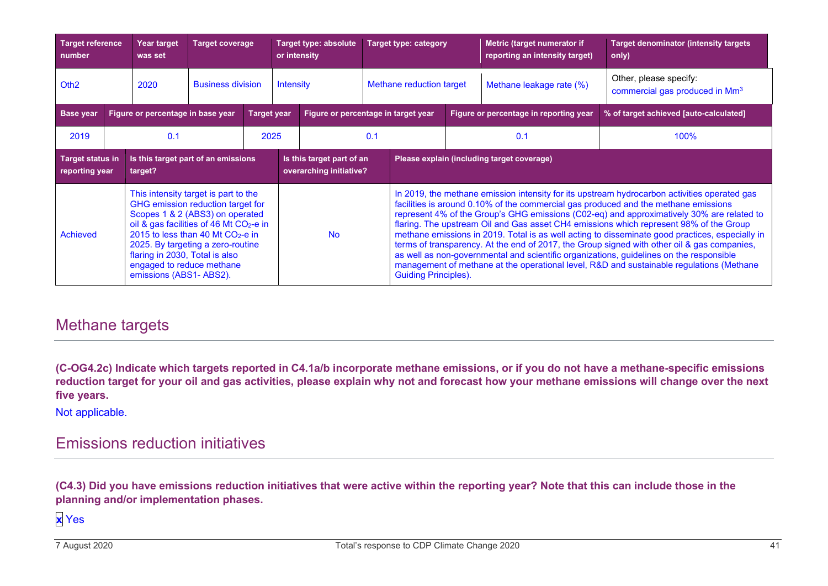| <b>Target reference</b><br>number                                                                                                                                                                                                                                                                                                                    |  | <b>Year target</b><br>was set | <b>Target coverage</b>   |                                                      | or intensity     | Target type: absolute       |                                        | <b>Target type: category</b>               |                                                                                                                                                                                                                                                                                                                                                                                                                                                                                                                                                                                                                                                                                                                                                                     | Metric (target numerator if<br>reporting an intensity target) | <b>Target denominator (intensity targets)</b><br>only)               |
|------------------------------------------------------------------------------------------------------------------------------------------------------------------------------------------------------------------------------------------------------------------------------------------------------------------------------------------------------|--|-------------------------------|--------------------------|------------------------------------------------------|------------------|-----------------------------|----------------------------------------|--------------------------------------------|---------------------------------------------------------------------------------------------------------------------------------------------------------------------------------------------------------------------------------------------------------------------------------------------------------------------------------------------------------------------------------------------------------------------------------------------------------------------------------------------------------------------------------------------------------------------------------------------------------------------------------------------------------------------------------------------------------------------------------------------------------------------|---------------------------------------------------------------|----------------------------------------------------------------------|
| Oth <sub>2</sub>                                                                                                                                                                                                                                                                                                                                     |  | 2020                          | <b>Business division</b> |                                                      | <b>Intensity</b> |                             | Methane reduction target               |                                            | Methane leakage rate (%)                                                                                                                                                                                                                                                                                                                                                                                                                                                                                                                                                                                                                                                                                                                                            |                                                               | Other, please specify:<br>commercial gas produced in Mm <sup>3</sup> |
| <b>Base year</b><br>Figure or percentage in base year                                                                                                                                                                                                                                                                                                |  | <b>Target year</b>            |                          | Figure or percentage in target year                  |                  |                             | Figure or percentage in reporting year | % of target achieved [auto-calculated]     |                                                                                                                                                                                                                                                                                                                                                                                                                                                                                                                                                                                                                                                                                                                                                                     |                                                               |                                                                      |
| 2019                                                                                                                                                                                                                                                                                                                                                 |  | 0.1                           |                          | 2025                                                 |                  |                             | 0.1                                    |                                            | 0.1                                                                                                                                                                                                                                                                                                                                                                                                                                                                                                                                                                                                                                                                                                                                                                 |                                                               | 100%                                                                 |
| Is this target part of an emissions<br><b>Target status in</b><br>reporting year<br>target?                                                                                                                                                                                                                                                          |  |                               |                          | Is this target part of an<br>overarching initiative? |                  |                             |                                        | Please explain (including target coverage) |                                                                                                                                                                                                                                                                                                                                                                                                                                                                                                                                                                                                                                                                                                                                                                     |                                                               |                                                                      |
| This intensity target is part to the<br>GHG emission reduction target for<br>Scopes 1 & 2 (ABS3) on operated<br>oil & gas facilities of 46 Mt CO <sub>2</sub> -e in<br>2015 to less than 40 Mt $CO2$ -e in<br>Achieved<br>2025. By targeting a zero-routine<br>flaring in 2030, Total is also<br>engaged to reduce methane<br>emissions (ABS1-ABS2). |  |                               |                          | <b>No</b>                                            |                  | <b>Guiding Principles).</b> |                                        |                                            | In 2019, the methane emission intensity for its upstream hydrocarbon activities operated gas<br>facilities is around 0.10% of the commercial gas produced and the methane emissions<br>represent 4% of the Group's GHG emissions (C02-eq) and approximatively 30% are related to<br>flaring. The upstream Oil and Gas asset CH4 emissions which represent 98% of the Group<br>methane emissions in 2019. Total is as well acting to disseminate good practices, especially in<br>terms of transparency. At the end of 2017, the Group signed with other oil & gas companies,<br>as well as non-governmental and scientific organizations, guidelines on the responsible<br>management of methane at the operational level, R&D and sustainable regulations (Methane |                                                               |                                                                      |

### Methane targets

**(C-OG4.2c) Indicate which targets reported in C4.1a/b incorporate methane emissions, or if you do not have a methane-specific emissions reduction target for your oil and gas activities, please explain why not and forecast how your methane emissions will change over the next five years.**

Not applicable.

### Emissions reduction initiatives

**(C4.3) Did you have emissions reduction initiatives that were active within the reporting year? Note that this can include those in the planning and/or implementation phases.**

**x** Yes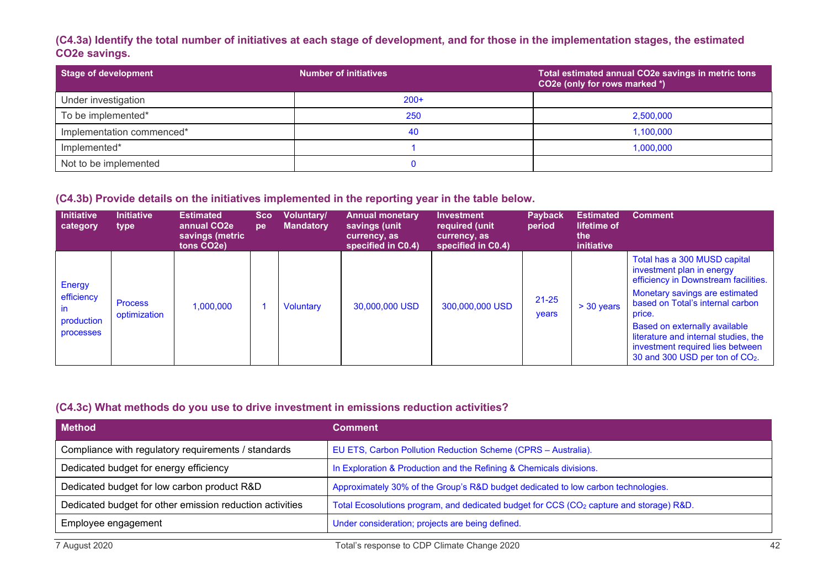#### **(C4.3a) Identify the total number of initiatives at each stage of development, and for those in the implementation stages, the estimated CO2e savings.**

| Stage of development      | <b>Number of initiatives</b> | Total estimated annual CO2e savings in metric tons<br>CO2e (only for rows marked *) |
|---------------------------|------------------------------|-------------------------------------------------------------------------------------|
| Under investigation       | $200+$                       |                                                                                     |
| To be implemented*        | 250                          | 2,500,000                                                                           |
| Implementation commenced* | 40                           | 1,100,000                                                                           |
| Implemented*              |                              | 1,000,000                                                                           |
| Not to be implemented     |                              |                                                                                     |

#### **(C4.3b) Provide details on the initiatives implemented in the reporting year in the table below.**

| <b>Initiative</b><br>category                         | <b>Initiative</b><br>type      | <b>Estimated</b><br>annual CO <sub>2e</sub><br>savings (metric<br>tons CO <sub>2</sub> e) | <b>Sco</b><br>pe | Voluntary/<br><b>Mandatory</b> | <b>Annual monetary</b><br>savings (unit<br>currency, as<br>specified in C0.4) | <b>Investment</b><br>required (unit<br>currency, as<br>specified in C0.4) | <b>Payback</b><br>period | <b>Estimated</b><br>lifetime of<br>the<br><i>initiative</i> | <b>Comment</b>                                                                                                                                                                                                                                                                                                                                |
|-------------------------------------------------------|--------------------------------|-------------------------------------------------------------------------------------------|------------------|--------------------------------|-------------------------------------------------------------------------------|---------------------------------------------------------------------------|--------------------------|-------------------------------------------------------------|-----------------------------------------------------------------------------------------------------------------------------------------------------------------------------------------------------------------------------------------------------------------------------------------------------------------------------------------------|
| Energy<br>efficiency<br>ın<br>production<br>processes | <b>Process</b><br>optimization | 000,000,1                                                                                 |                  | <b>Voluntary</b>               | 30,000,000 USD                                                                | 300,000,000 USD                                                           | $21 - 25$<br>years       | $> 30$ years                                                | Total has a 300 MUSD capital<br>investment plan in energy<br>efficiency in Downstream facilities.<br>Monetary savings are estimated<br>based on Total's internal carbon<br>price.<br>Based on externally available<br>literature and internal studies, the<br>investment required lies between<br>30 and 300 USD per ton of CO <sub>2</sub> . |

#### **(C4.3c) What methods do you use to drive investment in emissions reduction activities?**

| <b>Method</b>                                            | <b>Comment</b>                                                                                      |
|----------------------------------------------------------|-----------------------------------------------------------------------------------------------------|
| Compliance with regulatory requirements / standards      | EU ETS, Carbon Pollution Reduction Scheme (CPRS - Australia).                                       |
| Dedicated budget for energy efficiency                   | In Exploration & Production and the Refining & Chemicals divisions.                                 |
| Dedicated budget for low carbon product R&D              | Approximately 30% of the Group's R&D budget dedicated to low carbon technologies.                   |
| Dedicated budget for other emission reduction activities | Total Ecosolutions program, and dedicated budget for CCS (CO <sub>2</sub> capture and storage) R&D. |
| Employee engagement                                      | Under consideration; projects are being defined.                                                    |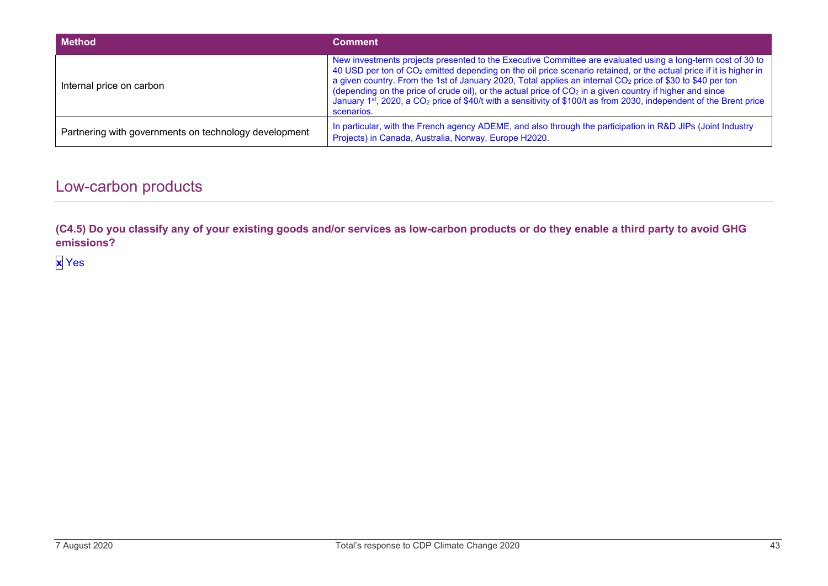| <b>Method</b>                                         | <b>Comment</b>                                                                                                                                                                                                                                                                                                                                                                                                                                                                                                                                                                                                                         |
|-------------------------------------------------------|----------------------------------------------------------------------------------------------------------------------------------------------------------------------------------------------------------------------------------------------------------------------------------------------------------------------------------------------------------------------------------------------------------------------------------------------------------------------------------------------------------------------------------------------------------------------------------------------------------------------------------------|
| Internal price on carbon                              | New investments projects presented to the Executive Committee are evaluated using a long-term cost of 30 to<br>40 USD per ton of CO <sub>2</sub> emitted depending on the oil price scenario retained, or the actual price if it is higher in<br>a given country. From the 1st of January 2020, Total applies an internal CO <sub>2</sub> price of \$30 to \$40 per ton<br>(depending on the price of crude oil), or the actual price of $CO2$ in a given country if higher and since<br>January 1st, 2020, a CO <sub>2</sub> price of \$40/t with a sensitivity of \$100/t as from 2030, independent of the Brent price<br>scenarios. |
| Partnering with governments on technology development | In particular, with the French agency ADEME, and also through the participation in R&D JIPs (Joint Industry<br>Projects) in Canada, Australia, Norway, Europe H2020.                                                                                                                                                                                                                                                                                                                                                                                                                                                                   |

## Low-carbon products

**(C4.5) Do you classify any of your existing goods and/or services as low-carbon products or do they enable a third party to avoid GHG emissions?**

**x** Yes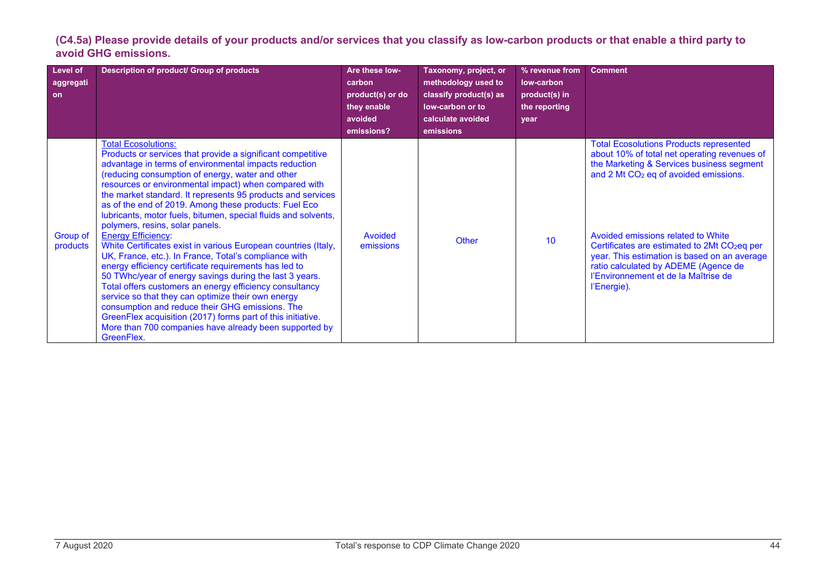**(C4.5a) Please provide details of your products and/or services that you classify as low-carbon products or that enable a third party to avoid GHG emissions.**

| <b>Level of</b><br>aggregati <sup>'</sup><br><b>on</b> | Description of product/ Group of products                                                                                                                                                                                                                                                                                                                                                                                                                                                                                                                                                                                                                                                                                                                                                                                                                                                                                                                                                                                                                                           | Are these low-<br>carbon<br>product(s) or do<br>they enable<br>avoided<br>emissions? | Taxonomy, project, or<br>methodology used to<br>classify product(s) as<br>low-carbon or to<br>calculate avoided<br>emissions | % revenue from<br>low-carbon<br>product(s) in<br>the reporting<br>year | <b>Comment</b>                                                                                                                                                                                                                                                                                                                                                                                                                                    |
|--------------------------------------------------------|-------------------------------------------------------------------------------------------------------------------------------------------------------------------------------------------------------------------------------------------------------------------------------------------------------------------------------------------------------------------------------------------------------------------------------------------------------------------------------------------------------------------------------------------------------------------------------------------------------------------------------------------------------------------------------------------------------------------------------------------------------------------------------------------------------------------------------------------------------------------------------------------------------------------------------------------------------------------------------------------------------------------------------------------------------------------------------------|--------------------------------------------------------------------------------------|------------------------------------------------------------------------------------------------------------------------------|------------------------------------------------------------------------|---------------------------------------------------------------------------------------------------------------------------------------------------------------------------------------------------------------------------------------------------------------------------------------------------------------------------------------------------------------------------------------------------------------------------------------------------|
| Group of<br>products                                   | <b>Total Ecosolutions:</b><br>Products or services that provide a significant competitive<br>advantage in terms of environmental impacts reduction<br>(reducing consumption of energy, water and other<br>resources or environmental impact) when compared with<br>the market standard. It represents 95 products and services<br>as of the end of 2019. Among these products: Fuel Eco<br>lubricants, motor fuels, bitumen, special fluids and solvents,<br>polymers, resins, solar panels.<br><b>Energy Efficiency:</b><br>White Certificates exist in various European countries (Italy,<br>UK, France, etc.). In France, Total's compliance with<br>energy efficiency certificate requirements has led to<br>50 TWhc/year of energy savings during the last 3 years.<br>Total offers customers an energy efficiency consultancy<br>service so that they can optimize their own energy<br>consumption and reduce their GHG emissions. The<br>GreenFlex acquisition (2017) forms part of this initiative.<br>More than 700 companies have already been supported by<br>GreenFlex. | Avoided<br>emissions                                                                 | Other                                                                                                                        | 10                                                                     | <b>Total Ecosolutions Products represented</b><br>about 10% of total net operating revenues of<br>the Marketing & Services business segment<br>and 2 Mt CO <sub>2</sub> eq of avoided emissions.<br>Avoided emissions related to White<br>Certificates are estimated to 2Mt CO <sub>2</sub> eq per<br>year. This estimation is based on an average<br>ratio calculated by ADEME (Agence de<br>l'Environnement et de la Maîtrise de<br>l'Energie). |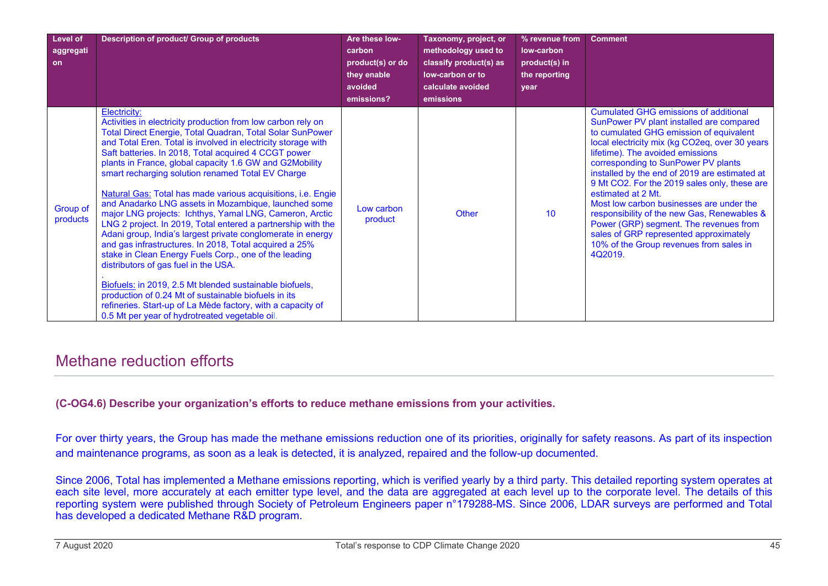| Level of             | Description of product/ Group of products                                                                                                                                                                                                                                                                                                                                                                                                                                                                                                                                                                                                                                                                                                                                                                                                                                                                                                                                                                                                                                                           | Are these low-                                                     | Taxonomy, project, or                                                                               | % revenue from                                       | <b>Comment</b>                                                                                                                                                                                                                                                                                                                                                                                                                                                                                                                                                                                                               |
|----------------------|-----------------------------------------------------------------------------------------------------------------------------------------------------------------------------------------------------------------------------------------------------------------------------------------------------------------------------------------------------------------------------------------------------------------------------------------------------------------------------------------------------------------------------------------------------------------------------------------------------------------------------------------------------------------------------------------------------------------------------------------------------------------------------------------------------------------------------------------------------------------------------------------------------------------------------------------------------------------------------------------------------------------------------------------------------------------------------------------------------|--------------------------------------------------------------------|-----------------------------------------------------------------------------------------------------|------------------------------------------------------|------------------------------------------------------------------------------------------------------------------------------------------------------------------------------------------------------------------------------------------------------------------------------------------------------------------------------------------------------------------------------------------------------------------------------------------------------------------------------------------------------------------------------------------------------------------------------------------------------------------------------|
| aggregati<br>on      |                                                                                                                                                                                                                                                                                                                                                                                                                                                                                                                                                                                                                                                                                                                                                                                                                                                                                                                                                                                                                                                                                                     | carbon<br>product(s) or do<br>they enable<br>avoided<br>emissions? | methodology used to<br>classify product(s) as<br>low-carbon or to<br>calculate avoided<br>emissions | low-carbon<br>product(s) in<br>the reporting<br>vear |                                                                                                                                                                                                                                                                                                                                                                                                                                                                                                                                                                                                                              |
| Group of<br>products | Electricity:<br>Activities in electricity production from low carbon rely on<br>Total Direct Energie, Total Quadran, Total Solar SunPower<br>and Total Eren. Total is involved in electricity storage with<br>Saft batteries. In 2018, Total acquired 4 CCGT power<br>plants in France, global capacity 1.6 GW and G2Mobility<br>smart recharging solution renamed Total EV Charge<br>Natural Gas: Total has made various acquisitions, i.e. Engie<br>and Anadarko LNG assets in Mozambique, launched some<br>major LNG projects: Ichthys, Yamal LNG, Cameron, Arctic<br>LNG 2 project. In 2019, Total entered a partnership with the<br>Adani group, India's largest private conglomerate in energy<br>and gas infrastructures. In 2018, Total acquired a 25%<br>stake in Clean Energy Fuels Corp., one of the leading<br>distributors of gas fuel in the USA.<br>Biofuels: in 2019, 2.5 Mt blended sustainable biofuels,<br>production of 0.24 Mt of sustainable biofuels in its<br>refineries. Start-up of La Mède factory, with a capacity of<br>0.5 Mt per year of hydrotreated vegetable oil. | Low carbon<br>product                                              | Other                                                                                               | 10                                                   | <b>Cumulated GHG emissions of additional</b><br>SunPower PV plant installed are compared<br>to cumulated GHG emission of equivalent<br>local electricity mix (kg CO2eq, over 30 years<br>lifetime). The avoided emissions<br>corresponding to SunPower PV plants<br>installed by the end of 2019 are estimated at<br>9 Mt CO2. For the 2019 sales only, these are<br>estimated at 2 Mt.<br>Most low carbon businesses are under the<br>responsibility of the new Gas, Renewables &<br>Power (GRP) segment. The revenues from<br>sales of GRP represented approximately<br>10% of the Group revenues from sales in<br>4Q2019. |

### Methane reduction efforts

**(C-OG4.6) Describe your organization's efforts to reduce methane emissions from your activities.**

For over thirty years, the Group has made the methane emissions reduction one of its priorities, originally for safety reasons. As part of its inspection and maintenance programs, as soon as a leak is detected, it is analyzed, repaired and the follow-up documented.

Since 2006, Total has implemented a Methane emissions reporting, which is verified yearly by a third party. This detailed reporting system operates at each site level, more accurately at each emitter type level, and the data are aggregated at each level up to the corporate level. The details of this reporting system were published through Society of Petroleum Engineers paper n°179288-MS. Since 2006, LDAR surveys are performed and Total has developed a dedicated Methane R&D program.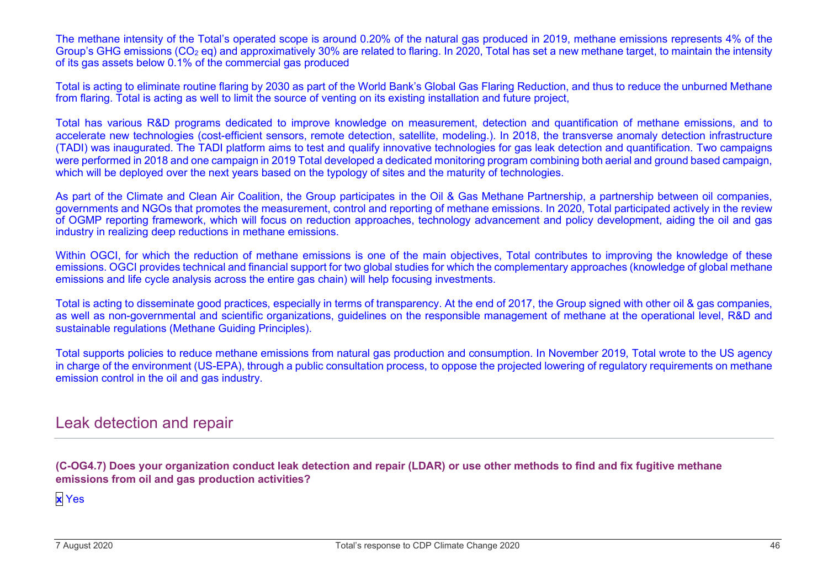The methane intensity of the Total's operated scope is around 0.20% of the natural gas produced in 2019, methane emissions represents 4% of the Group's GHG emissions (CO<sub>2</sub> eq) and approximatively 30% are related to flaring. In 2020, Total has set a new methane target, to maintain the intensity of its gas assets below 0.1% of the commercial gas produced

Total is acting to eliminate routine flaring by 2030 as part of the World Bank's Global Gas Flaring Reduction, and thus to reduce the unburned Methane from flaring. Total is acting as well to limit the source of venting on its existing installation and future project,

Total has various R&D programs dedicated to improve knowledge on measurement, detection and quantification of methane emissions, and to accelerate new technologies (cost-efficient sensors, remote detection, satellite, modeling.). In 2018, the transverse anomaly detection infrastructure (TADI) was inaugurated. The TADI platform aims to test and qualify innovative technologies for gas leak detection and quantification. Two campaigns were performed in 2018 and one campaign in 2019 Total developed a dedicated monitoring program combining both aerial and ground based campaign, which will be deployed over the next years based on the typology of sites and the maturity of technologies.

As part of the Climate and Clean Air Coalition, the Group participates in the Oil & Gas Methane Partnership, a partnership between oil companies, governments and NGOs that promotes the measurement, control and reporting of methane emissions. In 2020, Total participated actively in the review of OGMP reporting framework, which will focus on reduction approaches, technology advancement and policy development, aiding the oil and gas industry in realizing deep reductions in methane emissions.

Within OGCI, for which the reduction of methane emissions is one of the main objectives, Total contributes to improving the knowledge of these emissions. OGCI provides technical and financial support for two global studies for which the complementary approaches (knowledge of global methane emissions and life cycle analysis across the entire gas chain) will help focusing investments.

Total is acting to disseminate good practices, especially in terms of transparency. At the end of 2017, the Group signed with other oil & gas companies, as well as non-governmental and scientific organizations, guidelines on the responsible management of methane at the operational level, R&D and sustainable regulations (Methane Guiding Principles).

Total supports policies to reduce methane emissions from natural gas production and consumption. In November 2019, Total wrote to the US agency in charge of the environment (US-EPA), through a public consultation process, to oppose the projected lowering of regulatory requirements on methane emission control in the oil and gas industry.

### Leak detection and repair

**(C-OG4.7) Does your organization conduct leak detection and repair (LDAR) or use other methods to find and fix fugitive methane emissions from oil and gas production activities?**

**x** Yes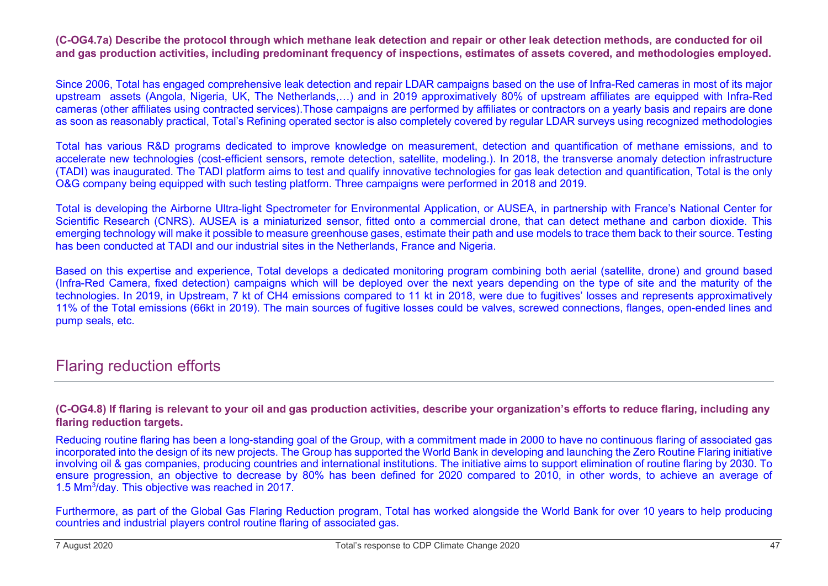**(C-OG4.7a) Describe the protocol through which methane leak detection and repair or other leak detection methods, are conducted for oil and gas production activities, including predominant frequency of inspections, estimates of assets covered, and methodologies employed.**

Since 2006, Total has engaged comprehensive leak detection and repair LDAR campaigns based on the use of Infra-Red cameras in most of its major upstream assets (Angola, Nigeria, UK, The Netherlands,…) and in 2019 approximatively 80% of upstream affiliates are equipped with Infra-Red cameras (other affiliates using contracted services).Those campaigns are performed by affiliates or contractors on a yearly basis and repairs are done as soon as reasonably practical, Total's Refining operated sector is also completely covered by regular LDAR surveys using recognized methodologies

Total has various R&D programs dedicated to improve knowledge on measurement, detection and quantification of methane emissions, and to accelerate new technologies (cost-efficient sensors, remote detection, satellite, modeling.). In 2018, the transverse anomaly detection infrastructure (TADI) was inaugurated. The TADI platform aims to test and qualify innovative technologies for gas leak detection and quantification, Total is the only O&G company being equipped with such testing platform. Three campaigns were performed in 2018 and 2019.

Total is developing the Airborne Ultra-light Spectrometer for Environmental Application, or AUSEA, in partnership with France's National Center for Scientific Research (CNRS). AUSEA is a miniaturized sensor, fitted onto a commercial drone, that can detect methane and carbon dioxide. This emerging technology will make it possible to measure greenhouse gases, estimate their path and use models to trace them back to their source. Testing has been conducted at TADI and our industrial sites in the Netherlands, France and Nigeria.

Based on this expertise and experience, Total develops a dedicated monitoring program combining both aerial (satellite, drone) and ground based (Infra-Red Camera, fixed detection) campaigns which will be deployed over the next years depending on the type of site and the maturity of the technologies. In 2019, in Upstream, 7 kt of CH4 emissions compared to 11 kt in 2018, were due to fugitives' losses and represents approximatively 11% of the Total emissions (66kt in 2019). The main sources of fugitive losses could be valves, screwed connections, flanges, open-ended lines and pump seals, etc.

### Flaring reduction efforts

#### **(C-OG4.8) If flaring is relevant to your oil and gas production activities, describe your organization's efforts to reduce flaring, including any flaring reduction targets.**

Reducing routine flaring has been a long-standing goal of the Group, with a commitment made in 2000 to have no continuous flaring of associated gas incorporated into the design of its new projects. The Group has supported the World Bank in developing and launching the Zero Routine Flaring initiative involving oil & gas companies, producing countries and international institutions. The initiative aims to support elimination of routine flaring by 2030. To ensure progression, an objective to decrease by 80% has been defined for 2020 compared to 2010, in other words, to achieve an average of 1.5 Mm<sup>3</sup>/day. This objective was reached in 2017.

Furthermore, as part of the Global Gas Flaring Reduction program, Total has worked alongside the World Bank for over 10 years to help producing countries and industrial players control routine flaring of associated gas.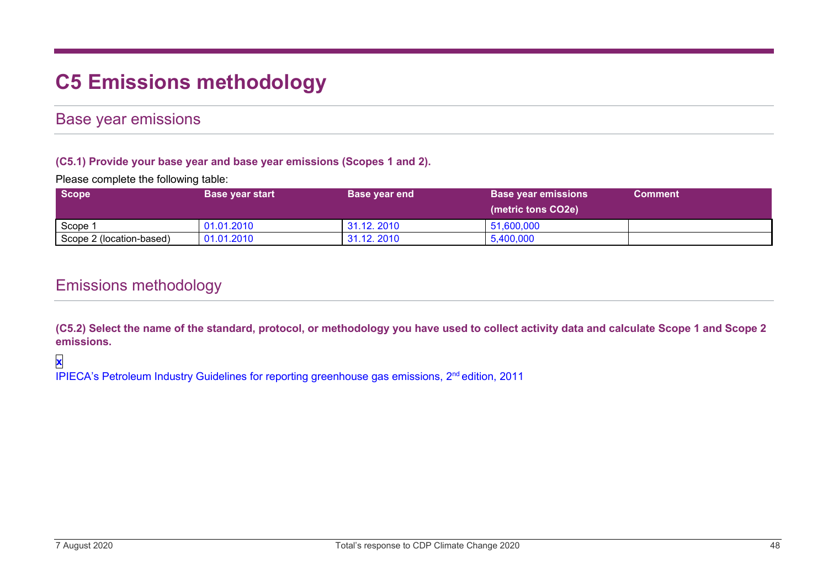# **C5 Emissions methodology**

### Base year emissions

#### **(C5.1) Provide your base year and base year emissions (Scopes 1 and 2).**

Please complete the following table:

| Scope                    | <b>Base year start</b> | <b>Base year end</b> | <b>Base year emissions</b> | <b>Comment</b> |
|--------------------------|------------------------|----------------------|----------------------------|----------------|
|                          |                        |                      | (metric tons CO2e)         |                |
| Scope 1                  | 01.01.2010             | 31.12, 2010          | 51,600,000                 |                |
| Scope 2 (location-based) | 01.01.2010             | 31.12, 2010          | 5,400,000                  |                |

### Emissions methodology

**(C5.2) Select the name of the standard, protocol, or methodology you have used to collect activity data and calculate Scope 1 and Scope 2 emissions.**

### **x**

IPIECA's Petroleum Industry Guidelines for reporting greenhouse gas emissions, 2<sup>nd</sup> edition, 2011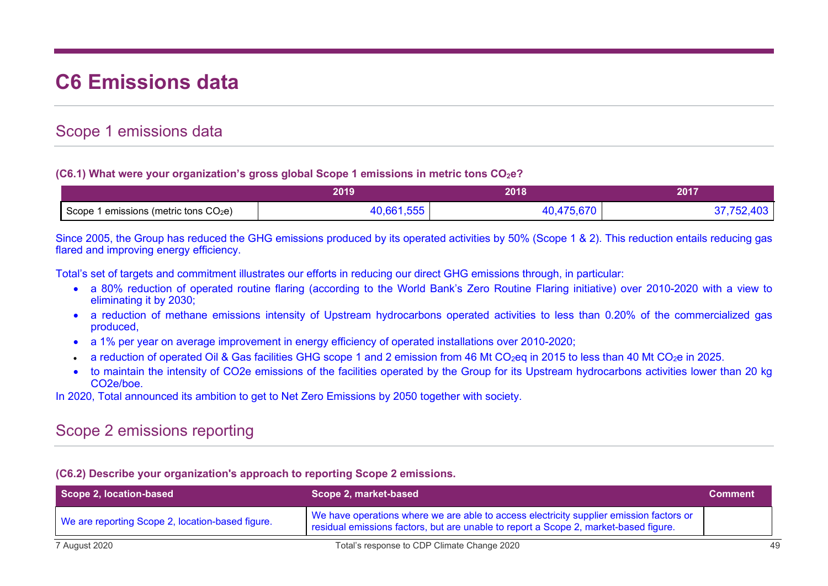# **C6 Emissions data**

### Scope 1 emissions data

#### **(C6.1) What were your organization's gross global Scope 1 emissions in metric tons CO<sub>2</sub>e?**

|                                                      | 2010<br>.v | 2010<br>20 I O | 2017 |
|------------------------------------------------------|------------|----------------|------|
| 1 emissions (metric tons CO <sub>2</sub> e)<br>Scope |            |                |      |

Since 2005, the Group has reduced the GHG emissions produced by its operated activities by 50% (Scope 1 & 2). This reduction entails reducing gas flared and improving energy efficiency.

Total's set of targets and commitment illustrates our efforts in reducing our direct GHG emissions through, in particular:

- a 80% reduction of operated routine flaring (according to the World Bank's Zero Routine Flaring initiative) over 2010-2020 with a view to eliminating it by 2030;
- a reduction of methane emissions intensity of Upstream hydrocarbons operated activities to less than 0.20% of the commercialized gas produced,
- a 1% per year on average improvement in energy efficiency of operated installations over 2010-2020;
- a reduction of operated Oil & Gas facilities GHG scope 1 and 2 emission from 46 Mt CO<sub>2</sub>eq in 2015 to less than 40 Mt CO<sub>2</sub>e in 2025.
- to maintain the intensity of CO2e emissions of the facilities operated by the Group for its Upstream hydrocarbons activities lower than 20 kg CO2e/boe.

In 2020, Total announced its ambition to get to Net Zero Emissions by 2050 together with society.

# Scope 2 emissions reporting

#### **(C6.2) Describe your organization's approach to reporting Scope 2 emissions.**

| Scope 2, location-based                          | Scope 2, market-based                                                                                                                                                           | <b>Comment</b> |
|--------------------------------------------------|---------------------------------------------------------------------------------------------------------------------------------------------------------------------------------|----------------|
| We are reporting Scope 2, location-based figure. | We have operations where we are able to access electricity supplier emission factors or<br>residual emissions factors, but are unable to report a Scope 2, market-based figure. |                |
| 7 August 2020                                    | Total's response to CDP Climate Change 2020                                                                                                                                     | 49             |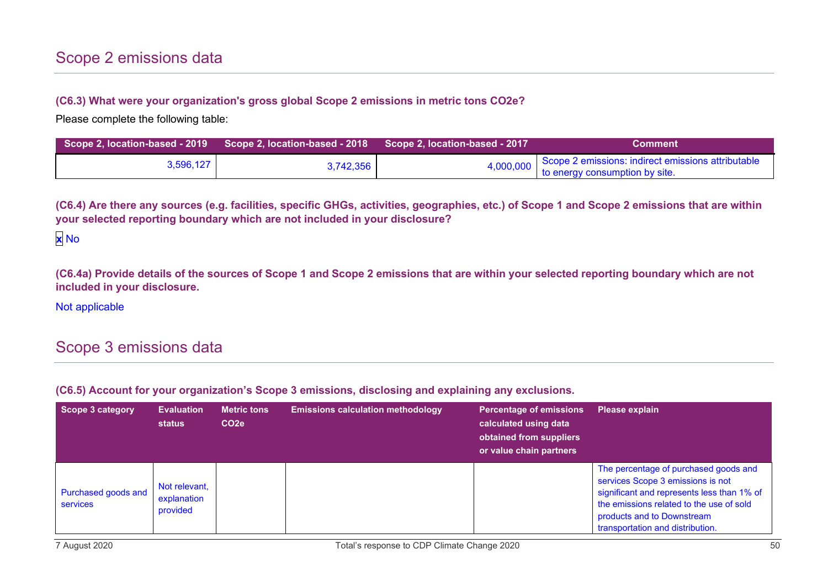#### **(C6.3) What were your organization's gross global Scope 2 emissions in metric tons CO2e?**

Please complete the following table:

| Scope 2, location-based - 2019 Scope 2, location-based - 2018 Scope 2, location-based - 2017 |           | <b>Comment</b>                                                                                 |
|----------------------------------------------------------------------------------------------|-----------|------------------------------------------------------------------------------------------------|
| 3,596,127                                                                                    | 3,742,356 | 4,000,000 Scope 2 emissions: indirect emissions attributable<br>to energy consumption by site. |

**(C6.4) Are there any sources (e.g. facilities, specific GHGs, activities, geographies, etc.) of Scope 1 and Scope 2 emissions that are within your selected reporting boundary which are not included in your disclosure?**

**(C6.4a) Provide details of the sources of Scope 1 and Scope 2 emissions that are within your selected reporting boundary which are not included in your disclosure.**

Not applicable

# Scope 3 emissions data

**(C6.5) Account for your organization's Scope 3 emissions, disclosing and explaining any exclusions.**

| Scope 3 category                | <b>Evaluation</b><br><b>status</b>       | <b>Metric tons</b><br>CO <sub>2e</sub> | <b>Emissions calculation methodology</b> | <b>Percentage of emissions</b><br>calculated using data<br>obtained from suppliers<br>or value chain partners | Please explain                                                                                                                                                                                                                         |
|---------------------------------|------------------------------------------|----------------------------------------|------------------------------------------|---------------------------------------------------------------------------------------------------------------|----------------------------------------------------------------------------------------------------------------------------------------------------------------------------------------------------------------------------------------|
| Purchased goods and<br>services | Not relevant,<br>explanation<br>provided |                                        |                                          |                                                                                                               | The percentage of purchased goods and<br>services Scope 3 emissions is not<br>significant and represents less than 1% of<br>the emissions related to the use of sold<br>products and to Downstream<br>transportation and distribution. |

**x** No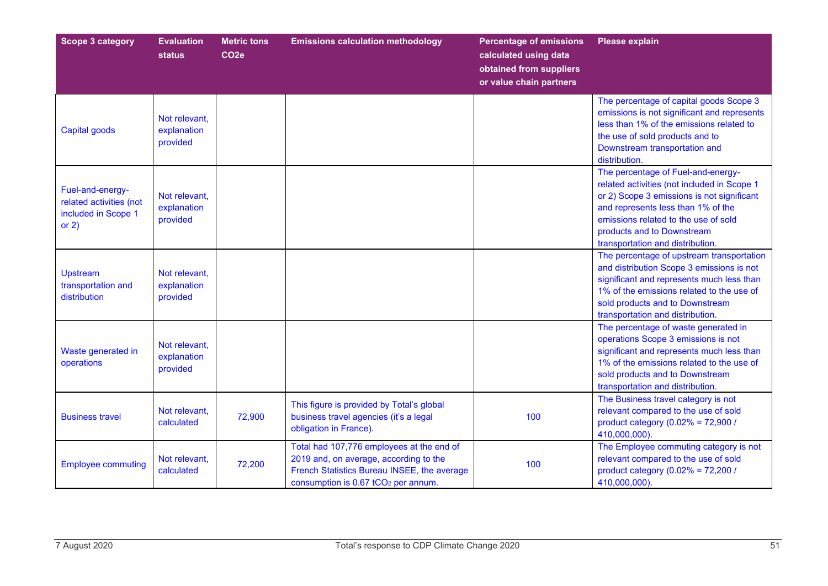| <b>Scope 3 category</b>                                                       | <b>Evaluation</b><br><b>status</b>       | <b>Metric tons</b><br>CO <sub>2e</sub> | <b>Emissions calculation methodology</b>                                                                                                                                              | <b>Percentage of emissions</b><br>calculated using data<br>obtained from suppliers<br>or value chain partners | <b>Please explain</b>                                                                                                                                                                                                                                                           |
|-------------------------------------------------------------------------------|------------------------------------------|----------------------------------------|---------------------------------------------------------------------------------------------------------------------------------------------------------------------------------------|---------------------------------------------------------------------------------------------------------------|---------------------------------------------------------------------------------------------------------------------------------------------------------------------------------------------------------------------------------------------------------------------------------|
| <b>Capital goods</b>                                                          | Not relevant.<br>explanation<br>provided |                                        |                                                                                                                                                                                       |                                                                                                               | The percentage of capital goods Scope 3<br>emissions is not significant and represents<br>less than 1% of the emissions related to<br>the use of sold products and to<br>Downstream transportation and<br>distribution.                                                         |
| Fuel-and-energy-<br>related activities (not<br>included in Scope 1<br>or $2)$ | Not relevant,<br>explanation<br>provided |                                        |                                                                                                                                                                                       |                                                                                                               | The percentage of Fuel-and-energy-<br>related activities (not included in Scope 1<br>or 2) Scope 3 emissions is not significant<br>and represents less than 1% of the<br>emissions related to the use of sold<br>products and to Downstream<br>transportation and distribution. |
| <b>Upstream</b><br>transportation and<br>distribution                         | Not relevant.<br>explanation<br>provided |                                        |                                                                                                                                                                                       |                                                                                                               | The percentage of upstream transportation<br>and distribution Scope 3 emissions is not<br>significant and represents much less than<br>1% of the emissions related to the use of<br>sold products and to Downstream<br>transportation and distribution.                         |
| Waste generated in<br>operations                                              | Not relevant,<br>explanation<br>provided |                                        |                                                                                                                                                                                       |                                                                                                               | The percentage of waste generated in<br>operations Scope 3 emissions is not<br>significant and represents much less than<br>1% of the emissions related to the use of<br>sold products and to Downstream<br>transportation and distribution.                                    |
| <b>Business travel</b>                                                        | Not relevant,<br>calculated              | 72,900                                 | This figure is provided by Total's global<br>business travel agencies (it's a legal<br>obligation in France).                                                                         | 100                                                                                                           | The Business travel category is not<br>relevant compared to the use of sold<br>product category (0.02% = 72,900 /<br>410,000,000).                                                                                                                                              |
| <b>Employee commuting</b>                                                     | Not relevant,<br>calculated              | 72,200                                 | Total had 107,776 employees at the end of<br>2019 and, on average, according to the<br>French Statistics Bureau INSEE, the average<br>consumption is 0.67 tCO <sub>2</sub> per annum. | 100                                                                                                           | The Employee commuting category is not<br>relevant compared to the use of sold<br>product category (0.02% = 72,200 /<br>410,000,000).                                                                                                                                           |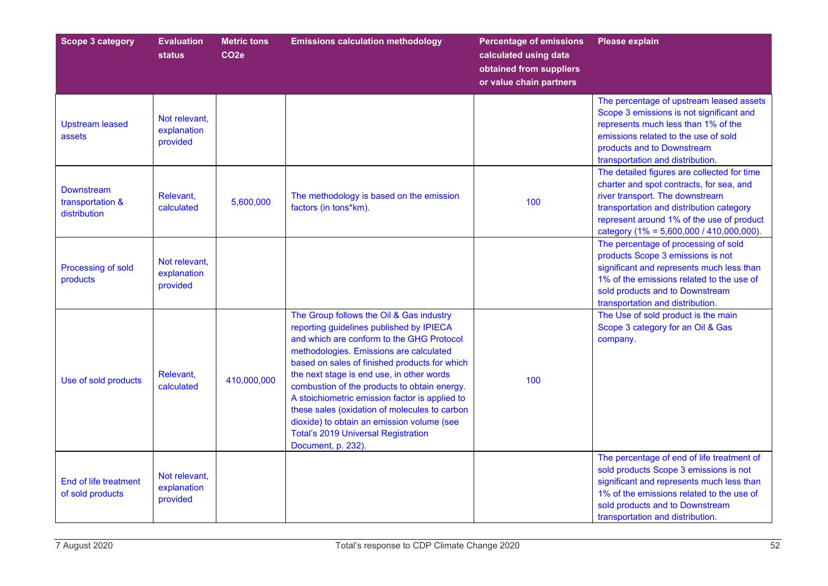| <b>Scope 3 category</b>                               | <b>Evaluation</b><br><b>status</b>       | <b>Metric tons</b><br>CO <sub>2e</sub> | <b>Emissions calculation methodology</b>                                                                                                                                                                                                                                                                                                                                                                                                                                                                                                        | <b>Percentage of emissions</b><br>calculated using data<br>obtained from suppliers<br>or value chain partners | <b>Please explain</b>                                                                                                                                                                                                                                              |
|-------------------------------------------------------|------------------------------------------|----------------------------------------|-------------------------------------------------------------------------------------------------------------------------------------------------------------------------------------------------------------------------------------------------------------------------------------------------------------------------------------------------------------------------------------------------------------------------------------------------------------------------------------------------------------------------------------------------|---------------------------------------------------------------------------------------------------------------|--------------------------------------------------------------------------------------------------------------------------------------------------------------------------------------------------------------------------------------------------------------------|
| <b>Upstream leased</b><br>assets                      | Not relevant.<br>explanation<br>provided |                                        |                                                                                                                                                                                                                                                                                                                                                                                                                                                                                                                                                 |                                                                                                               | The percentage of upstream leased assets<br>Scope 3 emissions is not significant and<br>represents much less than 1% of the<br>emissions related to the use of sold<br>products and to Downstream<br>transportation and distribution.                              |
| <b>Downstream</b><br>transportation &<br>distribution | Relevant,<br>calculated                  | 5,600,000                              | The methodology is based on the emission<br>factors (in tons*km).                                                                                                                                                                                                                                                                                                                                                                                                                                                                               | 100                                                                                                           | The detailed figures are collected for time<br>charter and spot contracts, for sea, and<br>river transport. The downstream<br>transportation and distribution category<br>represent around 1% of the use of product<br>category (1% = $5,600,000 / 410,000,000$ ). |
| Processing of sold<br>products                        | Not relevant,<br>explanation<br>provided |                                        |                                                                                                                                                                                                                                                                                                                                                                                                                                                                                                                                                 |                                                                                                               | The percentage of processing of sold<br>products Scope 3 emissions is not<br>significant and represents much less than<br>1% of the emissions related to the use of<br>sold products and to Downstream<br>transportation and distribution.                         |
| Use of sold products                                  | Relevant,<br>calculated                  | 410,000,000                            | The Group follows the Oil & Gas industry<br>reporting guidelines published by IPIECA<br>and which are conform to the GHG Protocol<br>methodologies. Emissions are calculated<br>based on sales of finished products for which<br>the next stage is end use, in other words<br>combustion of the products to obtain energy.<br>A stoichiometric emission factor is applied to<br>these sales (oxidation of molecules to carbon<br>dioxide) to obtain an emission volume (see<br><b>Total's 2019 Universal Registration</b><br>Document, p. 232). | 100                                                                                                           | The Use of sold product is the main<br>Scope 3 category for an Oil & Gas<br>company.                                                                                                                                                                               |
| End of life treatment<br>of sold products             | Not relevant,<br>explanation<br>provided |                                        |                                                                                                                                                                                                                                                                                                                                                                                                                                                                                                                                                 |                                                                                                               | The percentage of end of life treatment of<br>sold products Scope 3 emissions is not<br>significant and represents much less than<br>1% of the emissions related to the use of<br>sold products and to Downstream<br>transportation and distribution.              |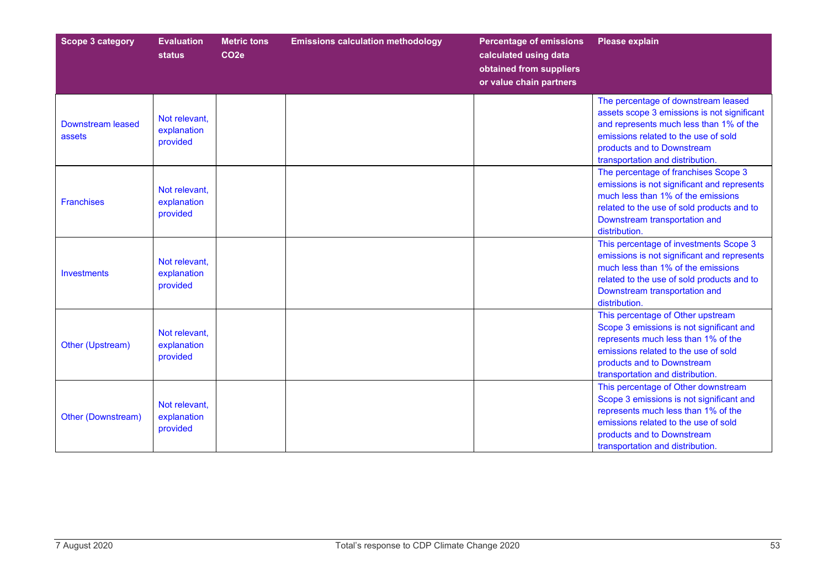| <b>Scope 3 category</b>            | <b>Evaluation</b><br><b>status</b>       | <b>Metric tons</b><br>CO <sub>2</sub> e | <b>Emissions calculation methodology</b> | <b>Percentage of emissions</b><br>calculated using data<br>obtained from suppliers<br>or value chain partners | <b>Please explain</b>                                                                                                                                                                                                                   |
|------------------------------------|------------------------------------------|-----------------------------------------|------------------------------------------|---------------------------------------------------------------------------------------------------------------|-----------------------------------------------------------------------------------------------------------------------------------------------------------------------------------------------------------------------------------------|
| <b>Downstream leased</b><br>assets | Not relevant.<br>explanation<br>provided |                                         |                                          |                                                                                                               | The percentage of downstream leased<br>assets scope 3 emissions is not significant<br>and represents much less than 1% of the<br>emissions related to the use of sold<br>products and to Downstream<br>transportation and distribution. |
| <b>Franchises</b>                  | Not relevant,<br>explanation<br>provided |                                         |                                          |                                                                                                               | The percentage of franchises Scope 3<br>emissions is not significant and represents<br>much less than 1% of the emissions<br>related to the use of sold products and to<br>Downstream transportation and<br>distribution.               |
| <b>Investments</b>                 | Not relevant,<br>explanation<br>provided |                                         |                                          |                                                                                                               | This percentage of investments Scope 3<br>emissions is not significant and represents<br>much less than 1% of the emissions<br>related to the use of sold products and to<br>Downstream transportation and<br>distribution.             |
| Other (Upstream)                   | Not relevant,<br>explanation<br>provided |                                         |                                          |                                                                                                               | This percentage of Other upstream<br>Scope 3 emissions is not significant and<br>represents much less than 1% of the<br>emissions related to the use of sold<br>products and to Downstream<br>transportation and distribution.          |
| <b>Other (Downstream)</b>          | Not relevant,<br>explanation<br>provided |                                         |                                          |                                                                                                               | This percentage of Other downstream<br>Scope 3 emissions is not significant and<br>represents much less than 1% of the<br>emissions related to the use of sold<br>products and to Downstream<br>transportation and distribution.        |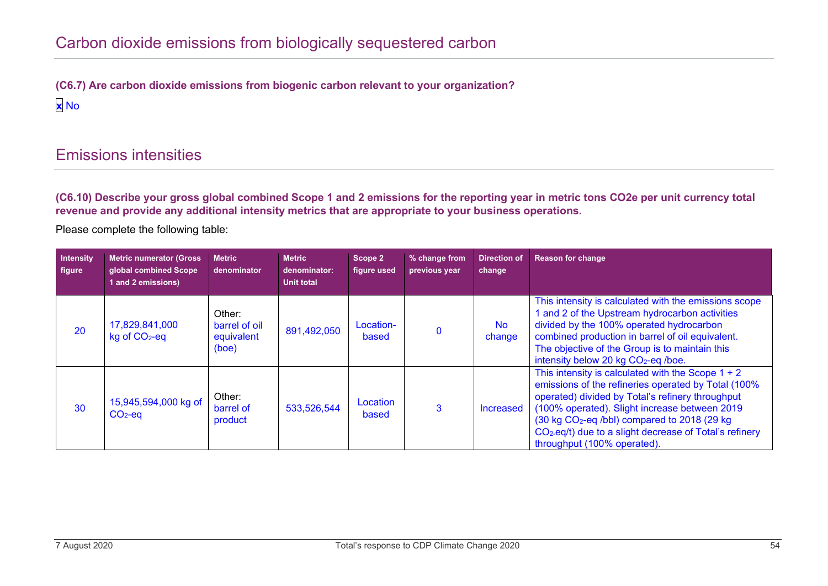**(C6.7) Are carbon dioxide emissions from biogenic carbon relevant to your organization? x** No

## Emissions intensities

**(C6.10) Describe your gross global combined Scope 1 and 2 emissions for the reporting year in metric tons CO2e per unit currency total revenue and provide any additional intensity metrics that are appropriate to your business operations.**

Please complete the following table:

| Intensity<br>figure | Metric numerator (Gross<br>global combined Scope<br>1 and 2 emissions) | <b>Metric</b><br>denominator                   | <b>Metric</b><br>denominator:<br>Unit total | Scope 2<br>figure used | % change from<br>previous year | <b>Direction of</b><br>change | <b>Reason for change</b>                                                                                                                                                                                                                                                                                                                                                          |
|---------------------|------------------------------------------------------------------------|------------------------------------------------|---------------------------------------------|------------------------|--------------------------------|-------------------------------|-----------------------------------------------------------------------------------------------------------------------------------------------------------------------------------------------------------------------------------------------------------------------------------------------------------------------------------------------------------------------------------|
| 20                  | 17,829,841,000<br>$kg$ of $CO2$ -eq                                    | Other:<br>barrel of oil<br>equivalent<br>(boe) | 891,492,050                                 | Location-<br>based     | $\Omega$                       | <b>No</b><br>change           | This intensity is calculated with the emissions scope<br>and 2 of the Upstream hydrocarbon activities<br>divided by the 100% operated hydrocarbon<br>combined production in barrel of oil equivalent.<br>The objective of the Group is to maintain this<br>intensity below 20 kg CO <sub>2</sub> -eq /boe.                                                                        |
| 30                  | 15,945,594,000 kg of<br>$CO2-eq$                                       | Other:<br>barrel of<br>product                 | 533,526,544                                 | Location<br>based      |                                | Increased                     | This intensity is calculated with the Scope $1 + 2$<br>emissions of the refineries operated by Total (100%<br>operated) divided by Total's refinery throughput<br>(100% operated). Slight increase between 2019<br>(30 kg CO <sub>2</sub> -eq /bbl) compared to 2018 (29 kg<br>CO <sub>2</sub> -eq/t) due to a slight decrease of Total's refinery<br>throughput (100% operated). |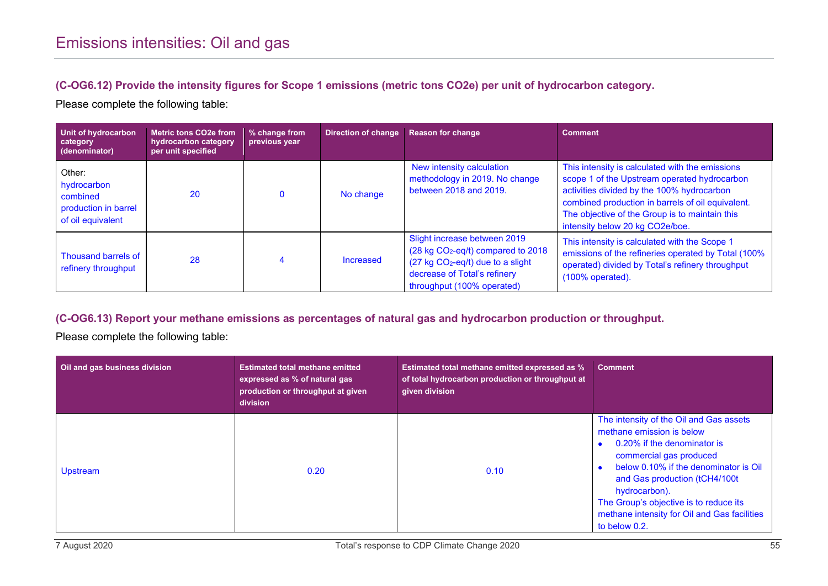#### **(C-OG6.12) Provide the intensity figures for Scope 1 emissions (metric tons CO2e) per unit of hydrocarbon category.**

Please complete the following table:

| Unit of hydrocarbon<br>category<br>(denominator)                               | <b>Metric tons CO2e from</b><br>hydrocarbon category<br>per unit specified | % change from<br>previous year | <b>Direction of change</b> | <b>Reason for change</b>                                                                                                                                                                    | <b>Comment</b>                                                                                                                                                                                                                                                                          |
|--------------------------------------------------------------------------------|----------------------------------------------------------------------------|--------------------------------|----------------------------|---------------------------------------------------------------------------------------------------------------------------------------------------------------------------------------------|-----------------------------------------------------------------------------------------------------------------------------------------------------------------------------------------------------------------------------------------------------------------------------------------|
| Other:<br>hydrocarbon<br>combined<br>production in barrel<br>of oil equivalent | 20                                                                         |                                | No change                  | New intensity calculation<br>methodology in 2019. No change<br>between 2018 and 2019.                                                                                                       | This intensity is calculated with the emissions<br>scope 1 of the Upstream operated hydrocarbon<br>activities divided by the 100% hydrocarbon<br>combined production in barrels of oil equivalent.<br>The objective of the Group is to maintain this<br>intensity below 20 kg CO2e/boe. |
| Thousand barrels of<br>refinery throughput                                     | 28                                                                         |                                | Increased                  | Slight increase between 2019<br>(28 kg CO <sub>2</sub> -eq/t) compared to 2018<br>$(27 \text{ kg } CO2-eq/t)$ due to a slight<br>decrease of Total's refinery<br>throughput (100% operated) | This intensity is calculated with the Scope 1<br>emissions of the refineries operated by Total (100%<br>operated) divided by Total's refinery throughput<br>$(100\%$ operated).                                                                                                         |

#### **(C-OG6.13) Report your methane emissions as percentages of natural gas and hydrocarbon production or throughput.**

Please complete the following table:

| Oil and gas business division | <b>Estimated total methane emitted</b><br>expressed as % of natural gas<br>production or throughput at given<br>division | <b>Estimated total methane emitted expressed as %</b><br>of total hydrocarbon production or throughput at<br>given division | <b>Comment</b>                                                                                                                                                                                                                                                                                                                       |
|-------------------------------|--------------------------------------------------------------------------------------------------------------------------|-----------------------------------------------------------------------------------------------------------------------------|--------------------------------------------------------------------------------------------------------------------------------------------------------------------------------------------------------------------------------------------------------------------------------------------------------------------------------------|
| <b>Upstream</b>               | 0.20                                                                                                                     | 0.10                                                                                                                        | The intensity of the Oil and Gas assets<br>methane emission is below<br>0.20% if the denominator is<br>commercial gas produced<br>below 0.10% if the denominator is Oil<br>and Gas production (tCH4/100t<br>hydrocarbon).<br>The Group's objective is to reduce its<br>methane intensity for Oil and Gas facilities<br>to below 0.2. |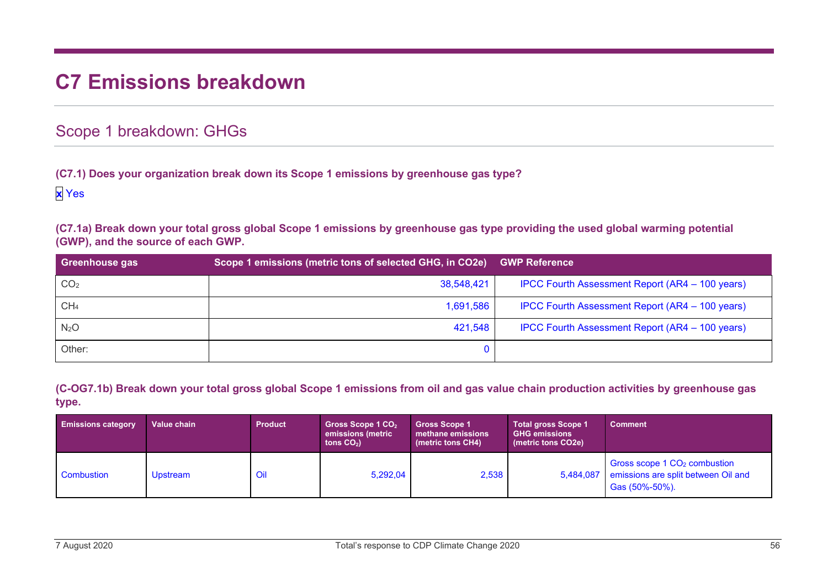# **C7 Emissions breakdown**

### Scope 1 breakdown: GHGs

**(C7.1) Does your organization break down its Scope 1 emissions by greenhouse gas type?**

**x** Yes

**(C7.1a) Break down your total gross global Scope 1 emissions by greenhouse gas type providing the used global warming potential (GWP), and the source of each GWP.**

| Greenhouse gas   | Scope 1 emissions (metric tons of selected GHG, in CO2e) | <b>GWP Reference</b>                            |
|------------------|----------------------------------------------------------|-------------------------------------------------|
| CO <sub>2</sub>  | 38,548,421                                               | IPCC Fourth Assessment Report (AR4 - 100 years) |
| CH <sub>4</sub>  | 1,691,586                                                | IPCC Fourth Assessment Report (AR4 - 100 years) |
| N <sub>2</sub> O | 421,548                                                  | IPCC Fourth Assessment Report (AR4 - 100 years) |
| Other:           |                                                          |                                                 |

**(C-OG7.1b) Break down your total gross global Scope 1 emissions from oil and gas value chain production activities by greenhouse gas type.**

| <b>Emissions category</b> | Value chain | <b>Product</b> | Gross Scope 1 $CO2$<br>emissions (metric<br>tons $CO2$ ) | <b>Gross Scope 1</b><br>methane emissions<br>(metric tons CH4) | <b>Total gross Scope 1</b><br><b>GHG emissions</b><br>(metric tons CO2e) | <b>Comment</b>                                                                                              |
|---------------------------|-------------|----------------|----------------------------------------------------------|----------------------------------------------------------------|--------------------------------------------------------------------------|-------------------------------------------------------------------------------------------------------------|
| Combustion                | Upstream    | Oil            | 5,292,04                                                 | 2,538                                                          |                                                                          | Gross scope 1 CO <sub>2</sub> combustion<br>5,484,087 emissions are split between Oil and<br>Gas (50%-50%). |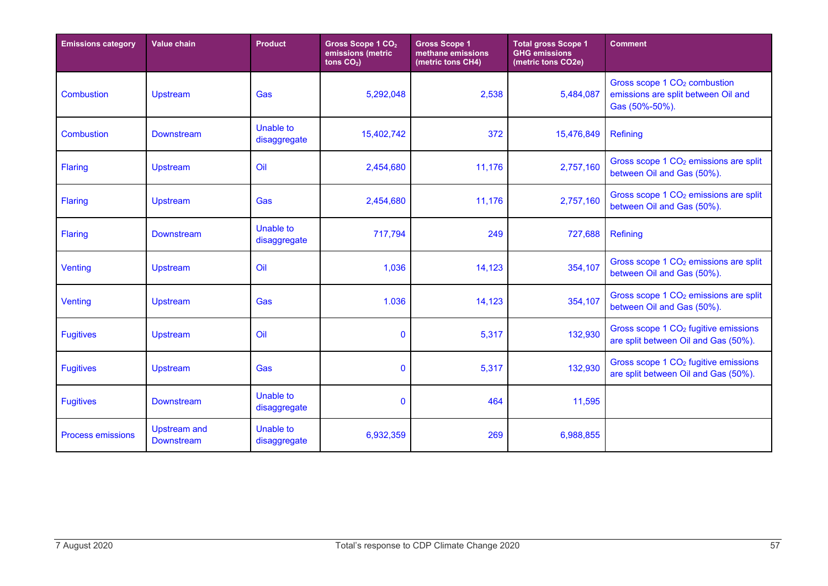| <b>Emissions category</b> | <b>Value chain</b>                       | <b>Product</b>                   | Gross Scope 1 CO <sub>2</sub><br>emissions (metric<br>tons $CO2$ ) | <b>Gross Scope 1</b><br>methane emissions<br>(metric tons CH4) | <b>Total gross Scope 1</b><br><b>GHG emissions</b><br>(metric tons CO2e) | <b>Comment</b>                                                                                    |
|---------------------------|------------------------------------------|----------------------------------|--------------------------------------------------------------------|----------------------------------------------------------------|--------------------------------------------------------------------------|---------------------------------------------------------------------------------------------------|
| <b>Combustion</b>         | Upstream                                 | Gas                              | 5,292,048                                                          | 2,538                                                          | 5,484,087                                                                | Gross scope 1 CO <sub>2</sub> combustion<br>emissions are split between Oil and<br>Gas (50%-50%). |
| Combustion                | <b>Downstream</b>                        | <b>Unable to</b><br>disaggregate | 15,402,742                                                         | 372                                                            | 15,476,849                                                               | Refining                                                                                          |
| <b>Flaring</b>            | <b>Upstream</b>                          | Oil                              | 2,454,680                                                          | 11,176                                                         | 2,757,160                                                                | Gross scope 1 CO <sub>2</sub> emissions are split<br>between Oil and Gas (50%).                   |
| <b>Flaring</b>            | <b>Upstream</b>                          | Gas                              | 2,454,680                                                          | 11,176                                                         | 2,757,160                                                                | Gross scope 1 CO <sub>2</sub> emissions are split<br>between Oil and Gas (50%).                   |
| <b>Flaring</b>            | <b>Downstream</b>                        | Unable to<br>disaggregate        | 717,794                                                            | 249                                                            | 727,688                                                                  | Refining                                                                                          |
| Venting                   | <b>Upstream</b>                          | Oil                              | 1,036                                                              | 14,123                                                         | 354,107                                                                  | Gross scope 1 CO <sub>2</sub> emissions are split<br>between Oil and Gas (50%).                   |
| Venting                   | <b>Upstream</b>                          | Gas                              | 1.036                                                              | 14,123                                                         | 354,107                                                                  | Gross scope 1 CO <sub>2</sub> emissions are split<br>between Oil and Gas (50%).                   |
| <b>Fugitives</b>          | <b>Upstream</b>                          | Oil                              | $\mathbf{0}$                                                       | 5,317                                                          | 132,930                                                                  | Gross scope 1 CO <sub>2</sub> fugitive emissions<br>are split between Oil and Gas (50%).          |
| <b>Fugitives</b>          | <b>Upstream</b>                          | Gas                              | $\mathbf{0}$                                                       | 5,317                                                          | 132,930                                                                  | Gross scope 1 CO <sub>2</sub> fugitive emissions<br>are split between Oil and Gas (50%).          |
| <b>Fugitives</b>          | <b>Downstream</b>                        | <b>Unable to</b><br>disaggregate | $\mathbf 0$                                                        | 464                                                            | 11,595                                                                   |                                                                                                   |
| <b>Process emissions</b>  | <b>Upstream and</b><br><b>Downstream</b> | Unable to<br>disaggregate        | 6,932,359                                                          | 269                                                            | 6,988,855                                                                |                                                                                                   |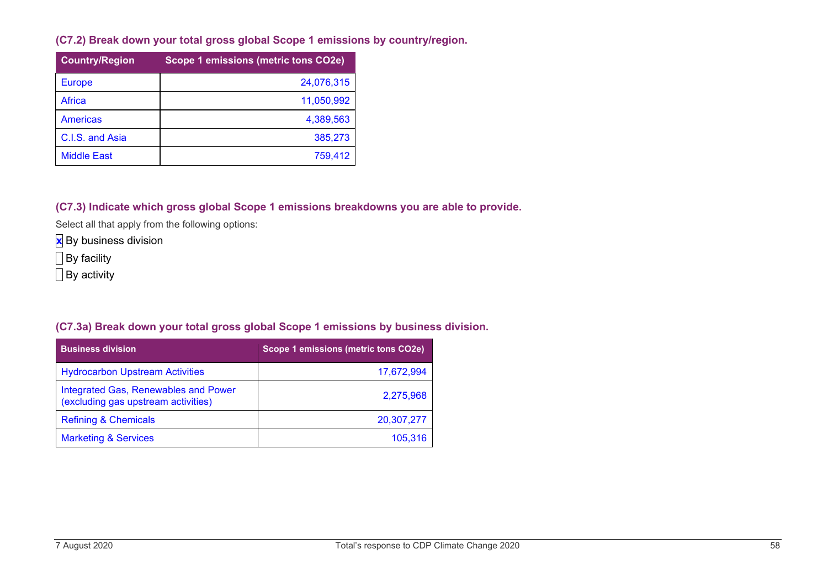**(C7.2) Break down your total gross global Scope 1 emissions by country/region.**

| <b>Country/Region</b> | Scope 1 emissions (metric tons CO2e) |
|-----------------------|--------------------------------------|
| <b>Europe</b>         | 24,076,315                           |
| Africa                | 11,050,992                           |
| <b>Americas</b>       | 4,389,563                            |
| C.I.S. and Asia       | 385,273                              |
| <b>Middle East</b>    | 759,412                              |

**(C7.3) Indicate which gross global Scope 1 emissions breakdowns you are able to provide.**

Select all that apply from the following options:

**x** By business division

By facility

**By activity** 

#### **(C7.3a) Break down your total gross global Scope 1 emissions by business division.**

| <b>Business division</b>                                                    | Scope 1 emissions (metric tons CO2e) |
|-----------------------------------------------------------------------------|--------------------------------------|
| <b>Hydrocarbon Upstream Activities</b>                                      | 17,672,994                           |
| Integrated Gas, Renewables and Power<br>(excluding gas upstream activities) | 2,275,968                            |
| <b>Refining &amp; Chemicals</b>                                             | 20,307,277                           |
| <b>Marketing &amp; Services</b>                                             | 105,316                              |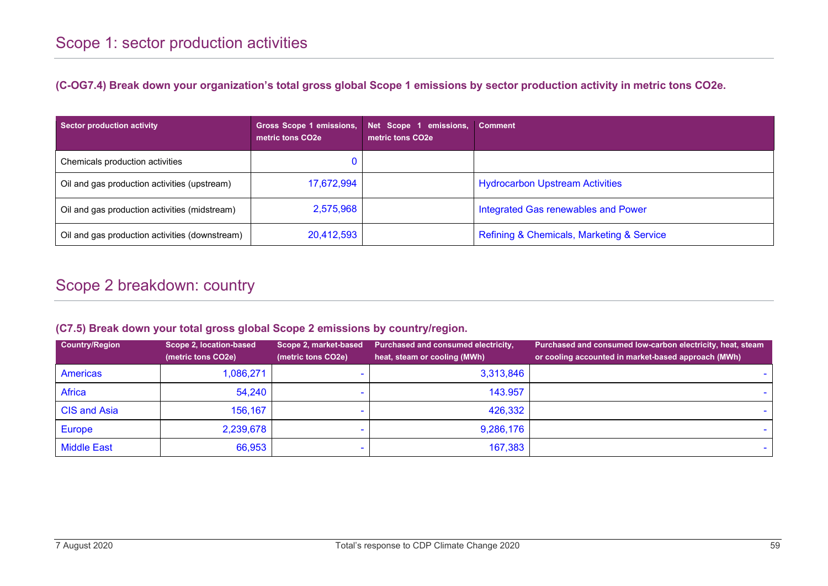**(C-OG7.4) Break down your organization's total gross global Scope 1 emissions by sector production activity in metric tons CO2e.**

| Sector production activity                     | Gross Scope 1 emissions,<br>metric tons CO <sub>2e</sub> | Net Scope 1 emissions,<br>metric tons $CO2e$ | <b>Comment</b>                            |
|------------------------------------------------|----------------------------------------------------------|----------------------------------------------|-------------------------------------------|
| Chemicals production activities                |                                                          |                                              |                                           |
| Oil and gas production activities (upstream)   | 17,672,994                                               |                                              | <b>Hydrocarbon Upstream Activities</b>    |
| Oil and gas production activities (midstream)  | 2,575,968                                                |                                              | Integrated Gas renewables and Power       |
| Oil and gas production activities (downstream) | 20,412,593                                               |                                              | Refining & Chemicals, Marketing & Service |

# Scope 2 breakdown: country

#### **(C7.5) Break down your total gross global Scope 2 emissions by country/region.**

| <b>Country/Region</b> | Scope 2, location-based<br>(metric tons CO2e) | Scope 2, market-based<br>(metric tons CO2e) | <b>Purchased and consumed electricity,</b><br>heat, steam or cooling (MWh) | Purchased and consumed low-carbon electricity, heat, steam<br>or cooling accounted in market-based approach (MWh) |
|-----------------------|-----------------------------------------------|---------------------------------------------|----------------------------------------------------------------------------|-------------------------------------------------------------------------------------------------------------------|
| <b>Americas</b>       | 1,086,271                                     |                                             | 3,313,846                                                                  |                                                                                                                   |
| Africa                | 54,240                                        |                                             | 143.957                                                                    |                                                                                                                   |
| <b>CIS and Asia</b>   | 156,167                                       |                                             | 426,332                                                                    |                                                                                                                   |
| <b>Europe</b>         | 2,239,678                                     |                                             | 9,286,176                                                                  |                                                                                                                   |
| <b>Middle East</b>    | 66,953                                        |                                             | 167,383                                                                    |                                                                                                                   |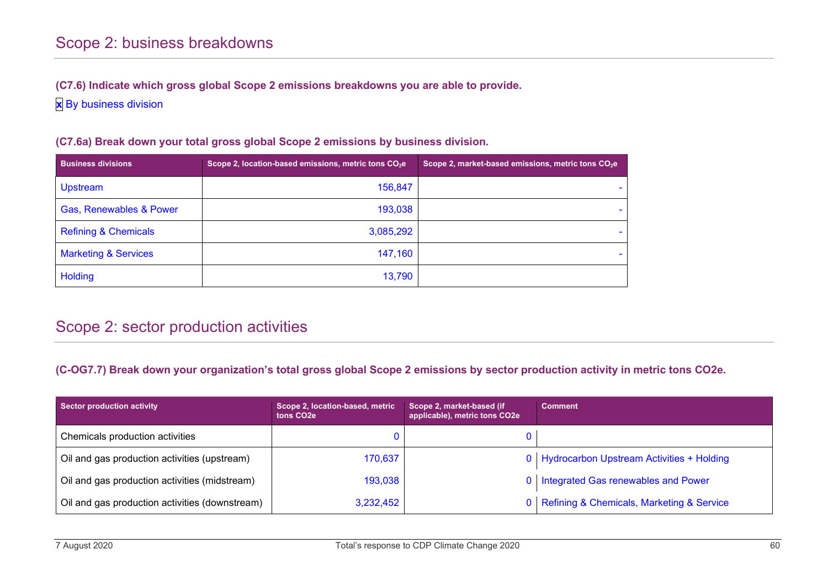#### **(C7.6) Indicate which gross global Scope 2 emissions breakdowns you are able to provide.**

**x** By business division

| <b>Business divisions</b>       | Scope 2, location-based emissions, metric tons CO <sub>2</sub> e | Scope 2, market-based emissions, metric tons CO <sub>2</sub> e |
|---------------------------------|------------------------------------------------------------------|----------------------------------------------------------------|
| <b>Upstream</b>                 | 156,847                                                          |                                                                |
| Gas, Renewables & Power         | 193,038                                                          |                                                                |
| <b>Refining &amp; Chemicals</b> | 3,085,292                                                        |                                                                |
| <b>Marketing &amp; Services</b> | 147,160                                                          |                                                                |
| <b>Holding</b>                  | 13,790                                                           |                                                                |

**(C7.6a) Break down your total gross global Scope 2 emissions by business division.**

# Scope 2: sector production activities

#### **(C-OG7.7) Break down your organization's total gross global Scope 2 emissions by sector production activity in metric tons CO2e.**

| <b>Sector production activity</b>              | Scope 2, location-based, metric<br>tons CO <sub>2</sub> e | Scope 2, market-based (if<br>applicable), metric tons CO2e | <b>Comment</b>                                |
|------------------------------------------------|-----------------------------------------------------------|------------------------------------------------------------|-----------------------------------------------|
| Chemicals production activities                |                                                           |                                                            |                                               |
| Oil and gas production activities (upstream)   | 170,637                                                   |                                                            | 0   Hydrocarbon Upstream Activities + Holding |
| Oil and gas production activities (midstream)  | 193,038                                                   |                                                            | 0   Integrated Gas renewables and Power       |
| Oil and gas production activities (downstream) | 3,232,452                                                 |                                                            | 0   Refining & Chemicals, Marketing & Service |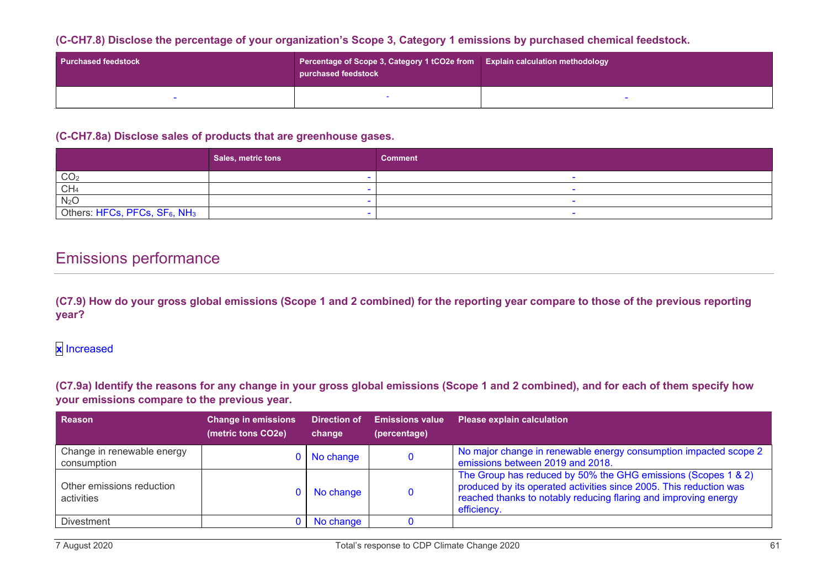#### **(C-CH7.8) Disclose the percentage of your organization's Scope 3, Category 1 emissions by purchased chemical feedstock.**

| <b>Purchased feedstock</b> | Percentage of Scope 3, Category 1 tCO2e from<br>purchased feedstock | <b>Explain calculation methodology</b> |  |
|----------------------------|---------------------------------------------------------------------|----------------------------------------|--|
|                            |                                                                     |                                        |  |

#### **(C-CH7.8a) Disclose sales of products that are greenhouse gases.**

|                                          | Sales, metric tons | <b>Comment</b> |
|------------------------------------------|--------------------|----------------|
| CO <sub>2</sub>                          |                    |                |
| CH <sub>4</sub>                          |                    |                |
| N <sub>2</sub> O                         |                    |                |
| Others: HFCs, PFCs, SF6, NH <sub>3</sub> |                    |                |

### Emissions performance

**(C7.9) How do your gross global emissions (Scope 1 and 2 combined) for the reporting year compare to those of the previous reporting year?**

### **x** Increased

**(C7.9a) Identify the reasons for any change in your gross global emissions (Scope 1 and 2 combined), and for each of them specify how your emissions compare to the previous year.**

| <b>Reason</b>                             | <b>Change in emissions</b><br>(metric tons CO2e) | Direction of<br>change | <b>Emissions value</b><br>(percentage) | <b>Please explain calculation</b>                                                                                                                                                                                     |
|-------------------------------------------|--------------------------------------------------|------------------------|----------------------------------------|-----------------------------------------------------------------------------------------------------------------------------------------------------------------------------------------------------------------------|
| Change in renewable energy<br>consumption |                                                  | No change              |                                        | No major change in renewable energy consumption impacted scope 2<br>emissions between 2019 and 2018.                                                                                                                  |
| Other emissions reduction<br>activities   |                                                  | No change              |                                        | The Group has reduced by 50% the GHG emissions (Scopes 1 & 2)<br>produced by its operated activities since 2005. This reduction was<br>reached thanks to notably reducing flaring and improving energy<br>efficiency. |
| <b>Divestment</b>                         |                                                  | No change              |                                        |                                                                                                                                                                                                                       |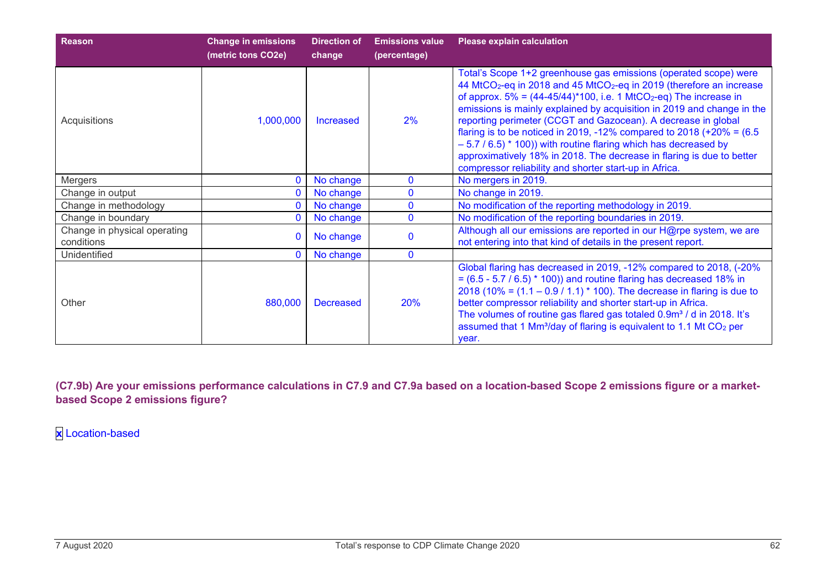| <b>Reason</b>                              | <b>Change in emissions</b><br>(metric tons CO2e) | <b>Direction of</b><br>change | <b>Emissions value</b><br>(percentage) | <b>Please explain calculation</b>                                                                                                                                                                                                                                                                                                                                                                                                                                                                                                                                                                                                                                                       |
|--------------------------------------------|--------------------------------------------------|-------------------------------|----------------------------------------|-----------------------------------------------------------------------------------------------------------------------------------------------------------------------------------------------------------------------------------------------------------------------------------------------------------------------------------------------------------------------------------------------------------------------------------------------------------------------------------------------------------------------------------------------------------------------------------------------------------------------------------------------------------------------------------------|
| Acquisitions                               | 1,000,000                                        | <b>Increased</b>              | 2%                                     | Total's Scope 1+2 greenhouse gas emissions (operated scope) were<br>44 MtCO <sub>2</sub> -eq in 2018 and 45 MtCO <sub>2</sub> -eq in 2019 (therefore an increase<br>of approx. $5\% = (44-45/44)^*100$ , i.e. 1 MtCO <sub>2</sub> -eq) The increase in<br>emissions is mainly explained by acquisition in 2019 and change in the<br>reporting perimeter (CCGT and Gazocean). A decrease in global<br>flaring is to be noticed in 2019, -12% compared to 2018 (+20% = $(6.5$ )<br>$-5.7$ / 6.5) $*$ 100)) with routine flaring which has decreased by<br>approximatively 18% in 2018. The decrease in flaring is due to better<br>compressor reliability and shorter start-up in Africa. |
| Mergers                                    | $\mathbf{0}$                                     | No change                     | $\mathbf{0}$                           | No mergers in 2019.                                                                                                                                                                                                                                                                                                                                                                                                                                                                                                                                                                                                                                                                     |
| Change in output                           | 0                                                | No change                     | $\bf{0}$                               | No change in 2019.                                                                                                                                                                                                                                                                                                                                                                                                                                                                                                                                                                                                                                                                      |
| Change in methodology                      | 0                                                | No change                     | $\bf{0}$                               | No modification of the reporting methodology in 2019.                                                                                                                                                                                                                                                                                                                                                                                                                                                                                                                                                                                                                                   |
| Change in boundary                         | 0                                                | No change                     | $\Omega$                               | No modification of the reporting boundaries in 2019.                                                                                                                                                                                                                                                                                                                                                                                                                                                                                                                                                                                                                                    |
| Change in physical operating<br>conditions | $\mathbf{0}$                                     | No change                     |                                        | Although all our emissions are reported in our H@rpe system, we are<br>not entering into that kind of details in the present report.                                                                                                                                                                                                                                                                                                                                                                                                                                                                                                                                                    |
| Unidentified                               | $\Omega$                                         | No change                     | $\Omega$                               |                                                                                                                                                                                                                                                                                                                                                                                                                                                                                                                                                                                                                                                                                         |
| Other                                      | 880,000                                          | <b>Decreased</b>              | <b>20%</b>                             | Global flaring has decreased in 2019, -12% compared to 2018, (-20%<br>$= (6.5 - 5.7 / 6.5) * 100)$ and routine flaring has decreased 18% in<br>2018 (10% = $(1.1 - 0.9 / 1.1)$ * 100). The decrease in flaring is due to<br>better compressor reliability and shorter start-up in Africa.<br>The volumes of routine gas flared gas totaled 0.9m <sup>3</sup> / d in 2018. It's<br>assumed that 1 Mm <sup>3</sup> /day of flaring is equivalent to 1.1 Mt CO <sub>2</sub> per<br>year.                                                                                                                                                                                                   |

**(C7.9b) Are your emissions performance calculations in C7.9 and C7.9a based on a location-based Scope 2 emissions figure or a marketbased Scope 2 emissions figure?**

**x** Location-based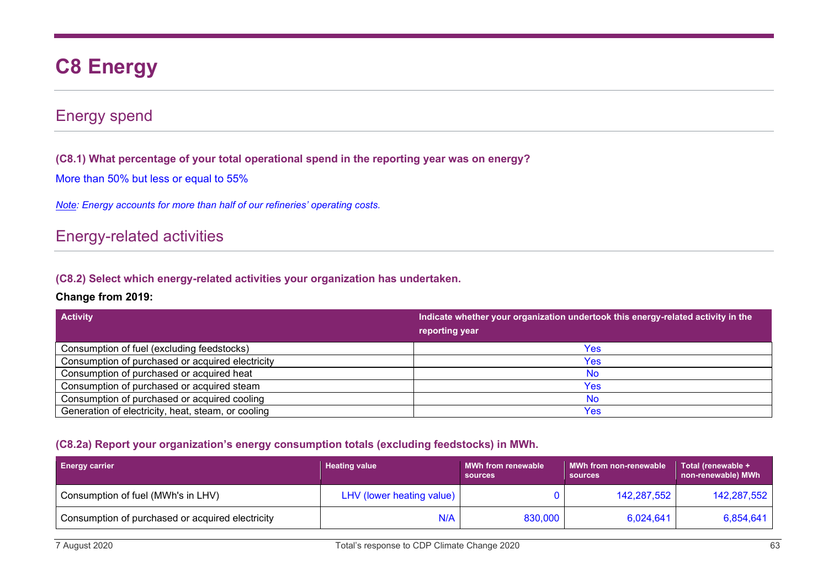# **C8 Energy**

### Energy spend

**(C8.1) What percentage of your total operational spend in the reporting year was on energy?**

More than 50% but less or equal to 55%

*Note: Energy accounts for more than half of our refineries' operating costs.*

### Energy-related activities

**(C8.2) Select which energy-related activities your organization has undertaken.**

#### **Change from 2019:**

| <b>Activity</b>                                    | Indicate whether your organization undertook this energy-related activity in the |
|----------------------------------------------------|----------------------------------------------------------------------------------|
|                                                    | reporting year                                                                   |
| Consumption of fuel (excluding feedstocks)         | Yes                                                                              |
| Consumption of purchased or acquired electricity   | Yes                                                                              |
| Consumption of purchased or acquired heat          | <b>No</b>                                                                        |
| Consumption of purchased or acquired steam         | Yes                                                                              |
| Consumption of purchased or acquired cooling       | <b>No</b>                                                                        |
| Generation of electricity, heat, steam, or cooling | Yes                                                                              |

#### **(C8.2a) Report your organization's energy consumption totals (excluding feedstocks) in MWh.**

| <b>Energy carrier</b>                            | <b>Heating value</b>      | <b>MWh from renewable</b><br><b>sources</b> | <b>MWh from non-renewable</b><br>sources | Total (renewable +<br>non-renewable) MWh |
|--------------------------------------------------|---------------------------|---------------------------------------------|------------------------------------------|------------------------------------------|
| Consumption of fuel (MWh's in LHV)               | LHV (lower heating value) |                                             | 142,287,552                              | 142,287,552                              |
| Consumption of purchased or acquired electricity | N/A                       | 830,000                                     | 6,024,641                                | 6,854,641                                |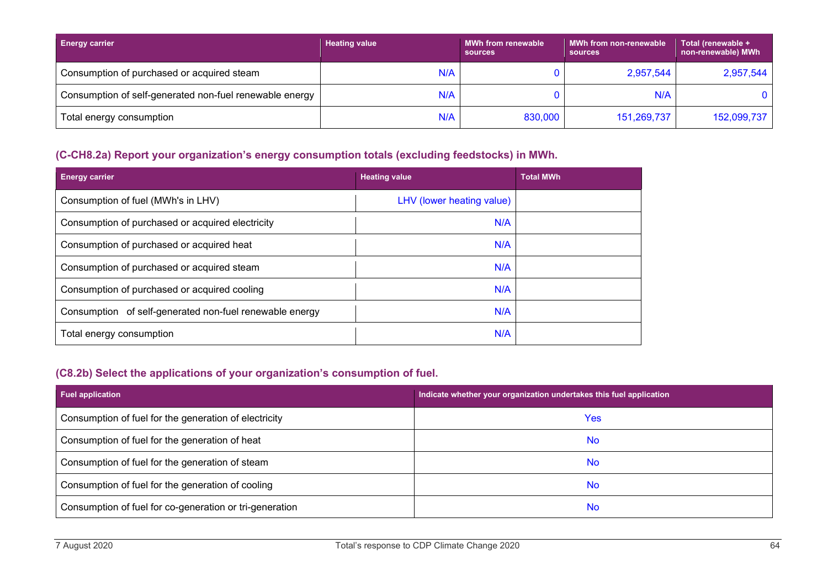| <b>Energy carrier</b>                                   | <b>Heating value</b> | <b>MWh from renewable</b><br>sources | <b>MWh from non-renewable</b><br><b>sources</b> | Total (renewable +<br>non-renewable) MWh |
|---------------------------------------------------------|----------------------|--------------------------------------|-------------------------------------------------|------------------------------------------|
| Consumption of purchased or acquired steam              | N/A                  |                                      | 2,957,544                                       | 2,957,544                                |
| Consumption of self-generated non-fuel renewable energy | N/A                  |                                      | N/A                                             |                                          |
| Total energy consumption                                | N/A                  | 830,000                              | 151,269,737                                     | 152,099,737                              |

### **(C-CH8.2a) Report your organization's energy consumption totals (excluding feedstocks) in MWh.**

| <b>Energy carrier</b>                                   | <b>Heating value</b>      | <b>Total MWh</b> |
|---------------------------------------------------------|---------------------------|------------------|
| Consumption of fuel (MWh's in LHV)                      | LHV (lower heating value) |                  |
| Consumption of purchased or acquired electricity        | N/A                       |                  |
| Consumption of purchased or acquired heat               | N/A                       |                  |
| Consumption of purchased or acquired steam              | N/A                       |                  |
| Consumption of purchased or acquired cooling            | N/A                       |                  |
| Consumption of self-generated non-fuel renewable energy | N/A                       |                  |
| Total energy consumption                                | N/A                       |                  |

### **(C8.2b) Select the applications of your organization's consumption of fuel.**

| <b>Fuel application</b>                                 | Indicate whether your organization undertakes this fuel application |
|---------------------------------------------------------|---------------------------------------------------------------------|
| Consumption of fuel for the generation of electricity   | Yes                                                                 |
| Consumption of fuel for the generation of heat          | <b>No</b>                                                           |
| Consumption of fuel for the generation of steam         | <b>No</b>                                                           |
| Consumption of fuel for the generation of cooling       | <b>No</b>                                                           |
| Consumption of fuel for co-generation or tri-generation | <b>No</b>                                                           |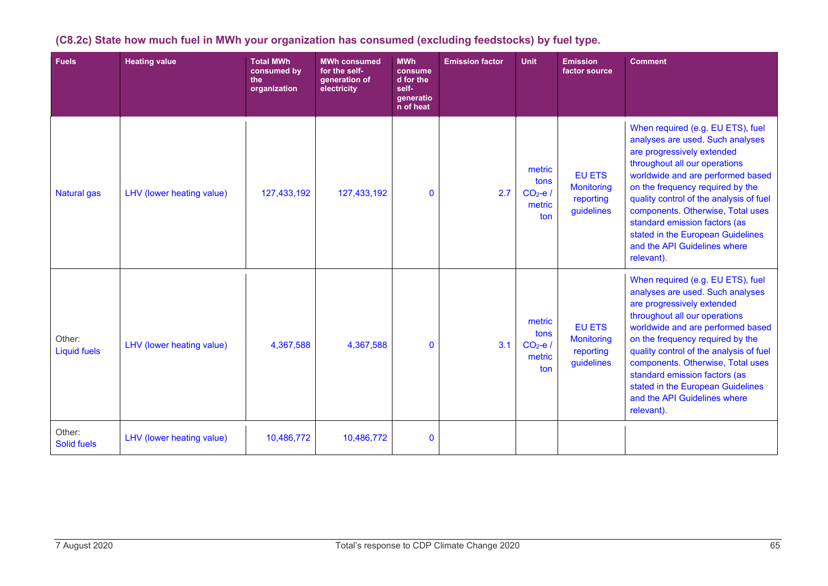| <b>Fuels</b>                  | <b>Heating value</b>      | <b>Total MWh</b><br>consumed by<br>the<br>organization | <b>MWh consumed</b><br>for the self-<br>generation of<br>electricity | <b>MWh</b><br>consume<br>d for the<br>self-<br>generatio<br>n of heat | <b>Emission factor</b> | <b>Unit</b>                                 | <b>Emission</b><br>factor source                              | <b>Comment</b>                                                                                                                                                                                                                                                                                                                                                                                                    |
|-------------------------------|---------------------------|--------------------------------------------------------|----------------------------------------------------------------------|-----------------------------------------------------------------------|------------------------|---------------------------------------------|---------------------------------------------------------------|-------------------------------------------------------------------------------------------------------------------------------------------------------------------------------------------------------------------------------------------------------------------------------------------------------------------------------------------------------------------------------------------------------------------|
| <b>Natural gas</b>            | LHV (lower heating value) | 127,433,192                                            | 127,433,192                                                          | $\mathbf{0}$                                                          | 2.7                    | metric<br>tons<br>$CO2-e/$<br>metric<br>ton | <b>EU ETS</b><br><b>Monitoring</b><br>reporting<br>guidelines | When required (e.g. EU ETS), fuel<br>analyses are used. Such analyses<br>are progressively extended<br>throughout all our operations<br>worldwide and are performed based<br>on the frequency required by the<br>quality control of the analysis of fuel<br>components. Otherwise, Total uses<br>standard emission factors (as<br>stated in the European Guidelines<br>and the API Guidelines where<br>relevant). |
| Other:<br><b>Liquid fuels</b> | LHV (lower heating value) | 4,367,588                                              | 4,367,588                                                            | $\mathbf{0}$                                                          | 3.1                    | metric<br>tons<br>$CO2-e/$<br>metric<br>ton | <b>EU ETS</b><br><b>Monitoring</b><br>reporting<br>guidelines | When required (e.g. EU ETS), fuel<br>analyses are used. Such analyses<br>are progressively extended<br>throughout all our operations<br>worldwide and are performed based<br>on the frequency required by the<br>quality control of the analysis of fuel<br>components. Otherwise, Total uses<br>standard emission factors (as<br>stated in the European Guidelines<br>and the API Guidelines where<br>relevant). |
| Other:<br><b>Solid fuels</b>  | LHV (lower heating value) | 10,486,772                                             | 10,486,772                                                           | $\bf{0}$                                                              |                        |                                             |                                                               |                                                                                                                                                                                                                                                                                                                                                                                                                   |

### **(C8.2c) State how much fuel in MWh your organization has consumed (excluding feedstocks) by fuel type.**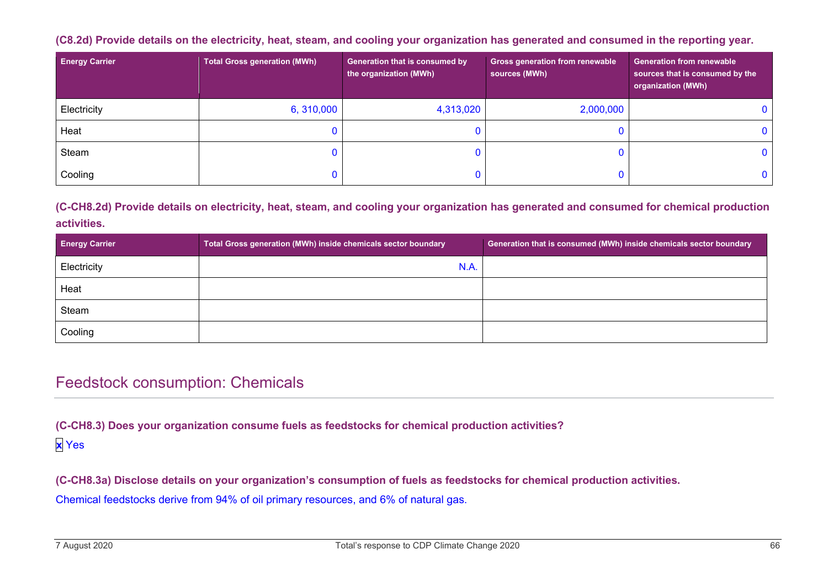#### **(C8.2d) Provide details on the electricity, heat, steam, and cooling your organization has generated and consumed in the reporting year.**

| <b>Energy Carrier</b> | <b>Total Gross generation (MWh)</b> | Generation that is consumed by<br>the organization (MWh) | <b>Gross generation from renewable</b><br>sources (MWh) | <b>Generation from renewable</b><br>sources that is consumed by the<br>organization (MWh) |
|-----------------------|-------------------------------------|----------------------------------------------------------|---------------------------------------------------------|-------------------------------------------------------------------------------------------|
| Electricity           | 6, 310,000                          | 4,313,020                                                | 2,000,000                                               |                                                                                           |
| Heat                  |                                     |                                                          |                                                         |                                                                                           |
| Steam                 |                                     |                                                          |                                                         |                                                                                           |
| Cooling               |                                     |                                                          |                                                         |                                                                                           |

#### **(C-CH8.2d) Provide details on electricity, heat, steam, and cooling your organization has generated and consumed for chemical production activities.**

| <b>Energy Carrier</b> | Total Gross generation (MWh) inside chemicals sector boundary | Generation that is consumed (MWh) inside chemicals sector boundary |
|-----------------------|---------------------------------------------------------------|--------------------------------------------------------------------|
| Electricity           | N.A.                                                          |                                                                    |
| Heat                  |                                                               |                                                                    |
| Steam                 |                                                               |                                                                    |
| Cooling               |                                                               |                                                                    |

### Feedstock consumption: Chemicals

**(C-CH8.3) Does your organization consume fuels as feedstocks for chemical production activities? x** Yes

**(C-CH8.3a) Disclose details on your organization's consumption of fuels as feedstocks for chemical production activities.**

Chemical feedstocks derive from 94% of oil primary resources, and 6% of natural gas.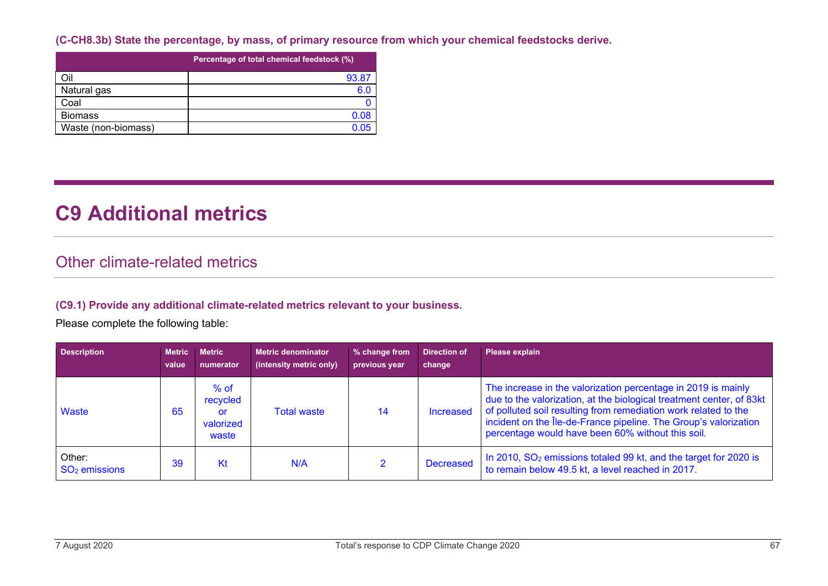**(C-CH8.3b) State the percentage, by mass, of primary resource from which your chemical feedstocks derive.**

|                     | Percentage of total chemical feedstock (%) |
|---------------------|--------------------------------------------|
| Oil                 | 93.87                                      |
| Natural gas         | 6.0                                        |
| Coal                |                                            |
| <b>Biomass</b>      | 0.08                                       |
| Waste (non-biomass) |                                            |

# **C9 Additional metrics**

### Other climate-related metrics

#### **(C9.1) Provide any additional climate-related metrics relevant to your business.**

Please complete the following table:

| <b>Description</b>        | <b>Metric</b><br>value | <b>Metric</b><br>numerator                     | <b>Metric denominator</b><br>(intensity metric only) | % change from<br>previous year | <b>Direction of</b><br>change | Please explain                                                                                                                                                                                                                                                                                                                    |
|---------------------------|------------------------|------------------------------------------------|------------------------------------------------------|--------------------------------|-------------------------------|-----------------------------------------------------------------------------------------------------------------------------------------------------------------------------------------------------------------------------------------------------------------------------------------------------------------------------------|
| Waste                     | 65                     | $%$ of<br>recycled<br>or<br>valorized<br>waste | <b>Total waste</b>                                   | 14                             | Increased                     | The increase in the valorization percentage in 2019 is mainly<br>due to the valorization, at the biological treatment center, of 83kt<br>of polluted soil resulting from remediation work related to the<br>incident on the Île-de-France pipeline. The Group's valorization<br>percentage would have been 60% without this soil. |
| Other:<br>$SO2$ emissions | 39                     | Kt                                             | N/A                                                  |                                | <b>Decreased</b>              | In 2010, SO <sub>2</sub> emissions totaled 99 kt, and the target for 2020 is<br>to remain below 49.5 kt, a level reached in 2017.                                                                                                                                                                                                 |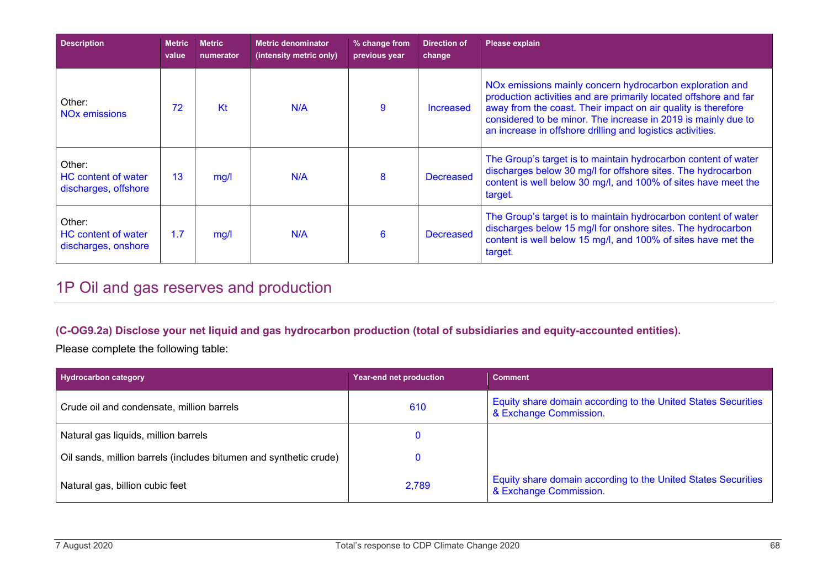| <b>Description</b>                                           | <b>Metric</b><br>value | <b>Metric</b><br>numerator | <b>Metric denominator</b><br>(intensity metric only) | % change from<br>previous year | Direction of<br>change | Please explain                                                                                                                                                                                                                                                                                                               |
|--------------------------------------------------------------|------------------------|----------------------------|------------------------------------------------------|--------------------------------|------------------------|------------------------------------------------------------------------------------------------------------------------------------------------------------------------------------------------------------------------------------------------------------------------------------------------------------------------------|
| Other:<br>NO <sub>x</sub> emissions                          | 72                     | Kt                         | N/A                                                  | 9                              | <b>Increased</b>       | NOx emissions mainly concern hydrocarbon exploration and<br>production activities and are primarily located offshore and far<br>away from the coast. Their impact on air quality is therefore<br>considered to be minor. The increase in 2019 is mainly due to<br>an increase in offshore drilling and logistics activities. |
| Other:<br><b>HC</b> content of water<br>discharges, offshore | 13                     | mg/l                       | N/A                                                  | 8                              | <b>Decreased</b>       | The Group's target is to maintain hydrocarbon content of water<br>discharges below 30 mg/l for offshore sites. The hydrocarbon<br>content is well below 30 mg/l, and 100% of sites have meet the<br>target.                                                                                                                  |
| Other:<br>HC content of water<br>discharges, onshore         | 1.7                    | mg/l                       | N/A                                                  | 6                              | <b>Decreased</b>       | The Group's target is to maintain hydrocarbon content of water<br>discharges below 15 mg/l for onshore sites. The hydrocarbon<br>content is well below 15 mg/l, and 100% of sites have met the<br>target.                                                                                                                    |

# 1P Oil and gas reserves and production

#### **(C-OG9.2a) Disclose your net liquid and gas hydrocarbon production (total of subsidiaries and equity-accounted entities).**

Please complete the following table:

| <b>Hydrocarbon category</b>                                       | Year-end net production | <b>Comment</b>                                                                          |
|-------------------------------------------------------------------|-------------------------|-----------------------------------------------------------------------------------------|
| Crude oil and condensate, million barrels                         | 610                     | Equity share domain according to the United States Securities<br>& Exchange Commission. |
| Natural gas liquids, million barrels                              |                         |                                                                                         |
| Oil sands, million barrels (includes bitumen and synthetic crude) |                         |                                                                                         |
| Natural gas, billion cubic feet                                   | 2,789                   | Equity share domain according to the United States Securities<br>& Exchange Commission. |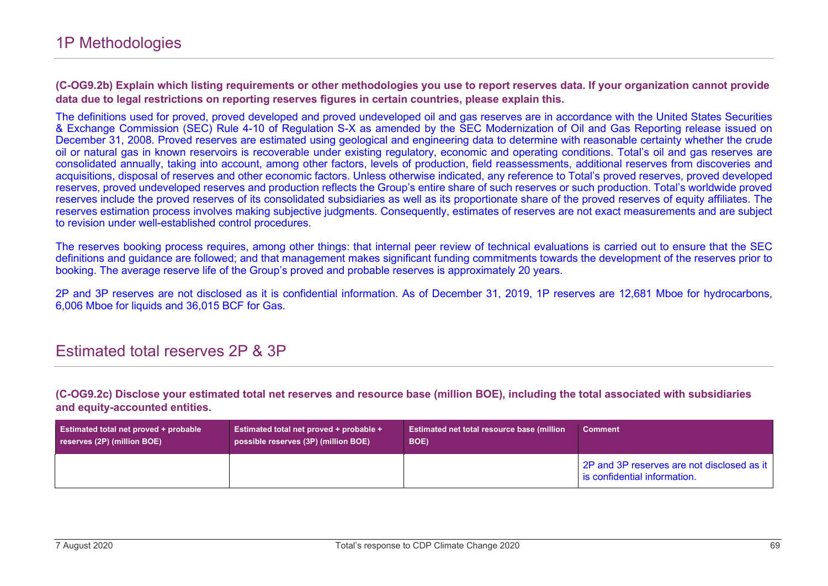**(C-OG9.2b) Explain which listing requirements or other methodologies you use to report reserves data. If your organization cannot provide data due to legal restrictions on reporting reserves figures in certain countries, please explain this.**

The definitions used for proved, proved developed and proved undeveloped oil and gas reserves are in accordance with the United States Securities & Exchange Commission (SEC) Rule 4-10 of Regulation S-X as amended by the SEC Modernization of Oil and Gas Reporting release issued on December 31, 2008. Proved reserves are estimated using geological and engineering data to determine with reasonable certainty whether the crude oil or natural gas in known reservoirs is recoverable under existing regulatory, economic and operating conditions. Total's oil and gas reserves are consolidated annually, taking into account, among other factors, levels of production, field reassessments, additional reserves from discoveries and acquisitions, disposal of reserves and other economic factors. Unless otherwise indicated, any reference to Total's proved reserves, proved developed reserves, proved undeveloped reserves and production reflects the Group's entire share of such reserves or such production. Total's worldwide proved reserves include the proved reserves of its consolidated subsidiaries as well as its proportionate share of the proved reserves of equity affiliates. The reserves estimation process involves making subjective judgments. Consequently, estimates of reserves are not exact measurements and are subject to revision under well-established control procedures.

The reserves booking process requires, among other things: that internal peer review of technical evaluations is carried out to ensure that the SEC definitions and guidance are followed; and that management makes significant funding commitments towards the development of the reserves prior to booking. The average reserve life of the Group's proved and probable reserves is approximately 20 years.

2P and 3P reserves are not disclosed as it is confidential information. As of December 31, 2019, 1P reserves are 12,681 Mboe for hydrocarbons, 6,006 Mboe for liquids and 36,015 BCF for Gas.

### Estimated total reserves 2P & 3P

**(C-OG9.2c) Disclose your estimated total net reserves and resource base (million BOE), including the total associated with subsidiaries and equity-accounted entities.**

| <b>Estimated total net proved + probable</b> | <b>Estimated total net proved + probable +</b> | Estimated net total resource base (million | <b>Comment</b>                                                             |
|----------------------------------------------|------------------------------------------------|--------------------------------------------|----------------------------------------------------------------------------|
| reserves (2P) (million BOE)                  | possible reserves (3P) (million BOE)           | BOE)                                       |                                                                            |
|                                              |                                                |                                            | 2P and 3P reserves are not disclosed as it<br>is confidential information. |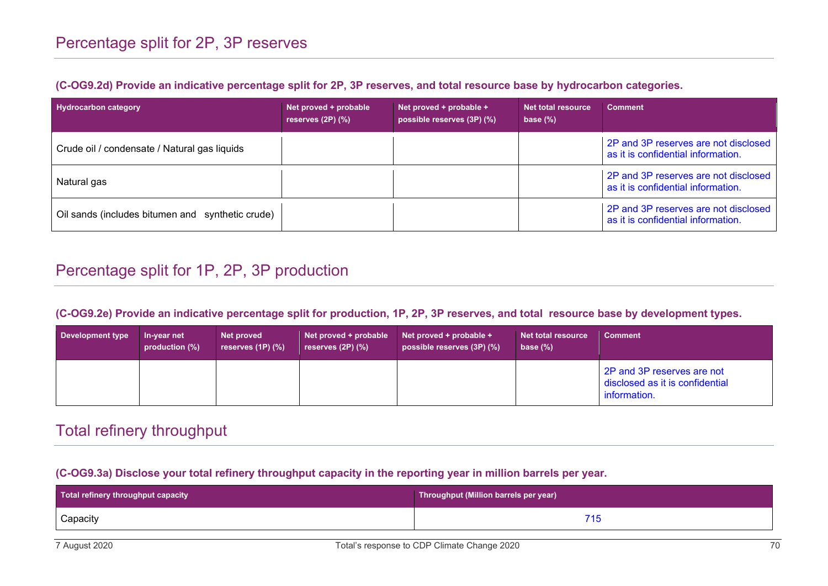| <b>Hydrocarbon category</b>                      | Net proved + probable<br>reserves $(2P)$ $(\%)$ | Net proved + probable +<br>possible reserves (3P) (%) | Net total resource<br>base $(\%)$ | <b>Comment</b>                                                             |
|--------------------------------------------------|-------------------------------------------------|-------------------------------------------------------|-----------------------------------|----------------------------------------------------------------------------|
| Crude oil / condensate / Natural gas liquids     |                                                 |                                                       |                                   | 2P and 3P reserves are not disclosed<br>as it is confidential information. |
| Natural gas                                      |                                                 |                                                       |                                   | 2P and 3P reserves are not disclosed<br>as it is confidential information. |
| Oil sands (includes bitumen and synthetic crude) |                                                 |                                                       |                                   | 2P and 3P reserves are not disclosed<br>as it is confidential information. |

# Percentage split for 1P, 2P, 3P production

#### **(C-OG9.2e) Provide an indicative percentage split for production, 1P, 2P, 3P reserves, and total resource base by development types.**

| Development type | In-year net<br>production (%) | Net proved<br>reserves $(1P)$ $(\%)$ | Net proved + probable<br>reserves $(2P)$ $(\%)$ | Net proved $+$ probable $+$<br>possible reserves (3P) (%) | Net total resource<br>base $(\%)$ | <b>Comment</b>                                                                |
|------------------|-------------------------------|--------------------------------------|-------------------------------------------------|-----------------------------------------------------------|-----------------------------------|-------------------------------------------------------------------------------|
|                  |                               |                                      |                                                 |                                                           |                                   | 2P and 3P reserves are not<br>disclosed as it is confidential<br>information. |

# Total refinery throughput

#### **(C-OG9.3a) Disclose your total refinery throughput capacity in the reporting year in million barrels per year.**

| Total refinery throughput capacity | Throughput (Million barrels per year) |
|------------------------------------|---------------------------------------|
| Capacity                           |                                       |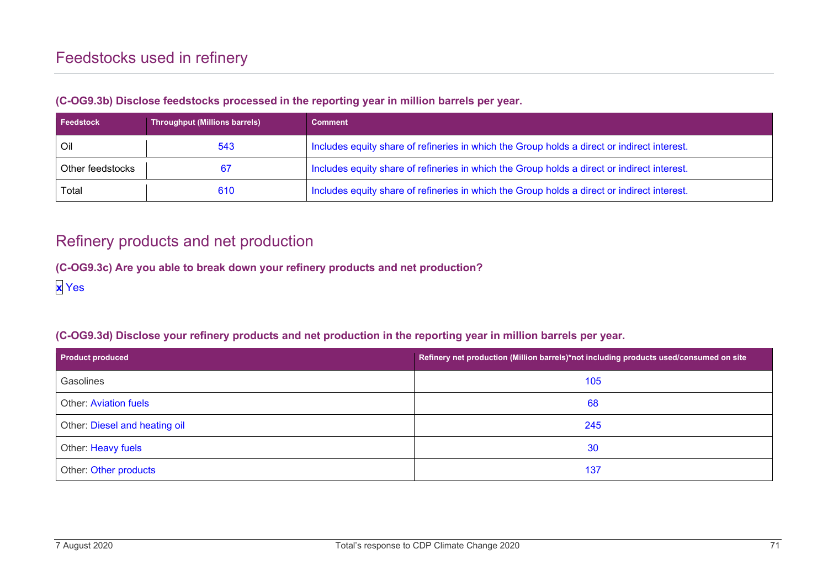| <b>Feedstock</b> | <b>Throughput (Millions barrels)</b> | <b>Comment</b>                                                                              |
|------------------|--------------------------------------|---------------------------------------------------------------------------------------------|
| Oil              | 543                                  | Includes equity share of refineries in which the Group holds a direct or indirect interest. |
| Other feedstocks |                                      | Includes equity share of refineries in which the Group holds a direct or indirect interest. |
| Total            | 610                                  | Includes equity share of refineries in which the Group holds a direct or indirect interest. |

#### **(C-OG9.3b) Disclose feedstocks processed in the reporting year in million barrels per year.**

## Refinery products and net production

**(C-OG9.3c) Are you able to break down your refinery products and net production?**

**x** Yes

### **(C-OG9.3d) Disclose your refinery products and net production in the reporting year in million barrels per year.**

| <b>Product produced</b>       | Refinery net production (Million barrels)*not including products used/consumed on site |  |
|-------------------------------|----------------------------------------------------------------------------------------|--|
| Gasolines                     | 105                                                                                    |  |
| <b>Other: Aviation fuels</b>  | 68                                                                                     |  |
| Other: Diesel and heating oil | 245                                                                                    |  |
| Other: Heavy fuels            | 30                                                                                     |  |
| Other: Other products         | 137                                                                                    |  |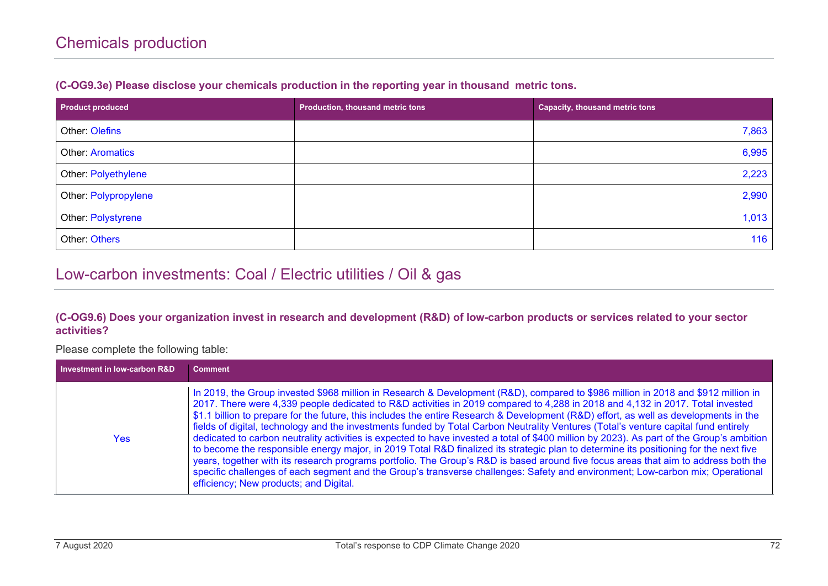| <b>Product produced</b> | Production, thousand metric tons | <b>Capacity, thousand metric tons</b> |
|-------------------------|----------------------------------|---------------------------------------|
| Other: Olefins          |                                  | 7,863                                 |
| <b>Other: Aromatics</b> |                                  | 6,995                                 |
| Other: Polyethylene     |                                  | 2,223                                 |
| Other: Polypropylene    |                                  | 2,990                                 |
| Other: Polystyrene      |                                  | 1,013                                 |
| Other: Others           |                                  | 116                                   |

#### **(C-OG9.3e) Please disclose your chemicals production in the reporting year in thousand metric tons.**

## Low-carbon investments: Coal / Electric utilities / Oil & gas

#### **(C-OG9.6) Does your organization invest in research and development (R&D) of low-carbon products or services related to your sector activities?**

#### Please complete the following table:

| Investment in low-carbon R&D | <b>Comment</b>                                                                                                                                                                                                                                                                                                                                                                                                                                                                                                                                                                                                                                                                                                                                                                                                                                                                                                                                                                                                                                                                                                                                              |
|------------------------------|-------------------------------------------------------------------------------------------------------------------------------------------------------------------------------------------------------------------------------------------------------------------------------------------------------------------------------------------------------------------------------------------------------------------------------------------------------------------------------------------------------------------------------------------------------------------------------------------------------------------------------------------------------------------------------------------------------------------------------------------------------------------------------------------------------------------------------------------------------------------------------------------------------------------------------------------------------------------------------------------------------------------------------------------------------------------------------------------------------------------------------------------------------------|
| <b>Yes</b>                   | In 2019, the Group invested \$968 million in Research & Development (R&D), compared to \$986 million in 2018 and \$912 million in<br>2017. There were 4,339 people dedicated to R&D activities in 2019 compared to 4,288 in 2018 and 4,132 in 2017. Total invested<br>\$1.1 billion to prepare for the future, this includes the entire Research & Development (R&D) effort, as well as developments in the<br>fields of digital, technology and the investments funded by Total Carbon Neutrality Ventures (Total's venture capital fund entirely<br>dedicated to carbon neutrality activities is expected to have invested a total of \$400 million by 2023). As part of the Group's ambition<br>to become the responsible energy major, in 2019 Total R&D finalized its strategic plan to determine its positioning for the next five<br>years, together with its research programs portfolio. The Group's R&D is based around five focus areas that aim to address both the<br>specific challenges of each segment and the Group's transverse challenges: Safety and environment; Low-carbon mix; Operational<br>efficiency; New products; and Digital. |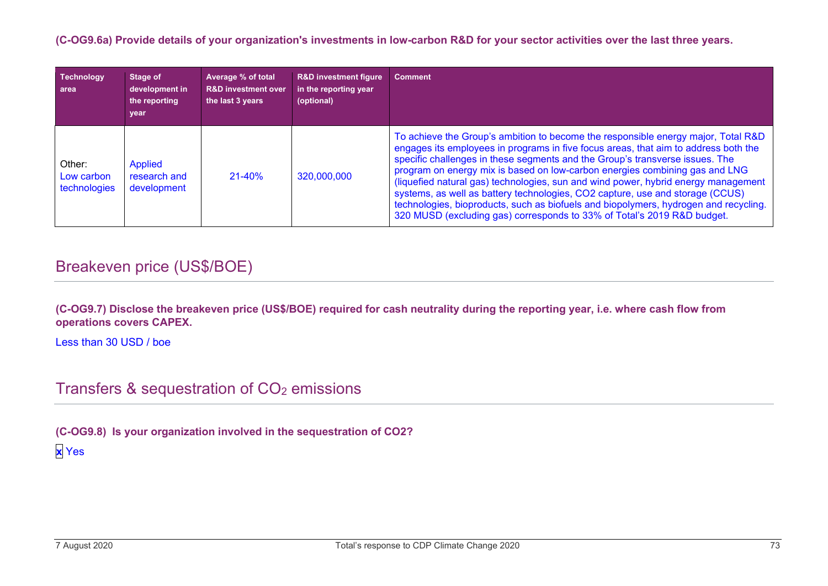**(C-OG9.6a) Provide details of your organization's investments in low-carbon R&D for your sector activities over the last three years.**

| <b>Technology</b><br>area            | Stage of<br>development in<br>the reporting<br>year | Average % of total<br><b>R&amp;D investment over</b><br>the last 3 years | <b>R&amp;D investment figure</b><br>in the reporting year<br>(optional) | <b>Comment</b>                                                                                                                                                                                                                                                                                                                                                                                                                                                                                                                                                                                                                                                                    |
|--------------------------------------|-----------------------------------------------------|--------------------------------------------------------------------------|-------------------------------------------------------------------------|-----------------------------------------------------------------------------------------------------------------------------------------------------------------------------------------------------------------------------------------------------------------------------------------------------------------------------------------------------------------------------------------------------------------------------------------------------------------------------------------------------------------------------------------------------------------------------------------------------------------------------------------------------------------------------------|
| Other:<br>Low carbon<br>technologies | Applied<br>research and<br>development              | $21 - 40%$                                                               | 320,000,000                                                             | To achieve the Group's ambition to become the responsible energy major, Total R&D<br>engages its employees in programs in five focus areas, that aim to address both the<br>specific challenges in these segments and the Group's transverse issues. The<br>program on energy mix is based on low-carbon energies combining gas and LNG<br>(liquefied natural gas) technologies, sun and wind power, hybrid energy management<br>systems, as well as battery technologies, CO2 capture, use and storage (CCUS)<br>technologies, bioproducts, such as biofuels and biopolymers, hydrogen and recycling.<br>320 MUSD (excluding gas) corresponds to 33% of Total's 2019 R&D budget. |

## Breakeven price (US\$/BOE)

**(C-OG9.7) Disclose the breakeven price (US\$/BOE) required for cash neutrality during the reporting year, i.e. where cash flow from operations covers CAPEX.**

Less than 30 USD / boe

Transfers & sequestration of CO<sub>2</sub> emissions

**(C-OG9.8) Is your organization involved in the sequestration of CO2? x** Yes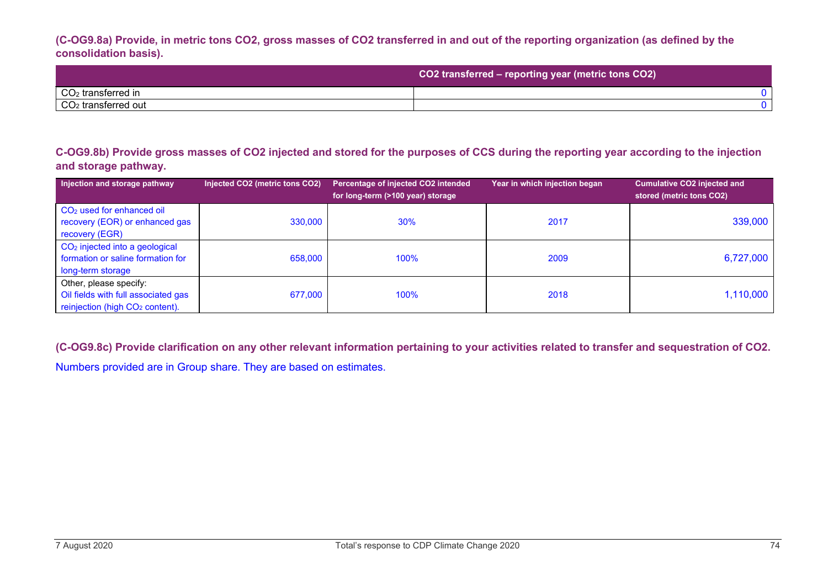**(C-OG9.8a) Provide, in metric tons CO2, gross masses of CO2 transferred in and out of the reporting organization (as defined by the consolidation basis).**

|                                 | CO2 transferred - reporting year (metric tons CO2) |
|---------------------------------|----------------------------------------------------|
| $CO2$ transferred in            |                                                    |
| CO <sub>2</sub> transferred out |                                                    |

**C-OG9.8b) Provide gross masses of CO2 injected and stored for the purposes of CCS during the reporting year according to the injection and storage pathway.**

| Injection and storage pathway                                                                                | Injected CO2 (metric tons CO2) | Percentage of injected CO2 intended<br>for long-term (>100 year) storage | Year in which injection began | Cumulative CO2 injected and<br>stored (metric tons CO2) |
|--------------------------------------------------------------------------------------------------------------|--------------------------------|--------------------------------------------------------------------------|-------------------------------|---------------------------------------------------------|
| CO <sub>2</sub> used for enhanced oil<br>recovery (EOR) or enhanced gas<br>recovery (EGR)                    | 330,000                        | 30%                                                                      | 2017                          | 339,000                                                 |
| CO <sub>2</sub> injected into a geological<br>formation or saline formation for<br>long-term storage         | 658,000                        | 100%                                                                     | 2009                          | 6,727,000                                               |
| Other, please specify:<br>Oil fields with full associated gas<br>reinjection (high CO <sub>2</sub> content). | 677,000                        | 100%                                                                     | 2018                          | 1,110,000                                               |

**(C-OG9.8c) Provide clarification on any other relevant information pertaining to your activities related to transfer and sequestration of CO2.** Numbers provided are in Group share. They are based on estimates.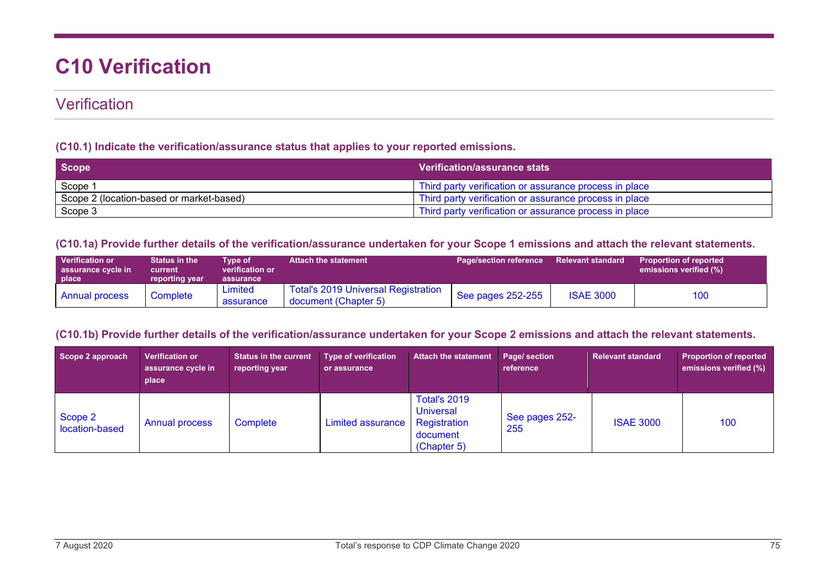# **C10 Verification**

## **Verification**

#### **(C10.1) Indicate the verification/assurance status that applies to your reported emissions.**

| Scope                                    | <b>Verification/assurance stats</b>                                 |
|------------------------------------------|---------------------------------------------------------------------|
| Scope <sup>2</sup>                       | Third party verification or assurance process in place              |
| Scope 2 (location-based or market-based) | <sup>1</sup> Third party verification or assurance process in place |
| Scope 3                                  | Third party verification or assurance process in place              |

#### **(C10.1a) Provide further details of the verification/assurance undertaken for your Scope 1 emissions and attach the relevant statements.**

| <b>Verification or</b><br>assurance cycle in<br>place \ | <b>Status in the</b><br>current<br>reporting year | Tvpe of<br>verification or<br>assurance | <b>Attach the statement</b>                                 | <b>Page/section reference</b> | <b>Relevant standard</b> | <b>Proportion of reported</b><br>emissions verified (%) |
|---------------------------------------------------------|---------------------------------------------------|-----------------------------------------|-------------------------------------------------------------|-------------------------------|--------------------------|---------------------------------------------------------|
| <b>Annual process</b>                                   | Complete                                          | Limited<br>assurance                    | Total's 2019 Universal Registration<br>document (Chapter 5) | See pages 252-255             | <b>ISAE 3000</b>         | 100                                                     |

## **(C10.1b) Provide further details of the verification/assurance undertaken for your Scope 2 emissions and attach the relevant statements.**

| Scope 2 approach          | <b>Verification or</b><br>assurance cycle in<br>place | <b>Status in the current</b><br>reporting year | Type of verification<br>or assurance | <b>Attach the statement</b>                                                        | Page/ section<br>reference | <b>Relevant standard</b> | <b>Proportion of reported</b><br>emissions verified (%) |
|---------------------------|-------------------------------------------------------|------------------------------------------------|--------------------------------------|------------------------------------------------------------------------------------|----------------------------|--------------------------|---------------------------------------------------------|
| Scope 2<br>location-based | <b>Annual process</b>                                 | Complete                                       | <b>Limited assurance</b>             | <b>Total's 2019</b><br><b>Universal</b><br>Registration<br>document<br>(Chapter 5) | See pages 252-<br>255      | <b>ISAE 3000</b>         | 100                                                     |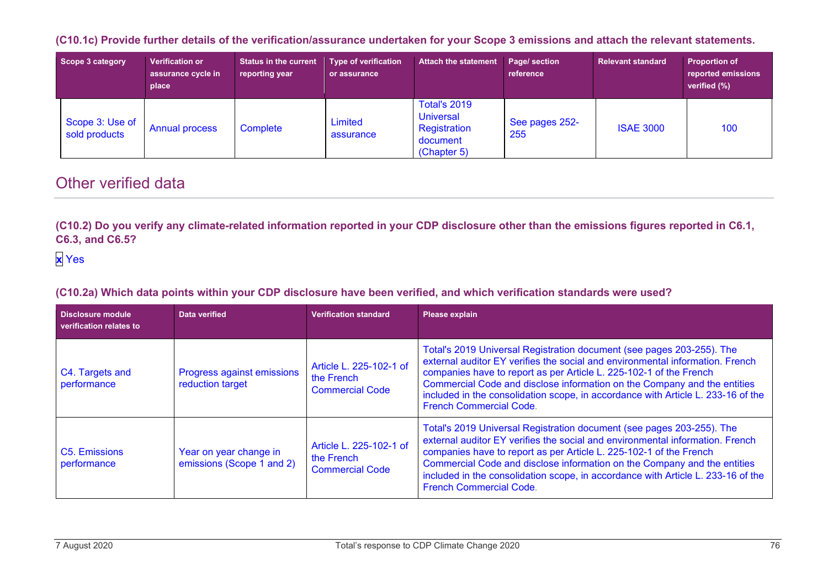**(C10.1c) Provide further details of the verification/assurance undertaken for your Scope 3 emissions and attach the relevant statements.**

| Scope 3 category                 | <b>Verification or</b><br>assurance cycle in<br>place | <b>Status in the current</b><br>reporting year | <b>Type of verification</b><br>or assurance | <b>Attach the statement</b>                                                        | Page/ section<br>reference | <b>Relevant standard</b> | <b>Proportion of</b><br>reported emissions<br>verified (%) |
|----------------------------------|-------------------------------------------------------|------------------------------------------------|---------------------------------------------|------------------------------------------------------------------------------------|----------------------------|--------------------------|------------------------------------------------------------|
| Scope 3: Use of<br>sold products | <b>Annual process</b>                                 | Complete                                       | Limited<br>assurance                        | <b>Total's 2019</b><br><b>Universal</b><br>Registration<br>document<br>(Chapter 5) | See pages 252-<br>255      | <b>ISAE 3000</b>         | 100                                                        |

## Other verified data

**(C10.2) Do you verify any climate-related information reported in your CDP disclosure other than the emissions figures reported in C6.1, C6.3, and C6.5?**

## **x** Yes

**(C10.2a) Which data points within your CDP disclosure have been verified, and which verification standards were used?**

| <b>Disclosure module</b><br>verification relates to | Data verified                                         | <b>Verification standard</b>                                    | <b>Please explain</b>                                                                                                                                                                                                                                                                                                                                                                                                          |
|-----------------------------------------------------|-------------------------------------------------------|-----------------------------------------------------------------|--------------------------------------------------------------------------------------------------------------------------------------------------------------------------------------------------------------------------------------------------------------------------------------------------------------------------------------------------------------------------------------------------------------------------------|
| C4. Targets and<br>performance                      | <b>Progress against emissions</b><br>reduction target | Article L. 225-102-1 of<br>the French<br><b>Commercial Code</b> | Total's 2019 Universal Registration document (see pages 203-255). The<br>external auditor EY verifies the social and environmental information. French<br>companies have to report as per Article L. 225-102-1 of the French<br>Commercial Code and disclose information on the Company and the entities<br>included in the consolidation scope, in accordance with Article L. 233-16 of the<br><b>French Commercial Code.</b> |
| C5. Emissions<br>performance                        | Year on year change in<br>emissions (Scope 1 and 2)   | Article L. 225-102-1 of<br>the French<br><b>Commercial Code</b> | Total's 2019 Universal Registration document (see pages 203-255). The<br>external auditor EY verifies the social and environmental information. French<br>companies have to report as per Article L. 225-102-1 of the French<br>Commercial Code and disclose information on the Company and the entities<br>included in the consolidation scope, in accordance with Article L. 233-16 of the<br><b>French Commercial Code.</b> |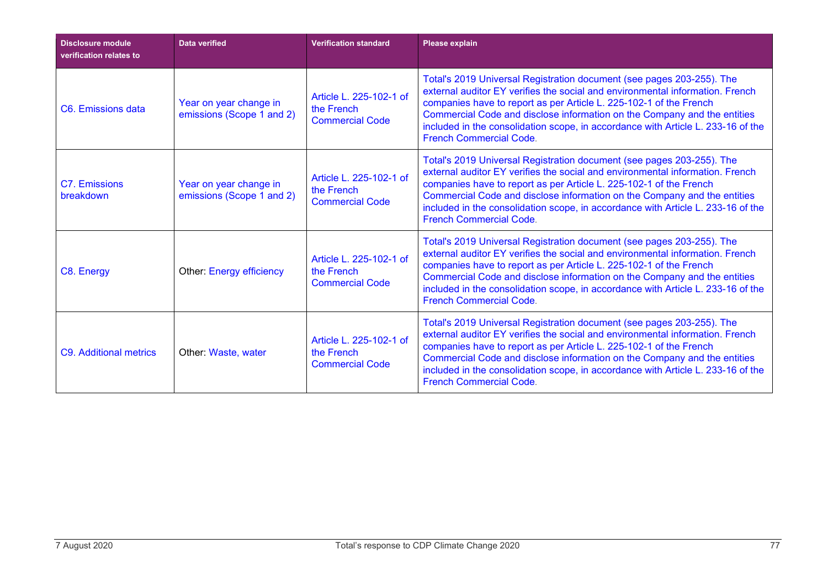| <b>Disclosure module</b><br>verification relates to | <b>Data verified</b>                                | <b>Verification standard</b>                                    | Please explain                                                                                                                                                                                                                                                                                                                                                                                                                 |
|-----------------------------------------------------|-----------------------------------------------------|-----------------------------------------------------------------|--------------------------------------------------------------------------------------------------------------------------------------------------------------------------------------------------------------------------------------------------------------------------------------------------------------------------------------------------------------------------------------------------------------------------------|
| C6. Emissions data                                  | Year on year change in<br>emissions (Scope 1 and 2) | Article L. 225-102-1 of<br>the French<br><b>Commercial Code</b> | Total's 2019 Universal Registration document (see pages 203-255). The<br>external auditor EY verifies the social and environmental information. French<br>companies have to report as per Article L. 225-102-1 of the French<br>Commercial Code and disclose information on the Company and the entities<br>included in the consolidation scope, in accordance with Article L. 233-16 of the<br><b>French Commercial Code.</b> |
| C7. Emissions<br>breakdown                          | Year on year change in<br>emissions (Scope 1 and 2) | Article L. 225-102-1 of<br>the French<br><b>Commercial Code</b> | Total's 2019 Universal Registration document (see pages 203-255). The<br>external auditor EY verifies the social and environmental information. French<br>companies have to report as per Article L. 225-102-1 of the French<br>Commercial Code and disclose information on the Company and the entities<br>included in the consolidation scope, in accordance with Article L. 233-16 of the<br><b>French Commercial Code.</b> |
| C8. Energy                                          | <b>Other: Energy efficiency</b>                     | Article L. 225-102-1 of<br>the French<br><b>Commercial Code</b> | Total's 2019 Universal Registration document (see pages 203-255). The<br>external auditor EY verifies the social and environmental information. French<br>companies have to report as per Article L. 225-102-1 of the French<br>Commercial Code and disclose information on the Company and the entities<br>included in the consolidation scope, in accordance with Article L. 233-16 of the<br><b>French Commercial Code</b>  |
| <b>C9. Additional metrics</b>                       | Other: Waste, water                                 | Article L. 225-102-1 of<br>the French<br><b>Commercial Code</b> | Total's 2019 Universal Registration document (see pages 203-255). The<br>external auditor EY verifies the social and environmental information. French<br>companies have to report as per Article L. 225-102-1 of the French<br>Commercial Code and disclose information on the Company and the entities<br>included in the consolidation scope, in accordance with Article L. 233-16 of the<br><b>French Commercial Code.</b> |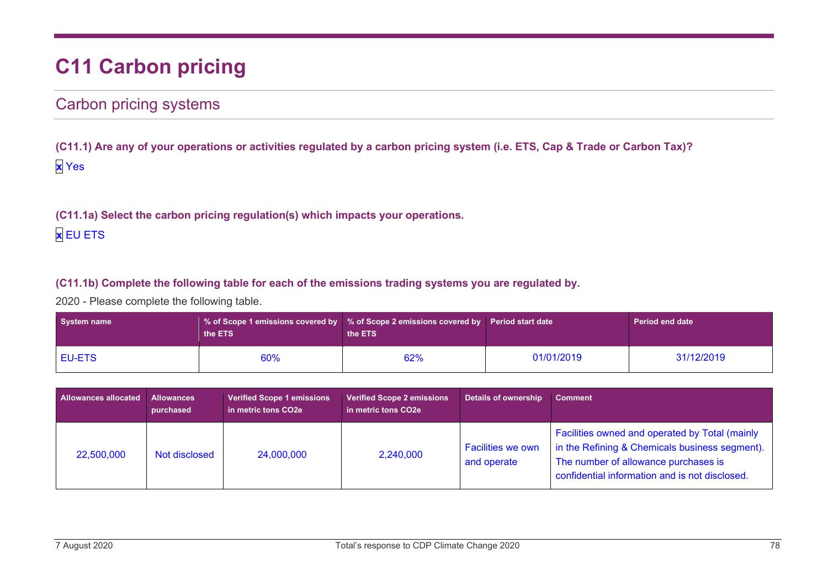# **C11 Carbon pricing**

## Carbon pricing systems

**(C11.1) Are any of your operations or activities regulated by a carbon pricing system (i.e. ETS, Cap & Trade or Carbon Tax)? x** Yes

**(C11.1a) Select the carbon pricing regulation(s) which impacts your operations. x** EU ETS

### **(C11.1b) Complete the following table for each of the emissions trading systems you are regulated by.**

2020 - Please complete the following table.

| System name   | the ETS | $\,$ % of Scope 1 emissions covered by $\,$ % of Scope 2 emissions covered by $\,$ Period start date $\,$<br>the ETS |            | <b>Period end date</b> |
|---------------|---------|----------------------------------------------------------------------------------------------------------------------|------------|------------------------|
| <b>EU-ETS</b> | 60%     | 62%                                                                                                                  | 01/01/2019 | 31/12/2019             |

| <b>Allowances allocated</b> | <b>Allowances</b><br>purchased | <b>Verified Scope 1 emissions</b><br>in metric tons CO2e | <b>Verified Scope 2 emissions</b><br>in metric tons CO2e | <b>Details of ownership</b>             | <b>Comment</b>                                                                                                                                                                             |
|-----------------------------|--------------------------------|----------------------------------------------------------|----------------------------------------------------------|-----------------------------------------|--------------------------------------------------------------------------------------------------------------------------------------------------------------------------------------------|
| 22,500,000                  | Not disclosed                  | 24,000,000                                               | 2,240,000                                                | <b>Facilities we own</b><br>and operate | Facilities owned and operated by Total (mainly<br>in the Refining & Chemicals business segment).<br>The number of allowance purchases is<br>confidential information and is not disclosed. |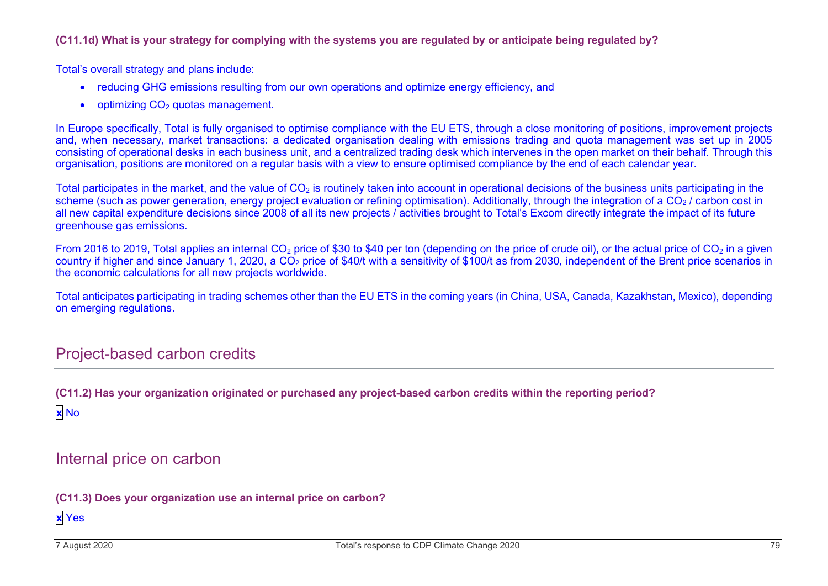#### **(C11.1d) What is your strategy for complying with the systems you are regulated by or anticipate being regulated by?**

Total's overall strategy and plans include:

- reducing GHG emissions resulting from our own operations and optimize energy efficiency, and
- optimizing  $CO<sub>2</sub>$  quotas management.

In Europe specifically, Total is fully organised to optimise compliance with the EU ETS, through a close monitoring of positions, improvement projects and, when necessary, market transactions: a dedicated organisation dealing with emissions trading and quota management was set up in 2005 consisting of operational desks in each business unit, and a centralized trading desk which intervenes in the open market on their behalf. Through this organisation, positions are monitored on a regular basis with a view to ensure optimised compliance by the end of each calendar year.

Total participates in the market, and the value of  $CO<sub>2</sub>$  is routinely taken into account in operational decisions of the business units participating in the scheme (such as power generation, energy project evaluation or refining optimisation). Additionally, through the integration of a  $CO<sub>2</sub>$ / carbon cost in all new capital expenditure decisions since 2008 of all its new projects / activities brought to Total's Excom directly integrate the impact of its future greenhouse gas emissions.

From 2016 to 2019, Total applies an internal CO<sub>2</sub> price of \$30 to \$40 per ton (depending on the price of crude oil), or the actual price of CO<sub>2</sub> in a given country if higher and since January 1, 2020, a CO<sub>2</sub> price of \$40/t with a sensitivity of \$100/t as from 2030, independent of the Brent price scenarios in the economic calculations for all new projects worldwide.

Total anticipates participating in trading schemes other than the EU ETS in the coming years (in China, USA, Canada, Kazakhstan, Mexico), depending on emerging regulations.

## Project-based carbon credits

**(C11.2) Has your organization originated or purchased any project-based carbon credits within the reporting period? x** No

Internal price on carbon

**(C11.3) Does your organization use an internal price on carbon?**

**x** Yes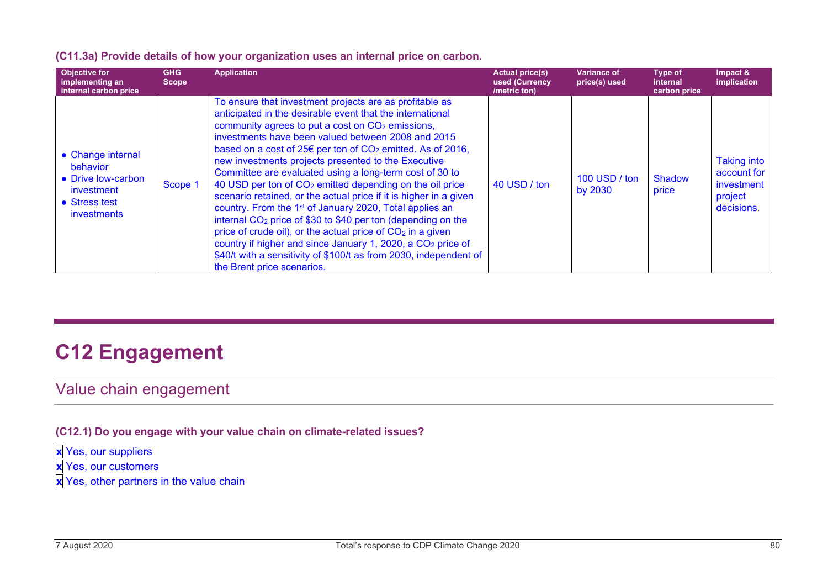|  |  |  | (C11.3a) Provide details of how your organization uses an internal price on carbon. |
|--|--|--|-------------------------------------------------------------------------------------|
|--|--|--|-------------------------------------------------------------------------------------|

| Objective for<br>implementing an<br>internal carbon price                                                | <b>GHG</b><br>Scope | <b>Application</b>                                                                                                                                                                                                                                                                                                                                                                                                                                                                                                                                                                                                                                                                                                                                                                                                                                                                                                                                               | <b>Actual price(s)</b><br>used (Currency<br>/metric ton) | <b>Variance of</b><br>price(s) used | Type of<br>internal<br>carbon price | Impact &<br>implication                                                  |
|----------------------------------------------------------------------------------------------------------|---------------------|------------------------------------------------------------------------------------------------------------------------------------------------------------------------------------------------------------------------------------------------------------------------------------------------------------------------------------------------------------------------------------------------------------------------------------------------------------------------------------------------------------------------------------------------------------------------------------------------------------------------------------------------------------------------------------------------------------------------------------------------------------------------------------------------------------------------------------------------------------------------------------------------------------------------------------------------------------------|----------------------------------------------------------|-------------------------------------|-------------------------------------|--------------------------------------------------------------------------|
| • Change internal<br>behavior<br>• Drive low-carbon<br>investment<br>• Stress test<br><i>investments</i> | Scope 1             | To ensure that investment projects are as profitable as<br>anticipated in the desirable event that the international<br>community agrees to put a cost on $CO2$ emissions,<br>investments have been valued between 2008 and 2015<br>based on a cost of $25 \epsilon$ per ton of $CO2$ emitted. As of 2016,<br>new investments projects presented to the Executive<br>Committee are evaluated using a long-term cost of 30 to<br>40 USD per ton of CO <sub>2</sub> emitted depending on the oil price<br>scenario retained, or the actual price if it is higher in a given<br>country. From the 1 <sup>st</sup> of January 2020, Total applies an<br>internal $CO2$ price of \$30 to \$40 per ton (depending on the<br>price of crude oil), or the actual price of $CO2$ in a given<br>country if higher and since January 1, 2020, a CO <sub>2</sub> price of<br>\$40/t with a sensitivity of \$100/t as from 2030, independent of<br>the Brent price scenarios. | 40 USD / ton                                             | 100 USD / ton<br>by 2030            | Shadow<br>price                     | <b>Taking into</b><br>account for<br>investment<br>project<br>decisions. |

# **C12 Engagement**

## Value chain engagement

**(C12.1) Do you engage with your value chain on climate-related issues?**

**x** Yes, our suppliers

**x** Yes, our customers

**x** Yes, other partners in the value chain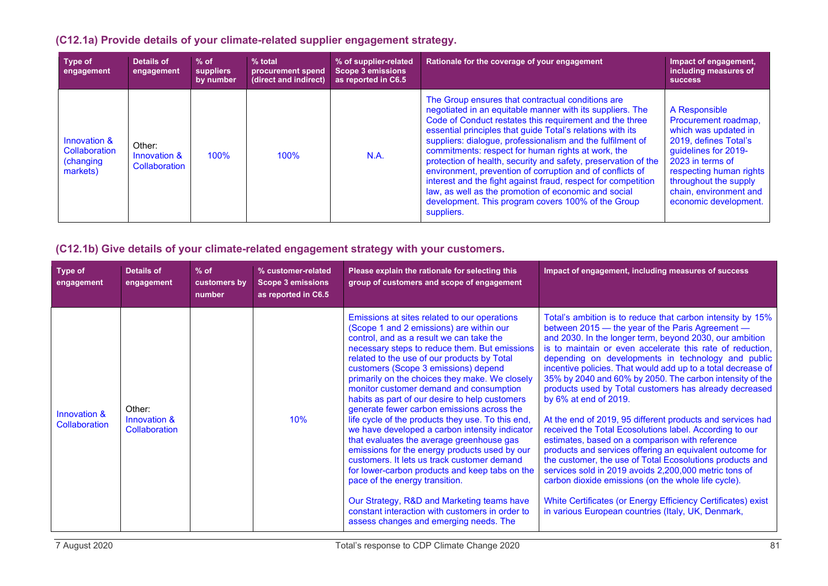## **(C12.1a) Provide details of your climate-related supplier engagement strategy.**

| Type of<br>engagement                                  | Details of<br>engagement                | $%$ of<br>suppliers<br>by number | $%$ total<br>procurement spend<br>(direct and indirect) | % of supplier-related<br><b>Scope 3 emissions</b><br>as reported in C6.5 | Rationale for the coverage of your engagement                                                                                                                                                                                                                                                                                                                                                                                                                                                                                                                                                                                                                                           | Impact of engagement.<br>including measures of<br><b>SUCCESS</b>                                                                                                                                                                          |
|--------------------------------------------------------|-----------------------------------------|----------------------------------|---------------------------------------------------------|--------------------------------------------------------------------------|-----------------------------------------------------------------------------------------------------------------------------------------------------------------------------------------------------------------------------------------------------------------------------------------------------------------------------------------------------------------------------------------------------------------------------------------------------------------------------------------------------------------------------------------------------------------------------------------------------------------------------------------------------------------------------------------|-------------------------------------------------------------------------------------------------------------------------------------------------------------------------------------------------------------------------------------------|
| Innovation &<br>Collaboration<br>(changing<br>markets) | Other:<br>Innovation &<br>Collaboration | 100%                             | 100%                                                    | N.A.                                                                     | The Group ensures that contractual conditions are<br>negotiated in an equitable manner with its suppliers. The<br>Code of Conduct restates this requirement and the three<br>essential principles that guide Total's relations with its<br>suppliers: dialogue, professionalism and the fulfilment of<br>commitments: respect for human rights at work, the<br>protection of health, security and safety, preservation of the<br>environment, prevention of corruption and of conflicts of<br>interest and the fight against fraud, respect for competition<br>law, as well as the promotion of economic and social<br>development. This program covers 100% of the Group<br>suppliers. | A Responsible<br>Procurement roadmap,<br>which was updated in<br>2019, defines Total's<br>guidelines for 2019-<br>2023 in terms of<br>respecting human rights<br>throughout the supply<br>chain, environment and<br>economic development. |

### **(C12.1b) Give details of your climate-related engagement strategy with your customers.**

| <b>Type of</b><br>engagement         | <b>Details of</b><br>engagement         | $%$ of<br>customers by<br>number | % customer-related<br><b>Scope 3 emissions</b><br>as reported in C6.5 | Please explain the rationale for selecting this<br>group of customers and scope of engagement                                                                                                                                                                                                                                                                                                                                                                                                                                                                                                                                                                                                                                                                                                                                                                                                                                                                | Impact of engagement, including measures of success                                                                                                                                                                                                                                                                                                                                                                                                                                                                                                                                                                                                                                                                                                                                                                                                                                                                                                                                                                                                   |
|--------------------------------------|-----------------------------------------|----------------------------------|-----------------------------------------------------------------------|--------------------------------------------------------------------------------------------------------------------------------------------------------------------------------------------------------------------------------------------------------------------------------------------------------------------------------------------------------------------------------------------------------------------------------------------------------------------------------------------------------------------------------------------------------------------------------------------------------------------------------------------------------------------------------------------------------------------------------------------------------------------------------------------------------------------------------------------------------------------------------------------------------------------------------------------------------------|-------------------------------------------------------------------------------------------------------------------------------------------------------------------------------------------------------------------------------------------------------------------------------------------------------------------------------------------------------------------------------------------------------------------------------------------------------------------------------------------------------------------------------------------------------------------------------------------------------------------------------------------------------------------------------------------------------------------------------------------------------------------------------------------------------------------------------------------------------------------------------------------------------------------------------------------------------------------------------------------------------------------------------------------------------|
| Innovation &<br><b>Collaboration</b> | Other:<br>Innovation &<br>Collaboration |                                  | 10%                                                                   | Emissions at sites related to our operations<br>(Scope 1 and 2 emissions) are within our<br>control, and as a result we can take the<br>necessary steps to reduce them. But emissions<br>related to the use of our products by Total<br>customers (Scope 3 emissions) depend<br>primarily on the choices they make. We closely<br>monitor customer demand and consumption<br>habits as part of our desire to help customers<br>generate fewer carbon emissions across the<br>life cycle of the products they use. To this end,<br>we have developed a carbon intensity indicator<br>that evaluates the average greenhouse gas<br>emissions for the energy products used by our<br>customers. It lets us track customer demand<br>for lower-carbon products and keep tabs on the<br>pace of the energy transition.<br>Our Strategy, R&D and Marketing teams have<br>constant interaction with customers in order to<br>assess changes and emerging needs. The | Total's ambition is to reduce that carbon intensity by 15%<br>between 2015 – the year of the Paris Agreement –<br>and 2030. In the longer term, beyond 2030, our ambition<br>is to maintain or even accelerate this rate of reduction,<br>depending on developments in technology and public<br>incentive policies. That would add up to a total decrease of<br>35% by 2040 and 60% by 2050. The carbon intensity of the<br>products used by Total customers has already decreased<br>by 6% at end of 2019.<br>At the end of 2019, 95 different products and services had<br>received the Total Ecosolutions label. According to our<br>estimates, based on a comparison with reference<br>products and services offering an equivalent outcome for<br>the customer, the use of Total Ecosolutions products and<br>services sold in 2019 avoids 2,200,000 metric tons of<br>carbon dioxide emissions (on the whole life cycle).<br>White Certificates (or Energy Efficiency Certificates) exist<br>in various European countries (Italy, UK, Denmark, |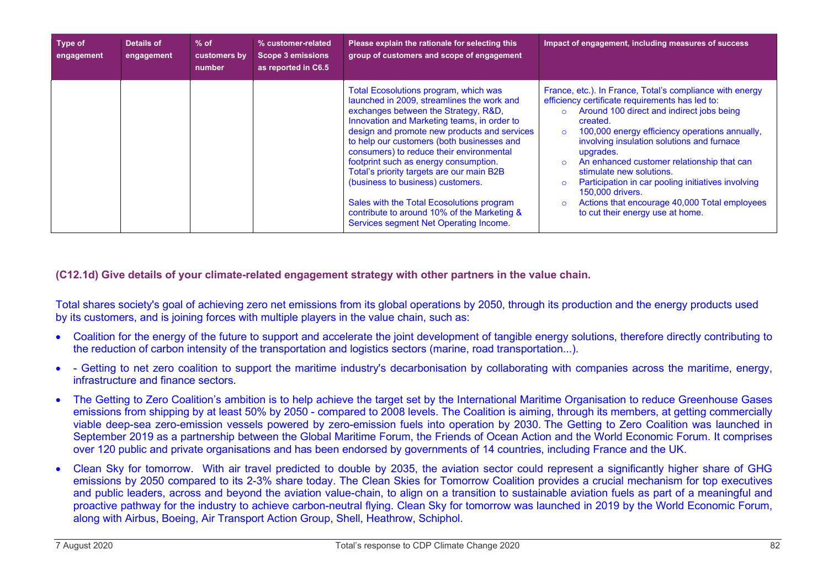| Type of<br>engagement | Details of<br>engagement | $%$ of<br>customers by<br>number | % customer-related<br><b>Scope 3 emissions</b><br>as reported in C6.5 | Please explain the rationale for selecting this<br>group of customers and scope of engagement                                                                                                                                                                                                                                                                                                                                                                                                                                                                                         | Impact of engagement, including measures of success                                                                                                                                                                                                                                                                                                                                                                                                                                                                        |
|-----------------------|--------------------------|----------------------------------|-----------------------------------------------------------------------|---------------------------------------------------------------------------------------------------------------------------------------------------------------------------------------------------------------------------------------------------------------------------------------------------------------------------------------------------------------------------------------------------------------------------------------------------------------------------------------------------------------------------------------------------------------------------------------|----------------------------------------------------------------------------------------------------------------------------------------------------------------------------------------------------------------------------------------------------------------------------------------------------------------------------------------------------------------------------------------------------------------------------------------------------------------------------------------------------------------------------|
|                       |                          |                                  |                                                                       | Total Ecosolutions program, which was<br>launched in 2009, streamlines the work and<br>exchanges between the Strategy, R&D,<br>Innovation and Marketing teams, in order to<br>design and promote new products and services<br>to help our customers (both businesses and<br>consumers) to reduce their environmental<br>footprint such as energy consumption.<br>Total's priority targets are our main B2B<br>(business to business) customers.<br>Sales with the Total Ecosolutions program<br>contribute to around 10% of the Marketing &<br>Services segment Net Operating Income. | France, etc.). In France, Total's compliance with energy<br>efficiency certificate requirements has led to:<br>Around 100 direct and indirect jobs being<br>created.<br>100,000 energy efficiency operations annually,<br>involving insulation solutions and furnace<br>upgrades.<br>An enhanced customer relationship that can<br>stimulate new solutions.<br>Participation in car pooling initiatives involving<br>150,000 drivers.<br>Actions that encourage 40,000 Total employees<br>to cut their energy use at home. |

**(C12.1d) Give details of your climate-related engagement strategy with other partners in the value chain.**

Total shares society's goal of achieving zero net emissions from its global operations by 2050, through its production and the energy products used by its customers, and is joining forces with multiple players in the value chain, such as:

- Coalition for the energy of the future to support and accelerate the joint development of tangible energy solutions, therefore directly contributing to the reduction of carbon intensity of the transportation and logistics sectors (marine, road transportation...).
- - Getting to net zero coalition to support the maritime industry's decarbonisation by collaborating with companies across the maritime, energy, infrastructure and finance sectors.
- The Getting to Zero Coalition's ambition is to help achieve the target set by the International Maritime Organisation to reduce Greenhouse Gases emissions from shipping by at least 50% by 2050 - compared to 2008 levels. The Coalition is aiming, through its members, at getting commercially viable deep-sea zero-emission vessels powered by zero-emission fuels into operation by 2030. The Getting to Zero Coalition was launched in September 2019 as a partnership between the Global Maritime Forum, the Friends of Ocean Action and the World Economic Forum. It comprises over 120 public and private organisations and has been endorsed by governments of 14 countries, including France and the UK.
- Clean Sky for tomorrow. With air travel predicted to double by 2035, the aviation sector could represent a significantly higher share of GHG emissions by 2050 compared to its 2-3% share today. The Clean Skies for Tomorrow Coalition provides a crucial mechanism for top executives and public leaders, across and beyond the aviation value-chain, to align on a transition to sustainable aviation fuels as part of a meaningful and proactive pathway for the industry to achieve carbon-neutral flying. Clean Sky for tomorrow was launched in 2019 by the World Economic Forum, along with Airbus, Boeing, Air Transport Action Group, Shell, Heathrow, Schiphol.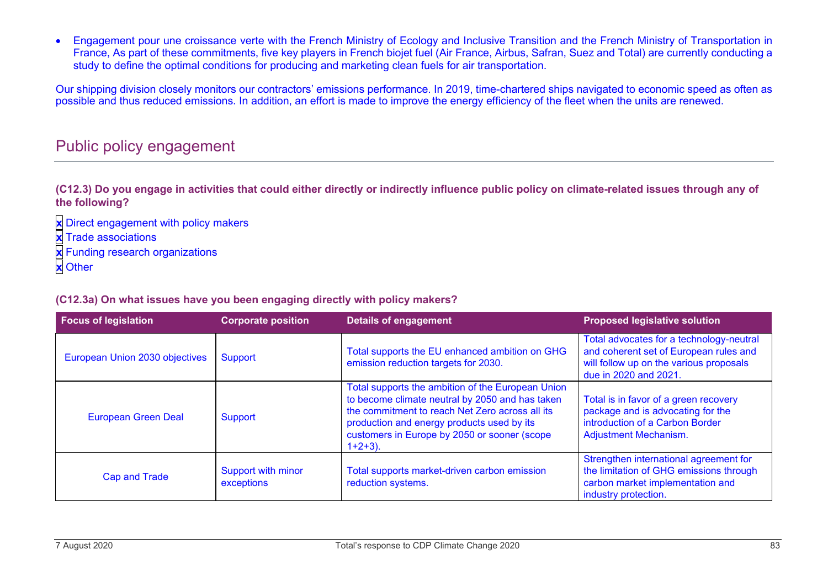• Engagement pour une croissance verte with the French Ministry of Ecology and Inclusive Transition and the French Ministry of Transportation in France, As part of these commitments, five key players in French biojet fuel (Air France, Airbus, Safran, Suez and Total) are currently conducting a study to define the optimal conditions for producing and marketing clean fuels for air transportation.

Our shipping division closely monitors our contractors' emissions performance. In 2019, time-chartered ships navigated to economic speed as often as possible and thus reduced emissions. In addition, an effort is made to improve the energy efficiency of the fleet when the units are renewed.

## Public policy engagement

**(C12.3) Do you engage in activities that could either directly or indirectly influence public policy on climate-related issues through any of the following?**

**x** Direct engagement with policy makers

- **x** Trade associations
- **x** Funding research organizations
- **x** Other

#### **(C12.3a) On what issues have you been engaging directly with policy makers?**

| <b>Focus of legislation</b>    | <b>Corporate position</b>        | <b>Details of engagement</b>                                                                                                                                                                                                                                        | <b>Proposed legislative solution</b>                                                                                                                   |
|--------------------------------|----------------------------------|---------------------------------------------------------------------------------------------------------------------------------------------------------------------------------------------------------------------------------------------------------------------|--------------------------------------------------------------------------------------------------------------------------------------------------------|
| European Union 2030 objectives | Support                          | Total supports the EU enhanced ambition on GHG<br>emission reduction targets for 2030.                                                                                                                                                                              | Total advocates for a technology-neutral<br>and coherent set of European rules and<br>will follow up on the various proposals<br>due in 2020 and 2021. |
| <b>European Green Deal</b>     | Support                          | Total supports the ambition of the European Union<br>to become climate neutral by 2050 and has taken<br>the commitment to reach Net Zero across all its<br>production and energy products used by its<br>customers in Europe by 2050 or sooner (scope<br>$1+2+3$ ). | Total is in favor of a green recovery<br>package and is advocating for the<br>introduction of a Carbon Border<br><b>Adjustment Mechanism.</b>          |
| <b>Cap and Trade</b>           | Support with minor<br>exceptions | Total supports market-driven carbon emission<br>reduction systems.                                                                                                                                                                                                  | Strengthen international agreement for<br>the limitation of GHG emissions through<br>carbon market implementation and<br>industry protection.          |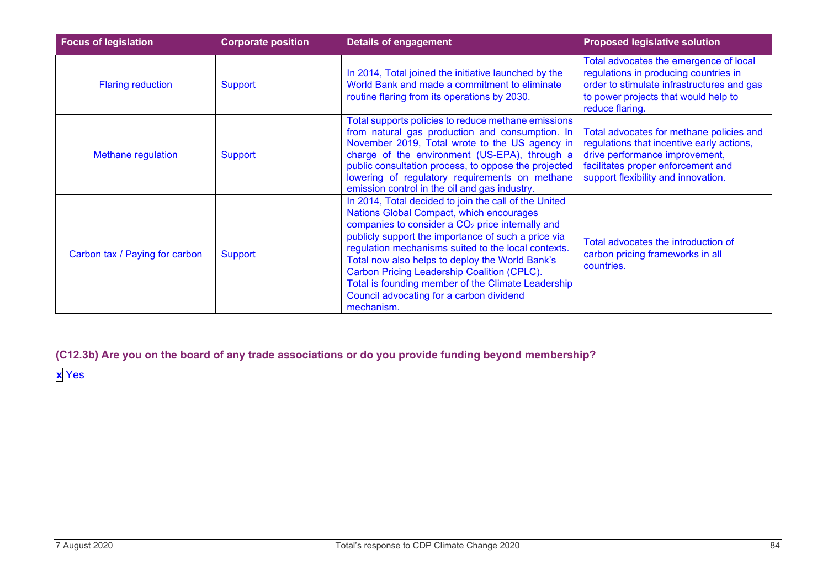| <b>Focus of legislation</b>    | <b>Corporate position</b> | <b>Details of engagement</b>                                                                                                                                                                                                                                                                                                                                                                                                                                                                      | <b>Proposed legislative solution</b>                                                                                                                                                                 |
|--------------------------------|---------------------------|---------------------------------------------------------------------------------------------------------------------------------------------------------------------------------------------------------------------------------------------------------------------------------------------------------------------------------------------------------------------------------------------------------------------------------------------------------------------------------------------------|------------------------------------------------------------------------------------------------------------------------------------------------------------------------------------------------------|
| <b>Flaring reduction</b>       | <b>Support</b>            | In 2014, Total joined the initiative launched by the<br>World Bank and made a commitment to eliminate<br>routine flaring from its operations by 2030.                                                                                                                                                                                                                                                                                                                                             | Total advocates the emergence of local<br>regulations in producing countries in<br>order to stimulate infrastructures and gas<br>to power projects that would help to<br>reduce flaring.             |
| <b>Methane regulation</b>      | <b>Support</b>            | Total supports policies to reduce methane emissions<br>from natural gas production and consumption. In<br>November 2019, Total wrote to the US agency in<br>charge of the environment (US-EPA), through a<br>public consultation process, to oppose the projected<br>lowering of regulatory requirements on methane<br>emission control in the oil and gas industry.                                                                                                                              | Total advocates for methane policies and<br>regulations that incentive early actions,<br>drive performance improvement,<br>facilitates proper enforcement and<br>support flexibility and innovation. |
| Carbon tax / Paying for carbon | <b>Support</b>            | In 2014, Total decided to join the call of the United<br>Nations Global Compact, which encourages<br>companies to consider a CO <sub>2</sub> price internally and<br>publicly support the importance of such a price via<br>regulation mechanisms suited to the local contexts.<br>Total now also helps to deploy the World Bank's<br>Carbon Pricing Leadership Coalition (CPLC).<br>Total is founding member of the Climate Leadership<br>Council advocating for a carbon dividend<br>mechanism. | Total advocates the introduction of<br>carbon pricing frameworks in all<br>countries.                                                                                                                |

**(C12.3b) Are you on the board of any trade associations or do you provide funding beyond membership? x** Yes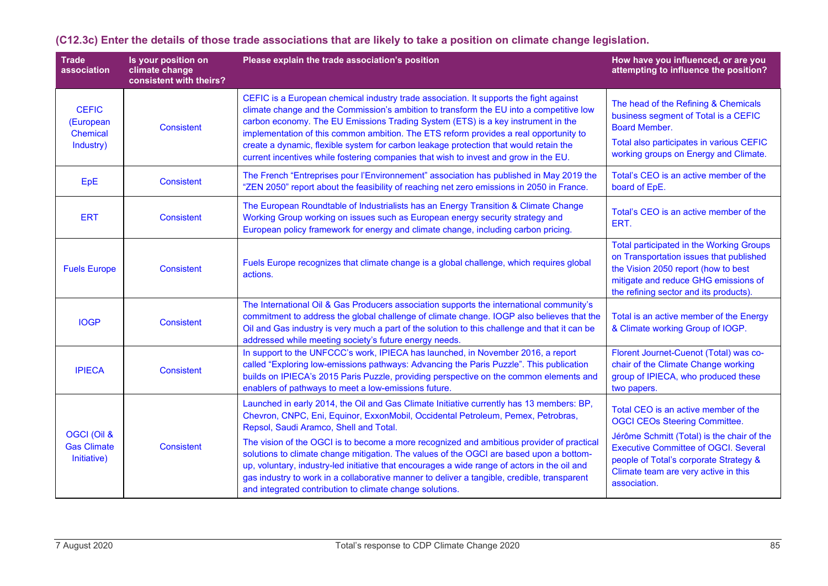| <b>Trade</b><br>association                               | Is your position on<br>climate change<br>consistent with theirs? | Please explain the trade association's position                                                                                                                                                                                                                                                                                                                                                                                                                                                                                                                                                                                                                           | How have you influenced, or are you<br>attempting to influence the position?                                                                                                                                                                                                |
|-----------------------------------------------------------|------------------------------------------------------------------|---------------------------------------------------------------------------------------------------------------------------------------------------------------------------------------------------------------------------------------------------------------------------------------------------------------------------------------------------------------------------------------------------------------------------------------------------------------------------------------------------------------------------------------------------------------------------------------------------------------------------------------------------------------------------|-----------------------------------------------------------------------------------------------------------------------------------------------------------------------------------------------------------------------------------------------------------------------------|
| <b>CEFIC</b><br>(European<br><b>Chemical</b><br>Industry) | <b>Consistent</b>                                                | CEFIC is a European chemical industry trade association. It supports the fight against<br>climate change and the Commission's ambition to transform the EU into a competitive low<br>carbon economy. The EU Emissions Trading System (ETS) is a key instrument in the<br>implementation of this common ambition. The ETS reform provides a real opportunity to<br>create a dynamic, flexible system for carbon leakage protection that would retain the<br>current incentives while fostering companies that wish to invest and grow in the EU.                                                                                                                           | The head of the Refining & Chemicals<br>business segment of Total is a CEFIC<br><b>Board Member.</b><br>Total also participates in various CEFIC<br>working groups on Energy and Climate.                                                                                   |
| EpE                                                       | <b>Consistent</b>                                                | The French "Entreprises pour l'Environnement" association has published in May 2019 the<br>"ZEN 2050" report about the feasibility of reaching net zero emissions in 2050 in France.                                                                                                                                                                                                                                                                                                                                                                                                                                                                                      | Total's CEO is an active member of the<br>board of EpE.                                                                                                                                                                                                                     |
| <b>ERT</b>                                                | <b>Consistent</b>                                                | The European Roundtable of Industrialists has an Energy Transition & Climate Change<br>Working Group working on issues such as European energy security strategy and<br>European policy framework for energy and climate change, including carbon pricing.                                                                                                                                                                                                                                                                                                                                                                                                                | Total's CEO is an active member of the<br>ERT.                                                                                                                                                                                                                              |
| <b>Fuels Europe</b>                                       | Consistent                                                       | Fuels Europe recognizes that climate change is a global challenge, which requires global<br>actions.                                                                                                                                                                                                                                                                                                                                                                                                                                                                                                                                                                      | <b>Total participated in the Working Groups</b><br>on Transportation issues that published<br>the Vision 2050 report (how to best<br>mitigate and reduce GHG emissions of<br>the refining sector and its products).                                                         |
| <b>IOGP</b>                                               | <b>Consistent</b>                                                | The International Oil & Gas Producers association supports the international community's<br>commitment to address the global challenge of climate change. IOGP also believes that the<br>Oil and Gas industry is very much a part of the solution to this challenge and that it can be<br>addressed while meeting society's future energy needs.                                                                                                                                                                                                                                                                                                                          | Total is an active member of the Energy<br>& Climate working Group of IOGP.                                                                                                                                                                                                 |
| <b>IPIECA</b>                                             | <b>Consistent</b>                                                | In support to the UNFCCC's work, IPIECA has launched, in November 2016, a report<br>called "Exploring low-emissions pathways: Advancing the Paris Puzzle". This publication<br>builds on IPIECA's 2015 Paris Puzzle, providing perspective on the common elements and<br>enablers of pathways to meet a low-emissions future.                                                                                                                                                                                                                                                                                                                                             | Florent Journet-Cuenot (Total) was co-<br>chair of the Climate Change working<br>group of IPIECA, who produced these<br>two papers.                                                                                                                                         |
| OGCI (Oil &<br><b>Gas Climate</b><br>Initiative)          | <b>Consistent</b>                                                | Launched in early 2014, the Oil and Gas Climate Initiative currently has 13 members: BP,<br>Chevron, CNPC, Eni, Equinor, ExxonMobil, Occidental Petroleum, Pemex, Petrobras,<br>Repsol, Saudi Aramco, Shell and Total.<br>The vision of the OGCI is to become a more recognized and ambitious provider of practical<br>solutions to climate change mitigation. The values of the OGCI are based upon a bottom-<br>up, voluntary, industry-led initiative that encourages a wide range of actors in the oil and<br>gas industry to work in a collaborative manner to deliver a tangible, credible, transparent<br>and integrated contribution to climate change solutions. | Total CEO is an active member of the<br><b>OGCI CEOs Steering Committee.</b><br>Jérôme Schmitt (Total) is the chair of the<br><b>Executive Committee of OGCI. Several</b><br>people of Total's corporate Strategy &<br>Climate team are very active in this<br>association. |

**(C12.3c) Enter the details of those trade associations that are likely to take a position on climate change legislation.**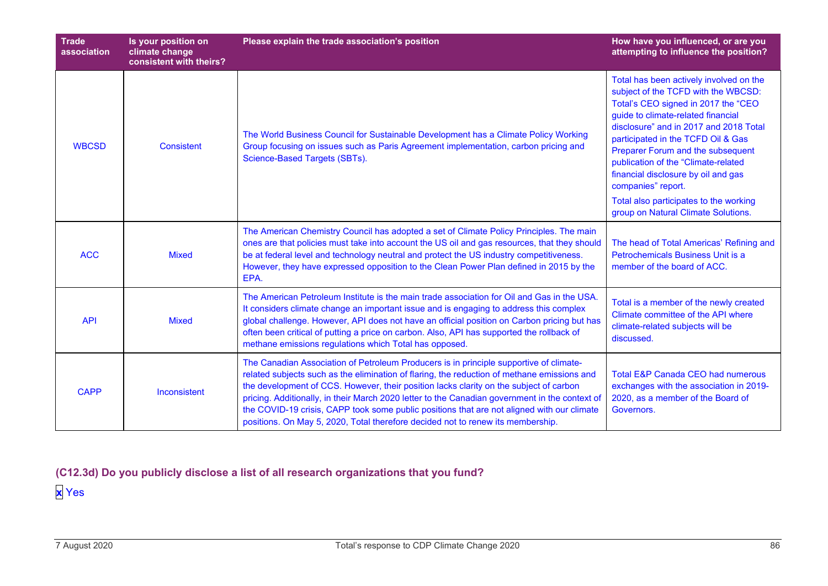| <b>Trade</b><br>association | Is your position on<br>climate change<br>consistent with theirs? | Please explain the trade association's position                                                                                                                                                                                                                                                                                                                                                                                                                                                                                                                    | How have you influenced, or are you<br>attempting to influence the position?                                                                                                                                                                                                                                                                                                                                                                                          |
|-----------------------------|------------------------------------------------------------------|--------------------------------------------------------------------------------------------------------------------------------------------------------------------------------------------------------------------------------------------------------------------------------------------------------------------------------------------------------------------------------------------------------------------------------------------------------------------------------------------------------------------------------------------------------------------|-----------------------------------------------------------------------------------------------------------------------------------------------------------------------------------------------------------------------------------------------------------------------------------------------------------------------------------------------------------------------------------------------------------------------------------------------------------------------|
| <b>WBCSD</b>                | <b>Consistent</b>                                                | The World Business Council for Sustainable Development has a Climate Policy Working<br>Group focusing on issues such as Paris Agreement implementation, carbon pricing and<br>Science-Based Targets (SBTs).                                                                                                                                                                                                                                                                                                                                                        | Total has been actively involved on the<br>subject of the TCFD with the WBCSD:<br>Total's CEO signed in 2017 the "CEO<br>guide to climate-related financial<br>disclosure" and in 2017 and 2018 Total<br>participated in the TCFD Oil & Gas<br>Preparer Forum and the subsequent<br>publication of the "Climate-related<br>financial disclosure by oil and gas<br>companies" report.<br>Total also participates to the working<br>group on Natural Climate Solutions. |
| <b>ACC</b>                  | <b>Mixed</b>                                                     | The American Chemistry Council has adopted a set of Climate Policy Principles. The main<br>ones are that policies must take into account the US oil and gas resources, that they should<br>be at federal level and technology neutral and protect the US industry competitiveness.<br>However, they have expressed opposition to the Clean Power Plan defined in 2015 by the<br>EPA.                                                                                                                                                                               | The head of Total Americas' Refining and<br>Petrochemicals Business Unit is a<br>member of the board of ACC.                                                                                                                                                                                                                                                                                                                                                          |
| <b>API</b>                  | <b>Mixed</b>                                                     | The American Petroleum Institute is the main trade association for Oil and Gas in the USA.<br>It considers climate change an important issue and is engaging to address this complex<br>global challenge. However, API does not have an official position on Carbon pricing but has<br>often been critical of putting a price on carbon. Also, API has supported the rollback of<br>methane emissions regulations which Total has opposed.                                                                                                                         | Total is a member of the newly created<br>Climate committee of the API where<br>climate-related subjects will be<br>discussed.                                                                                                                                                                                                                                                                                                                                        |
| <b>CAPP</b>                 | Inconsistent                                                     | The Canadian Association of Petroleum Producers is in principle supportive of climate-<br>related subjects such as the elimination of flaring, the reduction of methane emissions and<br>the development of CCS. However, their position lacks clarity on the subject of carbon<br>pricing. Additionally, in their March 2020 letter to the Canadian government in the context of<br>the COVID-19 crisis, CAPP took some public positions that are not aligned with our climate<br>positions. On May 5, 2020, Total therefore decided not to renew its membership. | <b>Total E&amp;P Canada CEO had numerous</b><br>exchanges with the association in 2019-<br>2020, as a member of the Board of<br>Governors.                                                                                                                                                                                                                                                                                                                            |

**(C12.3d) Do you publicly disclose a list of all research organizations that you fund?**

**x** Yes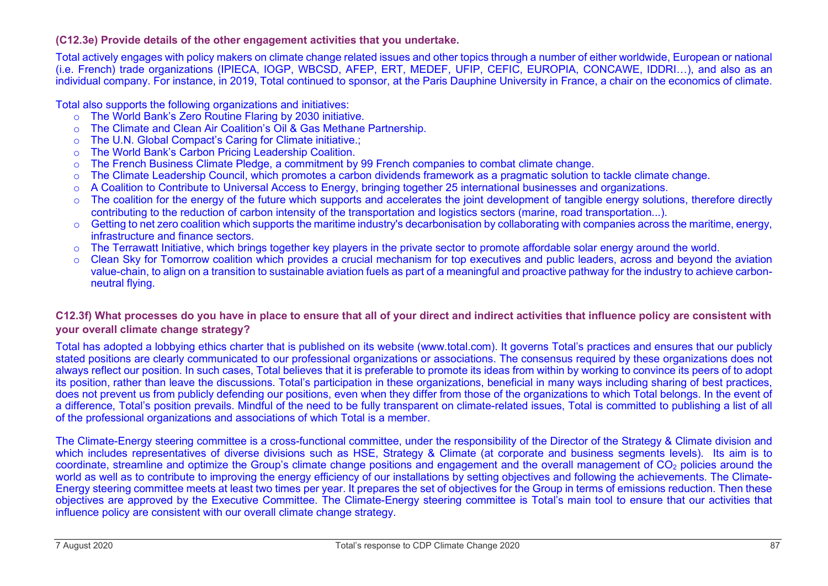#### **(C12.3e) Provide details of the other engagement activities that you undertake.**

Total actively engages with policy makers on climate change related issues and other topics through a number of either worldwide, European or national (i.e. French) trade organizations (IPIECA, IOGP, WBCSD, AFEP, ERT, MEDEF, UFIP, CEFIC, EUROPIA, CONCAWE, IDDRI…), and also as an individual company. For instance, in 2019, Total continued to sponsor, at the Paris Dauphine University in France, a chair on the economics of climate.

Total also supports the following organizations and initiatives:

- o The World Bank's Zero Routine Flaring by 2030 initiative.<br>
o The Climate and Clean Air Coalition's Oil & Gas Methane
- The Climate and Clean Air Coalition's Oil & Gas Methane Partnership.
- o The U.N. Global Compact's Caring for Climate initiative.;
- o The World Bank's Carbon Pricing Leadership Coalition.
- o The French Business Climate Pledge, a commitment by 99 French companies to combat climate change.
- o The Climate Leadership Council, which promotes a carbon dividends framework as a pragmatic solution to tackle climate change.
- o A Coalition to Contribute to Universal Access to Energy, bringing together 25 international businesses and organizations.
- o The coalition for the energy of the future which supports and accelerates the joint development of tangible energy solutions, therefore directly contributing to the reduction of carbon intensity of the transportation and logistics sectors (marine, road transportation...).
- $\circ$  Getting to net zero coalition which supports the maritime industry's decarbonisation by collaborating with companies across the maritime, energy, infrastructure and finance sectors.
- o The Terrawatt Initiative, which brings together key players in the private sector to promote affordable solar energy around the world.<br>○ Clean Sky for Tomorrow coalition which provides a crucial mechanism for top execut
- Clean Sky for Tomorrow coalition which provides a crucial mechanism for top executives and public leaders, across and beyond the aviation value-chain, to align on a transition to sustainable aviation fuels as part of a meaningful and proactive pathway for the industry to achieve carbonneutral flying.

### **C12.3f) What processes do you have in place to ensure that all of your direct and indirect activities that influence policy are consistent with your overall climate change strategy?**

Total has adopted a lobbying ethics charter that is published on its website (www.total.com). It governs Total's practices and ensures that our publicly stated positions are clearly communicated to our professional organizations or associations. The consensus required by these organizations does not always reflect our position. In such cases, Total believes that it is preferable to promote its ideas from within by working to convince its peers of to adopt its position, rather than leave the discussions. Total's participation in these organizations, beneficial in many ways including sharing of best practices, does not prevent us from publicly defending our positions, even when they differ from those of the organizations to which Total belongs. In the event of a difference, Total's position prevails. Mindful of the need to be fully transparent on climate-related issues, Total is committed to publishing a list of all of the professional organizations and associations of which Total is a member.

The Climate-Energy steering committee is a cross-functional committee, under the responsibility of the Director of the Strategy & Climate division and which includes representatives of diverse divisions such as HSE. Strategy & Climate (at corporate and business segments levels). Its aim is to coordinate, streamline and optimize the Group's climate change positions and engagement and the overall management of CO2 policies around the world as well as to contribute to improving the energy efficiency of our installations by setting objectives and following the achievements. The Climate-Energy steering committee meets at least two times per year. It prepares the set of objectives for the Group in terms of emissions reduction. Then these objectives are approved by the Executive Committee. The Climate-Energy steering committee is Total's main tool to ensure that our activities that influence policy are consistent with our overall climate change strategy.